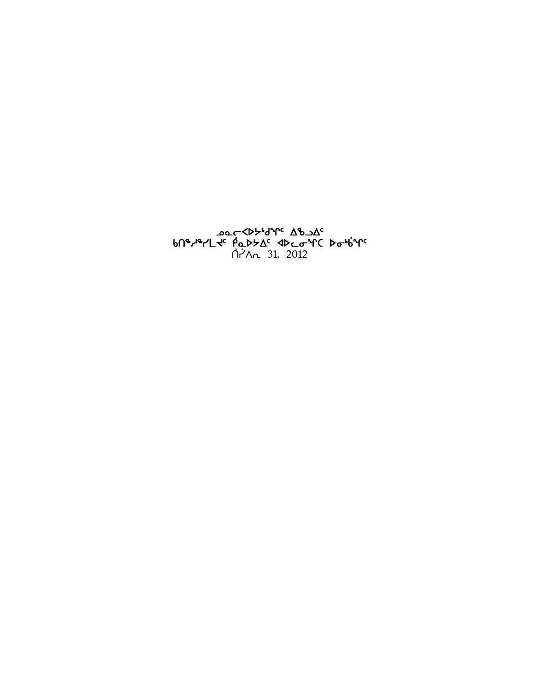**oo CAD ملاحظ محرد مالك من الأمرى**<br>bn\*اللاحظ المحكمة محمد محمد محمد من الأمرى<br>hi/n 31, 2012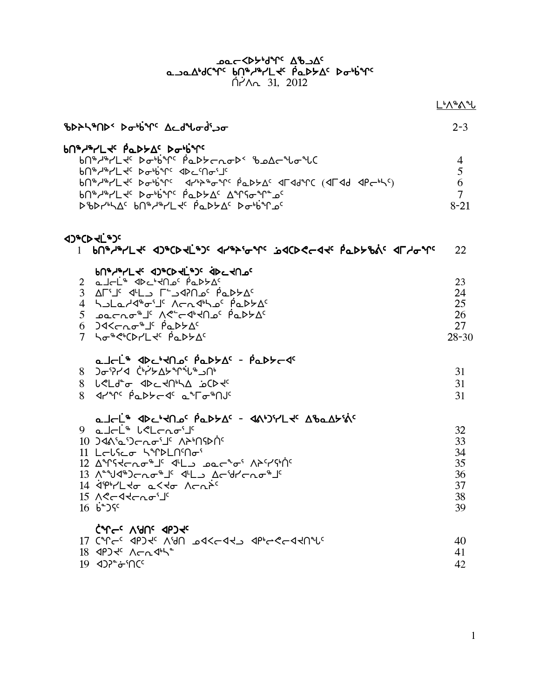# 

| ზDASAD > Dobbirc Acd bodi Jo                                                                                                                                                                                                                                                                                                                                                                                                                                                                                                                                                                                                                                                  | $2 - 3$                                                |
|-------------------------------------------------------------------------------------------------------------------------------------------------------------------------------------------------------------------------------------------------------------------------------------------------------------------------------------------------------------------------------------------------------------------------------------------------------------------------------------------------------------------------------------------------------------------------------------------------------------------------------------------------------------------------------|--------------------------------------------------------|
| <b>bU&amp;J&amp;LLTE PODFVE DarbALE</b><br>᠊᠍ᡃᠪ᠓᠍ᡑ <i>ᢞᡳ</i> ᠘ᢞ᠂ <i>ᢂ</i> ᠣᡃᢥ᠈ᡤ᠂ᢆᠹᡆᢂᢣᡄ᠋᠘ᡉᢂᢣ᠂ᡀ᠘᠘ᡄ᠋ᡨᢧ᠘ᢗ<br>bn®d®rLdc Dadinc dDccnailc<br>bn ++/L+c bobirc drbb+cr papbAc dradrc (drad dpcbLc)<br>bn "Y" Do bin" Pad A Anso n" a'                                                                                                                                                                                                                                                                                                                                                                                                                                                | $\overline{4}$<br>5<br>6<br>$\overline{7}$<br>$8 - 21$ |
|                                                                                                                                                                                                                                                                                                                                                                                                                                                                                                                                                                                                                                                                               | 22                                                     |
| PU&Y&LL TO 4D&CD TL & DC TU DC<br>2 a J CL + <d +="" <<="" a="" c="" c<br="" d="" p="" q=""><sup>2</sup> AFS <sup>2</sup> C 2AP 2 2AP 2 2FS 4L 2<br/>4 holard o'l Arndho Padta<br/><sup>3</sup> Jarno<sup>\$</sup> 1' AC-d'Har padtAC<br/><math>6</math> )&lt;&lt;<br/> <math>6</math> )&lt;&lt;<br/> <math display="inline">6</math> )&lt;&lt;&lt;<br/> <math display="inline">6</math> )&lt;&lt;<br/> <math display="inline">10</math> <math display="inline">10</math> <math display="inline">10</math> <math display="inline">10</math> <math display="inline">10</math> <math display="inline">10</math> <math display="inline">10</math><br/>7 hose' CDPL de PaDSAC</d> | 23<br>24<br>25<br>26<br>27<br>$28 - 30$                |
| a Jel <sup>s</sup> Jection PaptA <sup>c</sup> - PapteT<br>י∩כ יטי יץ לאליץ לאיר איβ<br>8 L <ld" <d<<ln"a="" incode<="" or="" td=""><td>31<br/>31<br/>31</td></ld">                                                                                                                                                                                                                                                                                                                                                                                                                                                                                                            | 31<br>31<br>31                                         |
| a Jalie Jochloc Paddac - Janjilly Abandinic<br>$9$ alr <sup>it</sup> letraris<br>$10.34$ $\lambda$ 'a ') $\tau$ $\alpha$ o' $\bot$ ' A $\lambda$ $\lambda$ $\lambda$ $\lambda$ $\lambda$<br>11 LCLSCO SAPPLNMOS<br>12 AMSKCRO <sup>\$</sup> J' ILL DOC <sup>2</sup> 0' APSYSHIC<br>13 A-ฟูสุข) ต่าง <sup>ล</sup> ูป สุโม A สุข่าง A สุ<br>$14$ dipirled asto Acaps<br>$16\,6^{\circ}$ ) <sup>5</sup>                                                                                                                                                                                                                                                                          | 32<br>33<br>34<br>35<br>36<br>37<br>38<br>39           |
| CAL CC VAUC AbJ fc<br>17 CM - JPJ JUNE 245-445 JP CM 17 CM - 17<br>19 <02" of 10"                                                                                                                                                                                                                                                                                                                                                                                                                                                                                                                                                                                             | 40<br>41<br>42                                         |

L'1829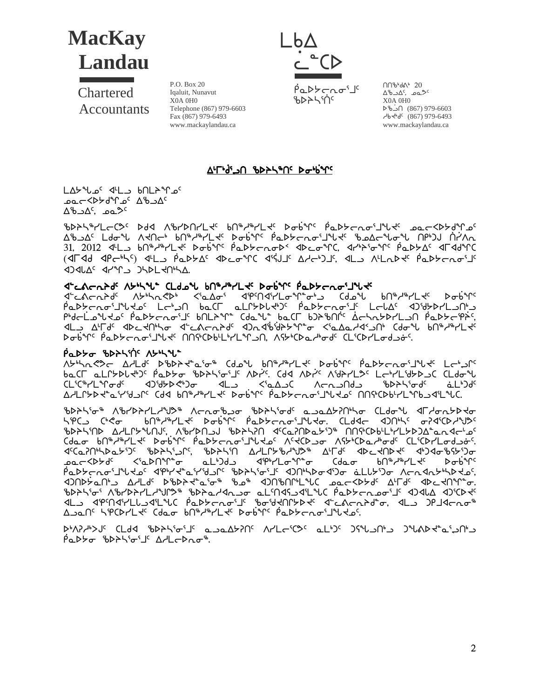

Chartered **Accountants** 

P.O. Box 20 Iqaluit, Nunavut  $X<sub>0A</sub>$   $0H<sub>0</sub>$ Telephone (867) 979-6603 Fax (867) 979-6493 www.mackaylandau.ca



በበზ ፊል 20 ∆° مه ,^∆د X0A 0H0 6603-979 (867) ∩ذ%ط  $-464$ <sup>c</sup> (867) 979-6493 www.mackaylandau.ca

#### <u>A'rd' an the Patistic</u>

LAY "Lo" <LA - bnLA "C"  $\Delta^6$ סם  $\Delta^4$ בי $\Delta^5$ 

ჼႦϷჂჄჼჄĹႠႺჂ*Ⴀ*ჂჃႻႻႿჼႻჽჀႿႹႿႵჼႻჽႹႸჁჼႿႹႿႻჽႹႿჼႻჽႹႿჼႻჽႥჽႥჽႥჽႥჽႥჽႥჽႥჽ ᠘ᡃᡃᠣ᠌᠔᠘᠂᠘ᡆᢦ᠕᠂᠕ᡕᡌᡄᡃ᠂᠐᠕ᡃᡃ᠈ᠰ᠘ᡕ᠅ᡗᢀ᠖᠅ᠰ᠅ᡗᢠ᠑ᢣᡄᡎ᠌ᡉ᠅ᡗᡳᢞ᠂᠗ᢓᡉᠴ᠘ᠻ᠂ᠾ᠈᠑᠂ᡬ᠓ 31, 2012 **ΦL** bn<sup>®</sup>d®rL de Dobine PaDbcnoDe dDconC, drbbione PaDbAe dFddnC (אך אל מיכיילי אינט אינטיינ אילוג מאכיטאי, אבט אינהגאלי ומלאכתים **IDALAS APAPLA DHALANHA.** 

#### decacabd AbhAl CLdol bN&d&Lt DobY Padbcaoint

ᠮᡆᢂᢣᡄᡊᠣᠷᡙᠱᡩᡉᡁ᠆᠂ᢏᢛᡏᠾ᠂᠀ᡊᡰᡌᢥᢂᡁ᠓ᡳ᠘ᡦᢩᡳᡐᠾ᠗ᠾ᠈<br>ᡕᡏ᠆᠀᠆ᡆᢞᢞᡳᠰᠾ᠉ᠾᢞᠾᠢᡊᡏᠾᠾᢆ᠆ᡩᡏ᠌ᡗᡆ᠅᠆᠂ᡏᢔᡙᡏᠾᡏᠾᡏᠾᡀᢣᠾᢥᢇ<br>ᡇᡄ᠋ᠰᡄᠩᠲ᠙᠌ᢉᢣ᠉ᢣᡊᡳᡐ᠖ᢆ᠆ᡩ᠖᠘ᠣ᠄᠂ᡏᢔ᠕ᡏᢥᠾᡏᠾᡐᢔ᠘ᢆ᠂ᡏᡆᢂᡁ᠖ᠾ᠉ᢣᢔ᠘ᡛ **IL A'Fd' IDCKN'Yo ILAGAAY' IDLIB'id>YA'o <'LALA'IN Cdo'Y bNiky'LK'** Dobr<sup>e</sup> Paddcas' WK การณ์ Phylling Astic and CliconLodge.

#### P <sub>α</sub> να το τη διατική και το τη

A٢٩٢٨ - A٣٢٢ - A٣٢٢ - A٣٢٠ - A٣٢٠ - A٣٢٠ - A٣٢٠ - A٣٢٢ - A٣٢٢ - A٣٢٢ - A٣٢٢ - A٣٢٢ - A٣٢٢ - A٣٢٢ - A baCL aLLYDLtbC PaDYo BDASGJS ADTS Cdd ADTS ASALLIOS LEPLSYDS CLdo U )د∆ے؟ د∟4 ہ5%ל⊀لالک ርL<sup>ና</sup>ርኈረLኍሌ<del>ሪ</del> د4∩د\_∧← ᡃ᠍᠍᠍᠊᠖᠘ᢣᢂ غدكاخ ∆ᢣᡃ᠘ᡗᢣ᠍ᢂᢣᢞᢘ᠄ᡰ᠀ᡆ᠘ᡛ᠅ᢉᡕᢀ᠂ᡁᢂ᠂᠕ᢣᡫ᠅ᢣ᠖ᢣ᠑ᢣ᠅ᠰ᠅ᢢ᠕ᢣᡫ᠖᠓ᡩ᠙᠘ᢣ᠘᠅ᠾ᠔ᠴ

ᡃ᠍ᢐᢂᢣᠲ᠍᠖᠂ᠾᢂᡁᢂ᠂ᡁᢓᢜ᠉ᡁᢂᡁᢂᠾᢂᠾᢂᠾᢂᠾᢂᠾᢂᠾᢂᠾᢂᠾᢂᠾᢂᠷ᠘ᡁ᠗ᢠ᠅ᡁᢂᡁᢂᠷ᠕ᡙᢂᠷ᠕ᡙᢂᠷ᠕ᡙ **۱**۴۹ (م ᠊᠖ᠾᡑᢣᡑᠰ᠌᠘᠊ᢋ᠂᠂᠑ᡨᢩ᠙᠘᠖᠊᠖᠊᠖ᢓᠵᡄ᠍᠘᠖᠘᠕ᢋᡄ᠂᠂᠐᠘ᡇᡄ᠂᠂᠂᠗᠕᠉ᠰᢄ᠂᠂᠖᠀ᠽᢠᢗᢂᠾ᠉ᢄ BDASMD AALLPYLAJS, ABADASJ BDASA <CaPADaYD® AASCDBLLPALYDJA°an<L'oc Cdao bnª Jª L + Dob2r PaD>cnoi J L + 0 A + CD o A + CDa L + od CL CD Ll od Jo-ᠴ᠌᠌ᠣᡄ᠆᠌<Ϸᢣď <ჼَჲᢂᠠᢡᡉ ᡆᡶᡃ᠑᠊ᠣ᠍ ᠊ᡏᢪᡃᢇᢇ᠘ᠣ᠋ᡩᢪᠥ ᢗᡂᠣ ₽U<sub></sub>ⅇ╰┧ⅇ└\୮ิ่≺‹  $D\sigma b^3$ <u>ϸᢆ</u>ҩϷ*ϒϲ*ʹϲͼ·ͿʹϞͿϞʹʹʹϤʹϸͱϒϯʹͼʹͰʹʹϤϽͿͼʹʹϐϷϡͰʹͼ·ʹͿͼʹͺϤϽͿϸϧϷͼʹϥϿͼͺͺͼʹϹͿϧʹϿͼͺͺϒϲϲϥϮϧϧϓ϶ʹͼʹ <u> A Jan' Kirakiti (dao bhi Alikiti Dobini Padtoraoi Ilidoi.</u>

Padto bdtho's Addebaot.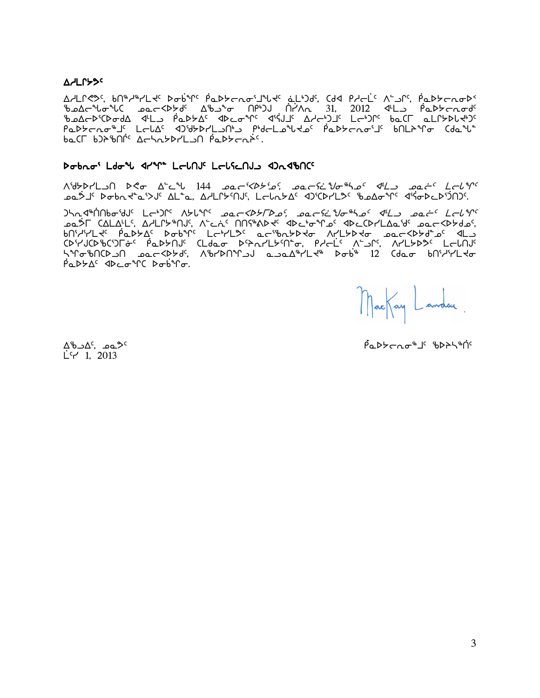#### **A** HLPSS

<u> A</u>/LՐ*ৎ*>ς bՈ®/®/L ts D o b ºՐs P a D b c n o 'l ºLt' a Ll Dds, Cdd P l c L's A L o C, P a D b c n o D s PaDYcno\$I LolA < JidYDYLJNd PidoLolddo PaDYcnoiI bNLAMo (dall baCL b)}&NN' AchabbrLan Padbcaps.

#### Dobno' Ldo'l 41m LolnJ' LolicnJ 42n4bnC'

 $\Lambda$ 'd $\forall$ Pr'L) $\Lambda$   $\Lambda$ c  $\Lambda$ 'c  $\Lambda$   $144$   $2a$ c  $\forall$ b $\forall$ ' $a$ ,  $2a$ c  $\forall$ 'c  $\forall$ 'c  $\Lambda$ 'l  $\Lambda$ 'c  $\Lambda$ 'l  $\Lambda$ 'c ᠊ᢩᠣᢆᠣᡷ᠋ᢖᢄ᠋ᢂ᠊ᠣᢂᢣ᠆ᢠ᠖ᢣ᠘ᡛᡵ᠗ᠱ᠓ᢞ᠓ᢞ᠓ᡰᠢ᠘ᢄ᠂ᠽᡉᡯᢣ᠘ᢄ᠂ᢓᡉᡗᡆᢜᠾ᠉᠘ᢄ᠈ᢖᡉ᠘ᠪ᠂ᡏ᠀

᠑ᢣ᠋ᠬ᠊ᡏᡃᢥ᠓ᡰᡉ᠄ᡃᢦ᠍ᠨ᠂᠂᠘᠆ᢣ᠑ᡤ᠂᠕ᢣᡶ<sup>ᡈ᠌</sup>ᠰ᠂*ᠣᡅ᠆ᠫᡈᢣ᠌᠌᠌ᢇᡐᢄᢌ᠖ᡔᡆᡄᡏᡄᡱᡃᠠᠣ᠍᠆ᠰᡄᢖ᠂ᡂᡠ᠌ᠻ᠂᠘᠆ᡶᡩᢊ<br>ᢅᡆᡈᠫ᠆᠂ᢗ᠘ᡶ᠘ᢩᢣ᠘ᠻ᠂᠘ᢣᡃᡄᢉᢣ᠉ᠬᠡ᠄᠂ᠱᡄᡝᡄᠷ᠂᠕᠒ᢚ᠗ᢣᢞ᠂ᢂᢂᡄᡃᠦ<sup>ᡐ</sup>ᡌᠴ᠀᠂᠗ᢄᢗᢂ᠇᠘ᡌᡆ᠈ᡟ* bnichtlach de bablach bablaich Lephlach ad als and a bactland de als ᠆᠆᠆<br>᠆۩؇ٵڮ؇ۄ؇ڮڷ؆ؖٵڮ؆؞؆ڸڂڷ؇ؖ؊ڷڂڷ؆؞؆ڔڸڮ؆ڔ؆ؖٵڮ؆ڔ<br>ٵڮ؇ۄ؇ڸڒٵڮڸ؆؞؆ڡؠؠڮڮ؆؇ؠ؊ڸڮ۩ڂ؊ۄؠڮ۩ڂ؆؞۩ڂڷٷ؆؆ۮڸػ؆ۮ  $\beta$ a $D$  $\neg$  $\Delta$ <sup>c</sup>  $\Phi$  $\Box$  $\sigma$ <sup>a</sup> $C$   $D$  $\sigma$  $\beta$ <sup>a</sup> $\Gamma$  $\sigma$ .

MacKay Landau.

 $\Delta^{6}$ ם ב $\Delta^{c}$  $L^c$  1. 2013

Padderad 's bdphing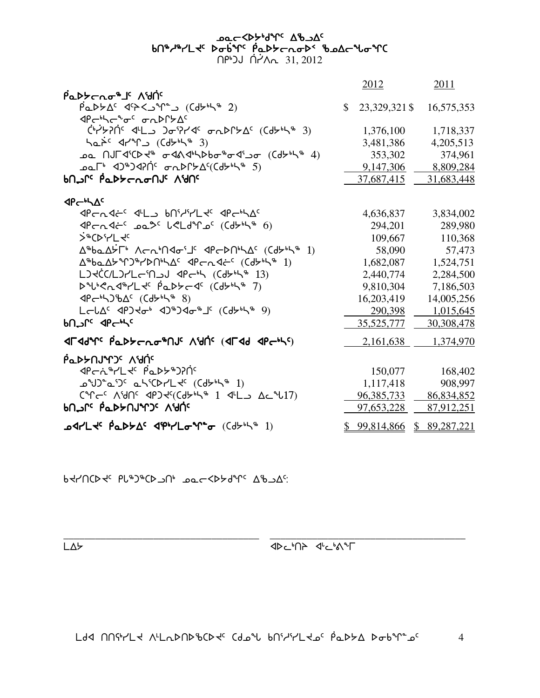\_\_\_\_\_\_\_\_\_\_\_\_\_\_\_\_\_\_\_\_\_\_\_\_\_\_\_\_\_\_\_\_\_\_\_\_\_ \_\_\_\_\_\_\_\_\_\_\_\_\_\_\_\_\_\_\_\_\_\_\_\_\_\_\_\_\_\_\_\_\_\_\_\_\_

 $L\Delta$ 

 $P$ ארק א $\nabla$ אלאס שר כאג איר האטוואל וואס בר כא

|                                                                                                                                                                                                                                                                                                                                                                                                                                                                                                             |              | <u>2012</u>   | 2011         |
|-------------------------------------------------------------------------------------------------------------------------------------------------------------------------------------------------------------------------------------------------------------------------------------------------------------------------------------------------------------------------------------------------------------------------------------------------------------------------------------------------------------|--------------|---------------|--------------|
| Padtcro <sup>8</sup> 5 Adr                                                                                                                                                                                                                                                                                                                                                                                                                                                                                  |              |               |              |
| $PaDbA^c$ $d^cA^cD^c$ ( $d^b^bA^c$ )                                                                                                                                                                                                                                                                                                                                                                                                                                                                        | $\mathbb{S}$ | 23,329,321 \$ | 16,575,353   |
| <b><p<br></p<br> The<br/> The<br/> The<br/> The<br/> The<br/> The<br/> The<br/> The<br/> The<br/> The<br/> The<br/> The<br/> The<br/>S<math display="inline">\Delta\epsilon</math></b>                                                                                                                                                                                                                                                                                                                      |              |               |              |
| <sup>(</sup> "לאלא") לילואד איליסט ב                                                                                                                                                                                                                                                                                                                                                                                                                                                                        |              | 1,376,100     | 1,718,337    |
| han <sup>2</sup> 42°C (Cd + 5 3)                                                                                                                                                                                                                                                                                                                                                                                                                                                                            |              | 3,481,386     | 4,205,513    |
| <u>᠍</u> ᠣ᠌᠒᠕᠋ᡁ᠆ᡏ᠄ᢗᢂᢣᢀ᠂ᡉᡏᡐᡏᡐᢂ᠖ᢐ᠖ᡊᡏ᠑ᡉ᠂᠐ᢉᡆᢣ᠉ᡮ᠂᠌ᡘ                                                                                                                                                                                                                                                                                                                                                                                                                                                              |              | 353,302       | 374,961      |
| ᠴ <b>ᠣ</b> ᡅ <sup>ᢑ</sup> ᠂ᢦ᠑ᠳ᠑ᢦ᠒ᡤ᠂ᡒ᠋ᢆᢆᠴᡅᢂ᠘ᡏ᠙ᢗᠿᢣᡃᡰᡪ᠍ᡃ᠂᠄᠑                                                                                                                                                                                                                                                                                                                                                                                                                                                    |              | 9,147,306     | 8,809,284    |
| <u>MANS PLASTATION ANDE</u>                                                                                                                                                                                                                                                                                                                                                                                                                                                                                 |              | 37,687,415    | 31,683,448   |
|                                                                                                                                                                                                                                                                                                                                                                                                                                                                                                             |              |               |              |
| $4P - bL$                                                                                                                                                                                                                                                                                                                                                                                                                                                                                                   |              |               |              |
| PCNAC 4LD BNILLY APCHAC                                                                                                                                                                                                                                                                                                                                                                                                                                                                                     |              | 4,636,837     | 3,834,002    |
| $4P$ Cn $4C$ <sup>C</sup> $2Q^2$ $CCl$ $4P$ $C$ $(Cd$ $5H$ $B$ $6)$                                                                                                                                                                                                                                                                                                                                                                                                                                         |              | 294,201       | 289,980      |
| >GD'-L4c                                                                                                                                                                                                                                                                                                                                                                                                                                                                                                    |              | 109,667       | 110,368      |
| $\Delta^{\mathfrak{a}}$ ba $\Delta$ לר $\mathfrak{b}$ $\Delta$ ר $\Delta^{\mathfrak{a}}$ ו $\Delta^{\mathfrak{a}}$ $\Delta^{\mathfrak{a}}$ $\Delta^{\mathfrak{a}}$ $\Delta^{\mathfrak{a}}$ $\Delta^{\mathfrak{a}}$ $\Delta^{\mathfrak{a}}$ $\Delta^{\mathfrak{a}}$ $\Delta^{\mathfrak{a}}$ $\Delta^{\mathfrak{a}}$ $\Delta^{\mathfrak{a}}$ $\Delta^{\mathfrak{a}}$ $\Delta^{\mathfrak{a}}$ $\Delta^{\mathfrak{a}}$ $\Delta^$                                                                                |              | 58,090        | 57,473       |
| Δ <sup>%</sup> baΔbM)%/bnhλΔc<br>4Pcn<br>4Cdbhh<br>1)                                                                                                                                                                                                                                                                                                                                                                                                                                                       |              | 1,682,087     | 1,524,751    |
| LJKC(L)7Lc'N JJ 4Pc'h (Cd5'h" 13)                                                                                                                                                                                                                                                                                                                                                                                                                                                                           |              | 2,440,774     | 2,284,500    |
| DubenderLte PaDScde (Cd5646 7)                                                                                                                                                                                                                                                                                                                                                                                                                                                                              |              | 9,810,304     | 7,186,503    |
| $\langle 8 \rangle$ $\langle 1 \rangle$ $\langle 1 \rangle$ $\langle 1 \rangle$ $\langle 1 \rangle$ $\langle 1 \rangle$ $\langle 1 \rangle$ $\langle 1 \rangle$ $\langle 1 \rangle$ $\langle 1 \rangle$ $\langle 1 \rangle$ $\langle 1 \rangle$ $\langle 1 \rangle$ $\langle 1 \rangle$ $\langle 1 \rangle$ $\langle 1 \rangle$ $\langle 1 \rangle$ $\langle 1 \rangle$ $\langle 1 \rangle$ $\langle 1 \rangle$ $\langle 1 \rangle$ $\langle 1 \rangle$ $\langle 1 \rangle$ $\langle 1 \rangle$ $\langle 1$ |              | 16,203,419    | 14,005,256   |
|                                                                                                                                                                                                                                                                                                                                                                                                                                                                                                             |              | 290,398       | 1,015,645    |
| <b>bn_nc</b> dp hs                                                                                                                                                                                                                                                                                                                                                                                                                                                                                          |              | 35,525,777    | 30,308,478   |
| <b>JLJJAL PLDYCUG#UR VAU. (JLJJ JPC+L)</b>                                                                                                                                                                                                                                                                                                                                                                                                                                                                  |              | 2,161,638     | 1,374,970    |
| <u>ΡάΡΑΠΙΑΙΟ</u> VAU.                                                                                                                                                                                                                                                                                                                                                                                                                                                                                       |              |               |              |
| PCC+YL+ Pady+)?N'                                                                                                                                                                                                                                                                                                                                                                                                                                                                                           |              | 150,077       | 168,402      |
| <b>s</b> J ~ a ___ a ___ a ___ (Cd __ 1)                                                                                                                                                                                                                                                                                                                                                                                                                                                                    |              | 1,117,418     | 908,997      |
|                                                                                                                                                                                                                                                                                                                                                                                                                                                                                                             |              | 96, 385, 733  | 86,834,852   |
| <u>ኮበ ነ<sup>ር</sup> የፊኮ</u> ኦበሀዣጋ <sup>ር</sup> ለህበ <sup>ር</sup>                                                                                                                                                                                                                                                                                                                                                                                                                                             |              | 97,653,228    | 87,912,251   |
| <b>᠘ᢦᡏ᠆ᡰᡄᢞ᠂ᢆᠹᡉᢂᢣ᠘ᡏ᠂ᡏᠹᡃ᠇᠘ᠣᡃᢚᡉ</b> ᠂᠐ᢙᢣᡃᡰᡪ᠅᠋                                                                                                                                                                                                                                                                                                                                                                                                                                                                  |              | \$99,814,866  | \$89,287,221 |

مص⊂≺4ح<sup>404 م</sup>لام مصححة *4*6 bበ®ሥየረደሩ ኦσ6ำራ የሚኦራሪውኦ< የማየሩ የሚ  $\bigcap P^{\bullet}$ JJ  $\bigcap P^{\bullet}$ A $\cap$  31, 2012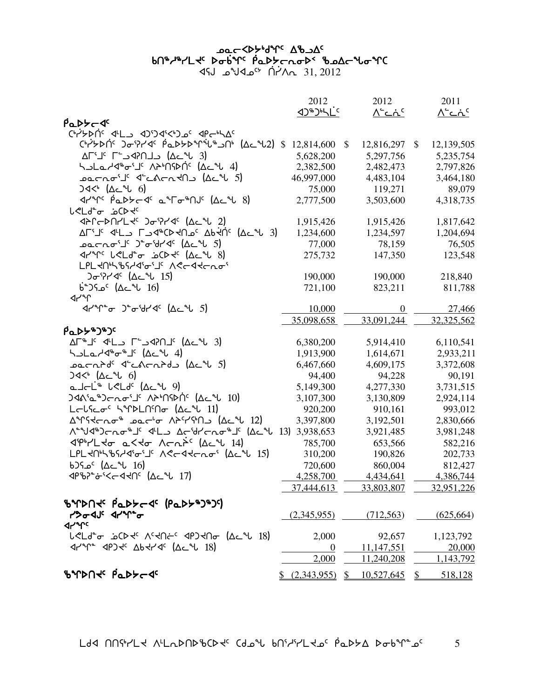## <u>አልተ</u>ረትን <sup>አ</sup>ውገራ ውስ bn\*/\*/Ltc bobyc pabbcnobs bode to YC

 $45J$   $2012$   $45^{\circ}$   $\Lambda$  $\Lambda$   $31, 2012$ 

|                                                                                                                                                                                                                                                                                                                                             | 2012             |    | 2012          |              | 2011                      |
|---------------------------------------------------------------------------------------------------------------------------------------------------------------------------------------------------------------------------------------------------------------------------------------------------------------------------------------------|------------------|----|---------------|--------------|---------------------------|
| PaDS-4                                                                                                                                                                                                                                                                                                                                      |                  |    | <u>۸-دۂ د</u> |              | $\Lambda^c$ ے $\Lambda^c$ |
|                                                                                                                                                                                                                                                                                                                                             |                  |    |               |              |                           |
| <b>Ch/&gt;DNC ) - PY4 PaD&gt;DMULL (AcM2) \$</b>                                                                                                                                                                                                                                                                                            | 12,814,600       | \$ | 12,816,297    | \$           | 12,139,505                |
| $\Delta \Gamma^{\prime} \Gamma^{\prime}$ د נוח?4 $\Delta$ 1 $\Delta$                                                                                                                                                                                                                                                                        | 5,628,200        |    | 5,297,756     |              | 5,235,754                 |
| לגביל היון מגיחקאת היביש בי                                                                                                                                                                                                                                                                                                                 | 2,382,500        |    | 2,482,473     |              | 2,797,826                 |
| اعقى المحمد المحمد المحمد المحمد المحمد المحمد المحمد المحمد المحمد المحمد المحمد المحمد المحمد الم                                                                                                                                                                                                                                         | 46,997,000       |    | 4,483,104     |              | 3,464,180                 |
| $34<^{\circ}$ (Acr 6)                                                                                                                                                                                                                                                                                                                       | 75,000           |    | 119,271       |              | 89,079                    |
| A٢٩٢ Aد٩٤٢ هـ4٣٣ مار (Δد م ١)                                                                                                                                                                                                                                                                                                               | 2,777,500        |    | 3,503,600     |              | 4,318,735                 |
| <b>ل&lt;⊔</b> 0ْت غ⊂4<                                                                                                                                                                                                                                                                                                                      |                  |    |               |              |                           |
|                                                                                                                                                                                                                                                                                                                                             | 1,915,426        |    | 1,915,426     |              | 1,817,642                 |
| ALI'I 4'L CY*CDKN 2' Abidir (Ac°U 3)                                                                                                                                                                                                                                                                                                        | 1,234,600        |    | 1,234,597     |              | 1,204,694                 |
| שפרתס <sup>י</sup> ל' ס"ס <sup>י</sup> טל< (14 ל' 5)                                                                                                                                                                                                                                                                                        | 77,000           |    | 78,159        |              | 76,505                    |
| $47^{\circ}$ $1^{\circ}$ $1^{\circ}$ $1^{\circ}$ $1^{\circ}$ $1^{\circ}$ $1^{\circ}$ $1^{\circ}$ $1^{\circ}$ $1^{\circ}$ $1^{\circ}$ $1^{\circ}$ $1^{\circ}$ $1^{\circ}$ $1^{\circ}$ $1^{\circ}$ $1^{\circ}$ $1^{\circ}$ $1^{\circ}$ $1^{\circ}$ $1^{\circ}$ $1^{\circ}$ $1^{\circ}$ $1^{\circ}$ $1^{\circ}$ $1^{\circ}$ $1^{\circ}$ $1^{\$ | 275,732          |    | 147,350       |              | 123,548                   |
| LPLKNKBSAJGSLG ACCJKCLOS                                                                                                                                                                                                                                                                                                                    |                  |    |               |              |                           |
| ) <sub>σ</sub> 524 (∆∟"ს 15)                                                                                                                                                                                                                                                                                                                | 190,000          |    | 190,000       |              | 218,840                   |
| J <sup>3</sup> − (∆د <sup>م</sup> لا ) مک                                                                                                                                                                                                                                                                                                   | 721,100          |    | 823,211       |              | 811,788                   |
| ⊲়∽∩                                                                                                                                                                                                                                                                                                                                        |                  |    |               |              |                           |
|                                                                                                                                                                                                                                                                                                                                             | 10,000           |    | $\Omega$      |              | 27,466                    |
|                                                                                                                                                                                                                                                                                                                                             | 35,098,658       |    | 33,091,244    |              | 32,325,562                |
| <b>PaDS&amp;J&amp;Jc</b>                                                                                                                                                                                                                                                                                                                    |                  |    |               |              |                           |
| AF#J' 4'L C'SCAPL' (Ac4U 3)                                                                                                                                                                                                                                                                                                                 | 6,380,200        |    | 5,914,410     |              | 6,110,541                 |
| ᢣ <b>ᠵᡄᢦᢣᡏ</b> ᡃᢛᡑᡃᡌ᠂᠘ᡄᠰ <i>ᡆ</i>                                                                                                                                                                                                                                                                                                           | 1,913,900        |    | 1,614,671     |              | 2,933,211                 |
|                                                                                                                                                                                                                                                                                                                                             | 6,467,660        |    | 4,609,175     |              | 3,372,608                 |
| $34<^{\circ}$ $(\Delta \subset ^{\circ}$ 6)                                                                                                                                                                                                                                                                                                 | 94,400           |    | 94,228        |              | 90,191                    |
| صاحك ل<15 (∆د 1⁄2)                                                                                                                                                                                                                                                                                                                          | 5,149,300        |    | 4,277,330     |              | 3,731,515                 |
| <b>) &lt;λ'α") c ασ' " ΛΑ" ΠΩΡ' (Δε" 10)</b>                                                                                                                                                                                                                                                                                                | 3,107,300        |    | 3,130,809     |              | 2,924,114                 |
| LOLSCOC KIPDLNMO (ACL 11)                                                                                                                                                                                                                                                                                                                   | 920,200          |    | 910,161       |              | 993,012                   |
| Δ <sup>α</sup> ΓςΚσησ <sup>ω</sup> Φασ <sup>ι</sup> σ Λλ <sup>ρ</sup> Υφη (Δε <sup>α</sup> ί 12)                                                                                                                                                                                                                                            | 3,397,800        |    | 3,192,501     |              | 2,830,666                 |
| Λ <sup>εη</sup> 13) 3,938,653                                                                                                                                                                                                                                                                                                               |                  |    | 3,921,485     |              | 3,981,248                 |
| <b><i>SPHL Jo aKJo Arni<sup>c</sup> (Act 14)</i></b>                                                                                                                                                                                                                                                                                        | 785,700          |    | 653,566       |              | 582,216                   |
| LPLKNNbSHd'0'J' ACCdtcn0' (Ac"L 15)                                                                                                                                                                                                                                                                                                         | 310,200          |    | 190,826       |              | 202,733                   |
| J 16) ^عد (∆د <sup>س</sup>                                                                                                                                                                                                                                                                                                                  | 720,600          |    | 860,004       |              | 812,427                   |
|                                                                                                                                                                                                                                                                                                                                             | 4,258,700        |    | 4,434,641     |              | 4,386,744                 |
|                                                                                                                                                                                                                                                                                                                                             | 37,444,613       |    | 33,803,807    |              | 32,951,226                |
|                                                                                                                                                                                                                                                                                                                                             |                  |    |               |              |                           |
| <b>ზΥΡΠΚ PLPSCA (PLPS+)+JC)</b>                                                                                                                                                                                                                                                                                                             |                  |    |               |              |                           |
| medic drive<br><b>Jrue</b>                                                                                                                                                                                                                                                                                                                  | (2,345,955)      |    | (712, 563)    |              | (625, 664)                |
| L <ld-σ <u="">ώCD τ<sup>ς</sup> Λ<sup>ς</sup> Κης (Δρ) τη σ<sup>1</sup> (Δρ) 18)</ld-σ>                                                                                                                                                                                                                                                     | 2,000            |    | 92,657        |              | 1,123,792                 |
| $47^{\circ}$ $4934^{\circ}$ $46474^{\circ}$ $(42^{\circ}$ $18)$                                                                                                                                                                                                                                                                             | $\boldsymbol{0}$ |    | 11,147,551    |              | 20,000                    |
|                                                                                                                                                                                                                                                                                                                                             | 2,000            |    | 11,240,208    |              | 1,143,792                 |
| <b>ზ</b> ትቦንበሩ Pap>←<                                                                                                                                                                                                                                                                                                                       | (2,343,955)      | S. | 10,527,645    | <sup>S</sup> | 518,128                   |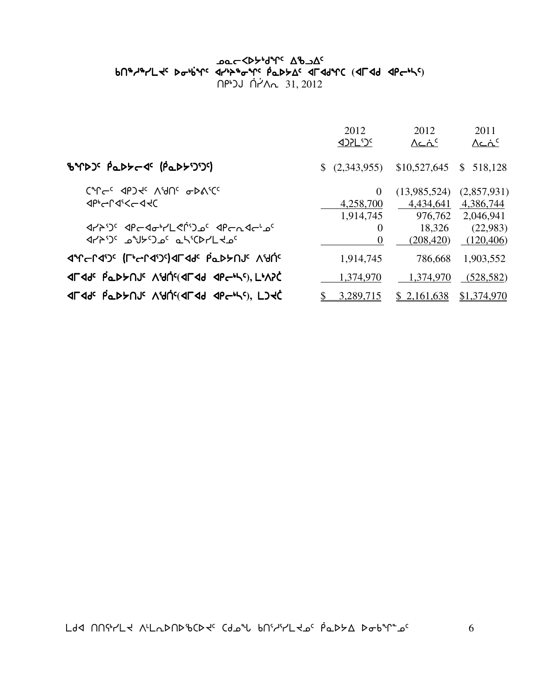#### שפ⊂≺γ<sub>ף</sub>גע<sub>ל 7</sub>7 שפ⊂ vt6h6ymJ5si4`vq5 xy4p6iq5 `rNs/w5 xuxfqb si4`vq5 xy4p6iq5 `rNs/w5 xuxfqb **(**xuxf xro4n5**)**  $\bigcap P^{\circ}$ JJ  $\bigcap P^{\prime}$ A $\cap$  31, 2012

|                                                                  | 2012<br><b><br/> 12PL101</b>            | 2012<br>$\Lambda$ c $\Lambda$ <sup>c</sup> | 2011<br>$\Lambda$ c $\Lambda$ <sup>c</sup> |
|------------------------------------------------------------------|-----------------------------------------|--------------------------------------------|--------------------------------------------|
| BYDJ' PaDYC (PaDYJJ')                                            | (2,343,955)                             | \$10,527,645                               | $\mathbb{S}$<br>518,128                    |
| CM <sup>C</sup> C JPJ TC VAUC QDVICC<br><b>ぐんしょくしょく</b>          | $\overline{0}$<br>4,258,700             | (13,985,524)<br>4,434,641                  | (2,857,931)<br>4,386,744                   |
| JYA') <sup>6</sup> JPGJo'YL < PO JPG APGAJC'<br>JYAU CHUNG CHULL | 1,914,745<br>$\theta$<br>$\overline{0}$ | 976,762<br>18,326<br>(208, 420)            | 2,046,941<br>(22,983)<br>(120, 406)        |
| <b>JAC-LJS (LPS-LJS)JLJ92 bTPS-DPS-UP</b>                        | 1,914,745                               | 786,668                                    | 1,903,552                                  |
| <b>ALAGE PODEULE VAULEDATE ADCATE.</b>                           | 1,374,970                               | 1,374,970                                  | (528, 582)                                 |
| <b>ALAGE POPAUR VAUCALAA APGACI FISAC</b>                        | 3,289,715                               | \$2,161,638                                | \$1,374,970                                |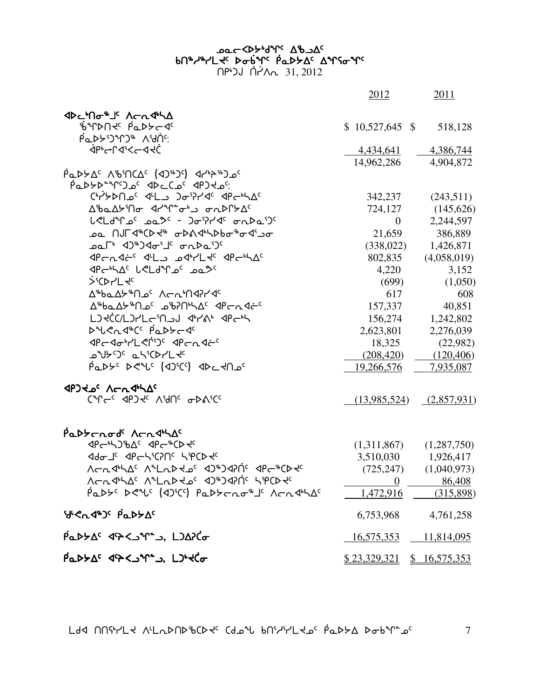## שפ⊂<βא<sub>ו</sub>א<sub>ל</sub> קא<sup>ס</sup> bበ<sup>ቈ</sup>ሥLሩ ኦσե<sup>٬</sup>Ր የጌኦኦΔ<sup>ϲ</sup> Δϓናσϓ<sup>ϲ</sup>

<u>በየነጋሀ በ</u>ለአ<sub>ባ 31, 2012</sub>

|                                                                                                                       | 2012                                                                                                                   | 2011        |
|-----------------------------------------------------------------------------------------------------------------------|------------------------------------------------------------------------------------------------------------------------|-------------|
| <b>ଏ</b> ⊳∟'∩⊶'' ∧⊂∿∜\∆                                                                                               |                                                                                                                        |             |
| ₿ªՐϷႶᡧ᠂ <i>ჼ</i> ҩϷϷϲ⋖ <sup>ϲ</sup>                                                                                   | $$10,527,645$ \$                                                                                                       | 518,128     |
|                                                                                                                       |                                                                                                                        |             |
| <b>ぐらしつぐらく</b>                                                                                                        | 4,434,641                                                                                                              | 4,386,744   |
|                                                                                                                       | 14,962,286                                                                                                             | 4,904,872   |
| $\overline{P}$ م (45*10 /29*10) م (45*10) م (45*10) م                                                                 |                                                                                                                        |             |
| Parrelle and de Carrelle                                                                                              |                                                                                                                        |             |
| Ch/YDN26 4L2 Jo9746 4Pch/AC                                                                                           | 342,237                                                                                                                | (243,511)   |
| Δ%αΔ <del>b</del> 'Πσ <l<sup>2'Γ'σ' ση ΦΩΓbΔ<sup>ς</sup></l<sup>                                                      | 724,127                                                                                                                | (145,626)   |
| L <ld"loc -="" 002="" 0nda="" 15<="" 20774="" th=""><th><math>\overline{0}</math></th><th>2,244,597</th></ld"loc>     | $\overline{0}$                                                                                                         | 2,244,597   |
|                                                                                                                       | 21,659                                                                                                                 | 386,889     |
| <b>ے 2<sup>6</sup> 40°340</b> ' 000 10°45                                                                             | (338, 022)                                                                                                             | 1,426,871   |
| PERSE PHALL APENA                                                                                                     | 802,835                                                                                                                | (4,058,019) |
| Proble Leldense part                                                                                                  | 4,220                                                                                                                  | 3,152       |
| <b>SECALL FC</b>                                                                                                      | (699)                                                                                                                  | (1,050)     |
| <b>AªbaA</b> ⊁ªNم٬ A⊂nªN4PY4                                                                                          | 617                                                                                                                    | 608         |
| Δ <sup>®</sup> baΔ <sup>y®</sup> Na <sup>c</sup> a®PNºSΔ <sup>c</sup> <lpcn<lc<sup>c</lpcn<lc<sup>                    | 157,337                                                                                                                | 40,851      |
| LJKCC/LJYLG'N_JJ 47'A' 4PG'H                                                                                          | 156,274                                                                                                                | 1,242,802   |
| DUCATEC PaDS-JC                                                                                                       | 2,623,801                                                                                                              | 2,276,039   |
| PGAGHLSM'S APGAAG                                                                                                     | 18,325                                                                                                                 | (22,982)    |
| ᠴ᠋ᢞᡃ᠑᠋ᡕ᠂᠋᠋᠋ᡆ᠘ᢞᢈ                                                                                                       | (208, 420)                                                                                                             | (120, 406)  |
| Padys DRUS (10)SCS) 1DC-100S                                                                                          | 19,266,576                                                                                                             | 7,935,087   |
|                                                                                                                       |                                                                                                                        |             |
| CAL COST VAUC ODVICC                                                                                                  | $(13,985,524)$ $(2,857,931)$                                                                                           |             |
|                                                                                                                       |                                                                                                                        |             |
| Padterode Acription                                                                                                   |                                                                                                                        |             |
|                                                                                                                       | (1,311,867)                                                                                                            | (1,287,750) |
| <b>In the Section of the Section of the Section Section Section Section Section Section Section Section Section S</b> | 3,510,030 1,926,417                                                                                                    |             |
| YCU JPY JPYCAL VALUTAS VALO AS                                                                                        | (725, 247)                                                                                                             | (1,040,973) |
| Λ⊂∿۹ <sub>°</sub> Υν Λ°ΓΎΡΑΡς Α) <sub>®</sub> )Ας <i>Ρ</i> άΓΡΑς                                                      | $\frac{0}{\sqrt{1-\frac{1}{2}}}\frac{1}{\sqrt{1-\frac{1}{2}}\sqrt{1-\frac{1}{2}}\left(\frac{1}{2}-\frac{1}{2}\right)}$ | 86,408      |
| Padys Deris (10)scs) Padycho#Js AchdrhAs                                                                              | 1,472,916 (315,898)                                                                                                    |             |
| <b>SUCASO PADYA</b>                                                                                                   | 6,753,968 4,761,258                                                                                                    |             |
| PaDYAS << "Y", LJAPCo                                                                                                 | $\frac{16,575,353}{11,814,095}$                                                                                        |             |
| PaDYAS <> << < < < LD+<<                                                                                              | <u>\$23,329,321</u> \$16,575,353                                                                                       |             |

 $L$ dd NNith Alladndigad Cdoil bhilithol podintal dooning  $7$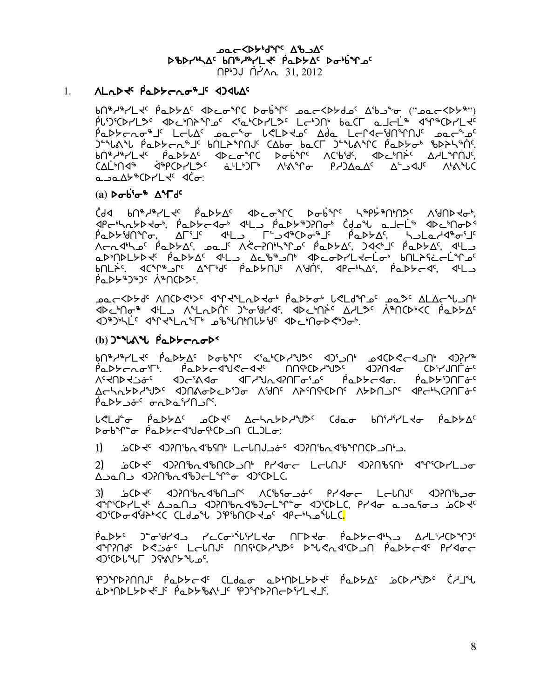**DOC-SPYBILE AB DAC** DBDrULAC bn&l&LLtc PaDSDC Dobinoc <u>በピンJ በ</u><br>
1.2012

#### ALLD + PLDS CLOSS ADJULA  $1.$

PL'J'CDYL>C <DC'NAºLoC <'a'CDYL>C LC')N' baCL alcL'" <VP"CDYL+C Paddrog lands and the Capto and the Capton and the Capton and the Capton Padde ) " " « " φαιλεσι" της " και της " της " της" και της της και της " bn<sup>®</sup>d®rLd<sup>c</sup> Padda' ddcomC Dobim ΛCBids, ddcbnic ΔALMNJs, <u>CALINA®</u> dispCD-L2C duling NAMC P-DADAC ASSAUC NAMC ື່ອີງອີໃຊ້ນາ dČີ

#### (a)  $\triangleright \sigma \dot{\mathtt{b}}^s \sigma^s \Delta^s \Gamma d^c$

Cdd bn&\&\L\c bob>Qc dDco&C Dob\C K&b>&UND>c VaUDYQ, 1P-hathd-, Padt-10 1L Padt+DRO- Cdou al-L" 1D-hot ٬<br>Acht de la Chine (La Chineanne André) And Chine (La Chine de la Chine de la Chine de la Chine de la Chine de<br>Acht de la Chine (Chine de la Chine de la Chine de la Chine de la Chine de la Chine de la Chine de la Chine d aDMDLYD + PaDYA +L AcD+ ON +DcoDYL+-Lo+ bnLASc-LM2 <u>ΔΑΓΆΣ ΑΙΑ ΔΑΓΑΣ Α</u>ΦΑΡΟΝΑ ΛΑΦΟΝΑ ΑΡΕΡΑΣΑ ΑΦΑΡΑΣ ΑΓΙ  $\overline{P}aD P^*D^*D^c$   $\Lambda^*DCD^c$ 

coc<bb٩، ١٩٩٧-١٩، ٩٩٩-١٩-١٩-١٩، ٩-١٩-١٩، ١٩-١٩-١٩، ٥٥-١٩، ١٩-١٩-١٩، ٥٥-١٩-١٩، ١٩-١٩-١٩، ٥٥-١ จาะวะปี จำงาน และ อะมาเป็นส่ง จะปี จะปี จะมี

#### $(b)$ )<sup>-1</sup>6<sup>1</sup>  $\mu$ <sub>1</sub>  $\mu$ <sub>1</sub>  $\mu$ <sub>2</sub>  $\mu$ <sub>2</sub>  $\mu$ <sub>5</sub>

**φυμηκης φσρλίν**ε ραρμίς <ισης <υς <υς φυρικος φορφος φυρικος φυρικο PODYCLOTE PODYCAYCCATE UUCALARE ADIUAL CARVULO'S ᢝᢋ᠐ᡖᢋᢣᡠ*ᡕ᠂᠂*ᡆ᠑᠆ᡷᡧᡏᢁ᠃᠂᠂᠂᠕᠆ᢠ᠕ᡏ᠕᠘ᡇ᠕᠘ᡛ᠉᠐᠆ᡩ᠅᠅᠖᠂ᢠ᠖᠘ᢓᢠ᠅ ΔΕΑΛΑΡΑ<sup>Α</sup>ΨΟ<sup>ς</sup> ΦΟΛΑσΡΕΡΏΦ ΛΉΝ<sup>ς</sup> ΛΑΜΜΟΝ ΛΑΡΟΛΟΜΟ ΑΚΑΡΑΟΠΕΦΟ 

L<Ld- PaD>AC oCD << AChADD+VD< Cdao bnidirLdo PaDDAC ᠫᡉᡑ᠋ᢥᡗ᠋ᡱᠥ᠂ᢆᢆᠹᢩᡅᢂᢣᡄᡏ᠋ᡭᡃᢦ᠖ᡩᢗᢂᠴ᠓᠂ᢗᡶ᠑ᡶᡉ᠋

2) 6CP-4G 4DPN bo4bNCP-9Nt Pr4o-c L-LNJG 4DPN6SNt 4MGPrL-90 A 2010 1220 A 220 A 2010 L 40 A 2010 L C.

ᡄᢂᡗᢉᡬᢦ᠆᠈ᡫ᠓ᡰᢖ᠆ᢞ᠂᠆ᡘᢗᢂ᠉ᢇ᠅᠆᠂ᡗᢗᡫ᠉ᠴᡆᠻᡁᢄᢣᡏᢃᡆᡫ 3) diriCDr'Lt' A and dirnibadboclinto direble, prido a safos is CDt' **Prince CLd JPinCD Journan's CLO** 

ᠹ᠍ᡆᢂᢣ᠌ᡏ᠂᠗᠆ᢆᠣ᠙ᡰᢃ᠆᠃᠂ᡕᡄᢗᠣ<sub>ᡃ</sub>᠅ᡶᡁ᠘ᢋᠣ᠃᠐ᡁᢂᢋᠣ᠃ᢆᠹᡆᢂᢣᡄ᠊᠍ᡧᢂ᠉᠂᠂ᢕ᠘᠈ᡶᢉ᠖ JAYAI DRISA LENI NUGCDYYD DYRAJCD N PLAYER PYJOE **In AlayCount State State** 

ΈΡΟΥΡΑΠΠΟΥ ΡΑΔΕΣΚΑ CLda.or αδρηση της Αστελής το σελληθες CALIN àDʰNDLYD√SLƘ PèQDY%NŀJS ˤP)ªſD?NdDˤr'L√JS.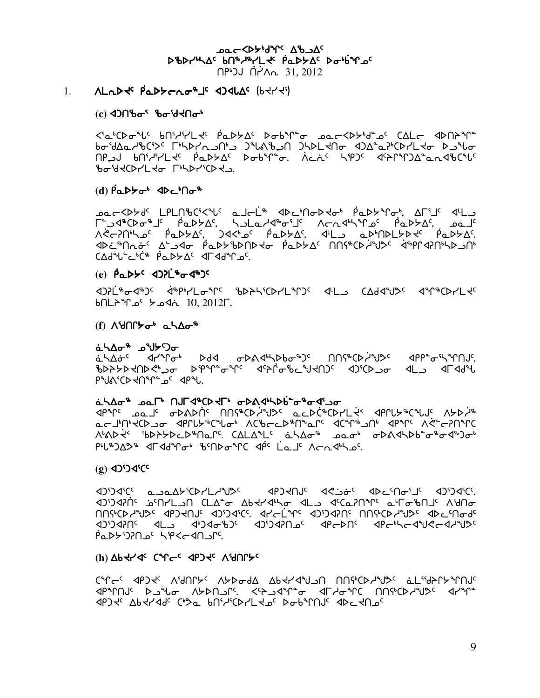**POCCYPAAL SUPANC** DBDrULAC bn&l&LLtc PaDSDC Dobinoc በቦ•ጋJ በረለ<sub>ባ 31,2012</sub>

#### $1.$ **ALAD & Padders's didne (phyri)**

#### $(c)$   $4$ ) $\cap$  $b\sigma$  $s$   $b\sigma$  $s$  $d\prec$  $\cap$  $\sigma$  $s$

 $b\sigma^{5}d\Delta\alpha\gamma^{4}b^{(5)}^{(5)}\Gamma^{5}b^{1}d\Delta\gamma^{1}d\Delta\gamma^{1}d\Delta\gamma^{1}d\Delta\gamma^{1}d\Delta\gamma^{1}d\Delta\gamma^{1}d\Delta\gamma^{1}d\Delta\gamma^{1}d\Delta\gamma^{1}d\Delta\gamma^{1}d\Delta\gamma^{1}d\Delta\gamma^{1}d\Delta\gamma^{1}d\Delta\gamma^{1}d\Delta\gamma^{1}d\Delta\gamma^{1}d\Delta\gamma^{1}d\Delta\gamma^{1}d\Delta\gamma^{1}d\Delta\gamma^{1}d\Delta\gamma^{1}d\Delta\gamma^{1}d\Delta\gamma^{1}d\$ **NPSJ PULLY PODER DEPTE.** VEN' SPI' JEN'DA LABCU' bobdeCDALda LiPDAiCDAD.

#### 

**٢**٠-٥٩٠ - ٩٠-٩٩٧ - ٩-٩٠ - ٩-٩٠ - ٩-٩٠ - ٩-٩٠ - ٩-٩٠ - ٩-٩ - ٩-٩ - ٩-٩ - ٩-٩ - ٩-٩ - ٩-٩ - ٩-٩ - ٩-٩ <u> ٨ ز-١٩٢٤ - ١٩٢٧م، ١٩٢٧م، ١٩٢٨م، ١٩٢٧م، ١٩٢٨م، ١٩٢٨م، ١٩٢٨م، ١٩٢٨م، ١٩٢٨م، ١٩٢٨م، ١٩٢</u> <u> ϤϷϲʹ<sup>ͼ</sup>Ⴖϲ</u>ᡠ<sup>ϲ</sup>ͺϪʹͺϽϤϭͺͺϳϷͼϷͰʹϐϷႶϷϞϭͺͺϳͼͼϷϟϪͼͺͺႶႶϚͼϹϷ͵Ϥ·ϢͻͼͺͺϥͼϼϻϥϡϻͼϧϷͺͻႶͼ  $C\Delta d^4L^2L^6$   $\dot{\theta}$   $D\theta L^2$   $C\Delta d^4L^2L^6$ 

#### (e)  $\beta a b b^c$  <a>

d)?L`\$od\$)C d`\$P\$YLofC \$DASCDYL`T)C dL\_J CAdd`JDC d`T`\$CDYL+C Joh. 10, 2012Γ.

#### $(f)$  Aidnet  $\sigma^*$  and  $\sigma^*$

<u>å\∆ل</u>° م^\ر

<u>غ</u>ـ54<del>۰ مارامه ماره مله مراد مراد به مراد مراد به مراد می در می در مراد به مراد به مراد مراد به مراد مراد به مر</del> ᡃᢧᢂᢣᢣᢂᡁ᠑᠅᠆ᡆ᠀᠑᠈᠙ᠾ᠅ᡒᢥ᠅᠂ᢞᡗᢜᡉᡙ᠅᠕ᢌᡃ᠗ᠱ᠀᠃᠗ᢣ᠀ᡧᡗ᠗ᢣ᠀ᠽᡗᢣ᠍ᡘᢀ PUN'CD TOUT OF APUL

#### ᡠᡃᡪᡌᡆ<sub>ᡑ</sub>᠂ᢦᢦᢕ᠂᠐ᠾᠽ᠕ᡁ᠘᠂᠂ᡇᢂᠰᢂᠾᠾᢆᠴ

P<sup>a</sup>r<sup>c</sup> <sub>p</sub>o\_l<sup>c</sup> obs\pnc nnf\*Cbd\*J^c acpC\*CbrL+< dprlb\*C\*UC spbd\* محالها الأحرك على العلامية الأسلام المستمر المستمر المستمر المستمر المستمر المستمر المستمر المستمر المستمر الم ٨١٨٥-٩ ٩٧-٩١٥-٩١٥-٩١٨ ١٧٠١ ١٩٢٥-٢٠ ٢٨١٥-٢٠ ٥-٩٨٥-٩١٥-٢٠ ٢٨٨٥-٢ PL&JA2& drad&r &ndo&r apc Lauc Arnakhos.

#### $(g)$  4)<sup>5</sup> 4<sup>(c)</sup>

1999 - 1999 - 1999 - 1999 - 1999 - 1999 - 1999 - 1999 - 1999 - 1999 - 1990 - 1990 - 1990 - 1990 - 19 ᡕ᠑ᡕ᠑ᡕ᠄ᡁᢞᠾ᠂ᡱ᠗ᡁ᠆ᡁ᠆᠐᠂ᢗᡌᢠᢁ᠂ᡘᢥᡐᢣᡒ᠂ᡘᡌᠴ᠂ᡏᡏ᠖ᡙ᠈ᡥ᠂ᡆᠾᢄᡳ᠐ᠾ <u> MUACDS SANAS ADSCANTE AN ANGLIA ADDRIBOS SANAS ADCAUS SANASINU</u> 105/2471 AL 4674067 47674710 4PCDNC 4PC-402919 <u>.14 -14 ->14 -1467140 146</u>

#### (I) APSLSC Colec SbJSc VAULEC

June designed as a mander and the correct and the correct of the correct of the correct of the Car C **᠂ ٩/ ٩/٢٧ - ١٩/٩٧ - ٩/٢٧ - ٩/٣٥ - ١٩/٥ - ١٩/٩٧ - ٩/٩٧ - ٩/٩٧ - ١٩/٩٥ - ١٩/٩٧ - ١٩/٩٧ - ١٩/٩٧** 10) לכ 1947 לאך כולאס 1914, כולא הוא לעול לא היה לא היה לא היה לא היה לא היה לא היה לא היה לא היה לא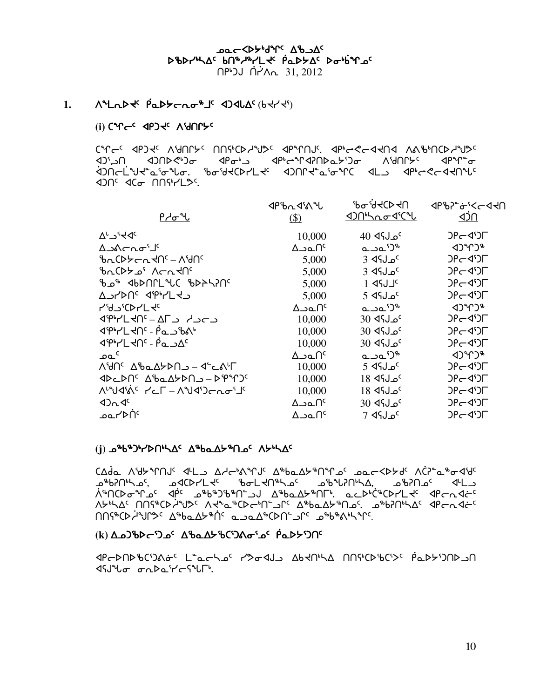**Dac <Dybdirr Ab SAC** DBDrULAC bn&wLtc PaDSAC Dobinac በピン በረገላሉ 31,2012

#### ᠕ᠰ᠘᠘ᢂᢞ᠂ᠹ᠍᠍᠊ᡌᢂᡔᡄᡊᢁᡒ᠊ᡀ᠂ᢦ᠑ᢦᡌᢗᡕ᠙᠙ᡰᠢ᠆ᢣ  $1.$

#### (i) CAUCC AbJAC VAUULC

CALLE AbJAE VAULAE UUGCDLAALE AbalUNE Abpt SLAHU VVPPUCDLAALE ᢦᢧ᠄ᢣᡅ᠁᠀ᡖ᠅ᢣ᠓ᡰᡠ᠉ᢣ᠑ᡒ᠂᠂ᡘᡛᢛᡫ᠉ᡉ᠃ᢦ᠙ᢣᡐ᠓ᡔ᠑ᠣ᠅ᡐᡐ᠓᠘ᢣᠻ 

| ᠙ᡔ᠋ᡃᠣ᠊ᠰ                               | $4PbA4^c$<br>$($)$      | ᡃ᠍᠍᠍᠍᠖ᡒ᠖ᢞ᠑<br><b><br/> 12011/hhod's</b> | <b>⊲</b> مـ≻,≎⊸دطح∪<br>⊲วั∩    |
|---------------------------------------|-------------------------|-----------------------------------------|--------------------------------|
| $\Delta^L$ ے $A_c$                    | 10,000                  | <sup>0</sup> مـلף4 40                   | $DF = 30$                      |
| <sup>ال∙</sup> ¤∩∼∆د∆                 | ∆౨௳∩ౕ                   | പാ⊾'ఎ"                                  | $(1)^n$                        |
| ᡃᡃᡃᢆᠤᢗᢂᢣᡄ᠍᠘ᡪᢂ                         | 5,000                   | $3$ dfJ $\alpha$ <sup>c</sup>           | $DP - Q^{\circ}$               |
| <u>brCDA of</u> Acrylls               | 5,000                   | $3$ dfJ $_5$                            | $DP - Q^c$                     |
|                                       | 5,000                   | $1$ $45J1$                              | $DPC4^5$                       |
| A JYAUS APAYLY                        | 5,000                   | 5 ⊲مل؟4                                 | $DP - Q^c$                     |
| <b>4'4J'CDr'L <del>d</del>e</b>       | ∆౨௳∩ౕ                   | പാ⊾'ఎ"                                  | くつしんしゃ                         |
| <u>JPPYLKNS – AF JRUPP</u>            | 10,000                  | <sup>0</sup> مـل¶4 30                   | $DP - Q^c$                     |
| <b>JPHLING - PanBAP</b>               | 10,000                  | <sup>5</sup> مـل؟4 30                   | $DPC4^5$                       |
| $\frac{1}{2}$                         | 10,000                  | <sup>5</sup> مـل؟4 30                   | $DP - Q^c$                     |
| ے م                                   | ∆౨௳∩ౕ                   | ചചി്                                    | $4$ ) $^{\circ}$ r) $^{\circ}$ |
| Λ'dՈ <sup>ς</sup> Δ'baΔלΣΟΛ - 4' CA'Γ | 10,000                  | $5 \,$ ل $\sim$ 5 $^{\circ}$            | $DP - Q^c$                     |
| ⊲▷⊂▷∩←∆₿ឹФ₹≻₽∪⊃−▷₿₩)                  | 10,000                  | 18 ⊲د 18                                | $DPC4^5$                       |
| <u> ለსუქრკი   საქალობული ა</u>        | 10,000                  | 18 ⊲د 18                                | $DPC4^5$                       |
| 42n4c                                 | $\Delta$ ےم $\Omega^c$  | <sup>0</sup> م ل∫\$ 30                  | $DPC4^5$                       |
| <sup>ە</sup> ∩⊄∕∟ەم                   | $\Delta$ ےم $\Lambda^c$ | <sup>0</sup> مـل؟4 7                    | $DP - Q^c$                     |

#### (i) εθθ<sup>ρ</sup>ληληθημας ΔεραΔΣευσε ΛΣεμας

CAda Aidbirnus dilla Adelantis Ailba Abinnas pacestale ACP ailordide ᢛᡃ᠀᠐ᠰ᠗᠂᠂ᡆ᠘*ᢣ*᠓ᢣ᠘ᢣᡆ᠖᠂᠈ᡖ᠘ᢣ᠓ᢀᠰᡆ᠖᠂᠈ᡖ᠗ᠬ᠓᠉ᢣ᠘ᢢ᠗᠘᠅ Λ<del>Υ</del>ΝΔς ΠΠና<sup>φ</sup>ΟλίνΙ»ς ΛΚΆΔ «ΟΚΗΛΈ Τις ΤάΡΡΤΩ<del>λ</del>ευτος Το<sub>θ</sub>ΡΟΙΗΛΩς αβΕυτας.  $\Lambda$ 

#### ικ) Δρ)ზϷς <sup>ͻ</sup>λο<sup>ς</sup> ΔზρΔ<del>Σ</del>ზርΏΔσ<sup>ι</sup>ος Ροβζολ

**MCPANAPGIONSC L C C CASCAL APTILITY INGLISHED CONTROLLED ISULE GAPLICATE.**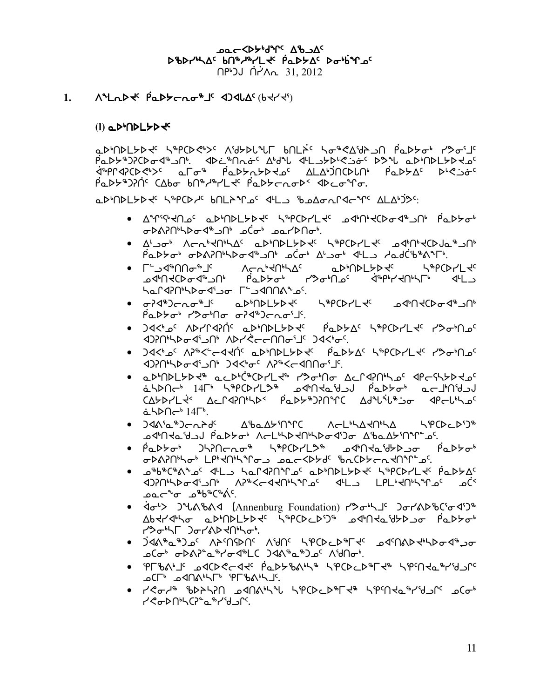**POC <DA, 9 July 4/2 DOC** DBDrULAC bn&wLLtc PaDSAC Dobinac

በピンJ በረለ<sub>ባ 31,2012</sub>

᠕ᠰ᠘᠘ᢂᢣᢓᢄ᠂ᠹᡉᢂᢣᡄ᠍᠘ᡐᡑ᠊ᡀ᠂ᢦ᠑ᢦᡌᢗᢎ᠙᠀ᢋᡃᡪ᠅  $1.$ 

 $(l)$  a  $D^b$  $D$  $L$  $D$  $Q^c$ 

aDMDLYDJSS SAPCDCWSS AWYDLLL BULISS SOMCAWYON PaDYON PYOFIS PaDY#J?CDo4#JN: <Di#Nao<A'd"L<br <><<>> ᡏᡃᢛᠾᡧᢋᡗᢗᢂᡩ᠈ᡕ᠂ᡦ᠊ᡛᢁᡒ᠂ᡁᡊᢣ᠀ᢣᡏ᠀ᡕ᠀ᡳᢂ᠓ᠻ᠓ᡗ᠓ᡗ᠓ᡗ᠓ᡗ᠓ᡗ᠓ᡗ᠅᠕ᡧᡗᢣᡇ β⊾▷৮Ზ)?Ո⊆Հ∆bơ bՈᲖ<del>/</del>ᲖץLे<del>\</del>⊆ β⊾▷৮়∩σ▷≦ ∢▷⊆σᲖՐσ.

aDMDLGDd<sup>e</sup> S&PCDde bNLAque dylu shaagarddare ALAWSC:

- Δ<sup>۹</sup>Րՙና<sup>៲</sup>ՎՈ൧<sup>৻</sup> ҩϷ<sup>៲</sup>ႶϷĹ*ᡃ*ͻϷϞ<sup>ϲ</sup> ᢣჼዖርϷϲʹĽϞʹ ϼϥͱႶͱϞϹϷϭͻϥჼ·ϽͶ·ͺϼͼϷϡϘͱ ᠣᢂ᠕᠕ᡃᠰᢂᡉᡏᡑ᠘ᠾ᠂ᠴᢗᡠᡃ᠂ᠴᠣ᠘ᢂᡆᡃ
- Δ'-Ja, VCV,4U,7Vc σD,UDFADAc Z#bCDLFAc JQ,U,4CDJ0,2JU, Padtb&APF Chapter Alor 4L AdditeAPF.
- <u> ACU, YU, YE V AD, YE YANTAR</u> ● ୮<sup>∽</sup>⊃⊲®∩∩~®⊥° <sub>᠊</sub>᠘ᢦᡃ᠒᠊ᡪᢗᢂᡆ᠀᠂ᡁ᠉ᡆᢂᡁ᠗ᠻ᠂ᢆ᠗ᢆ᠂᠀ᢆᡒᢄᠾ᠗ᠻ᠅᠗ᢠ᠀ᢣᡏ᠗ᢞᠾ᠘᠑ har420thbodipo rudnatos.
- ৽ ᢦ᠊᠍ᠡᢃᠰ᠑ᡄ᠘᠊ᡐᡎ᠋᠘ᡛ᠈᠕ᢂ᠘ᢣ᠑ᢣᡏ᠁᠂᠂ᢐᢂ᠐ᢣᢗ᠘ᢣᡆ᠀᠆᠈ᡫ **PٔaD۶ (2014)** - PٌaD۶ (2014)<br/>רתסי
- ) d< υδΥΓΑΡής αριΠρΕΣΑΚς βαρΣΔς ΚιρισΑΓΚς ΚλαιΠρε ᡕ᠐ᢈ᠖ᢣᢄ᠂ᡆ᠄ᡨ᠓᠆᠈ᠫᢈᢈᡌ᠉ᡋᢃᠰᢦᢞᠾᢂᠺᠻᢠ
- ጋ∢<ኑጔና ለን®<՟←∢⊀በና ฉሥበኦL፦ኦኑ የ በሚኦኦΔና አ®ቦርኦ/Lኑ ለንግነበጔና **<br />
1010-14</>
14</>
14</>
14</>
14</>
14</>
1210-14</>
14</>
14</>
14</>
14</>
14</>
14</>
14</>
14</>
14</>
14</>
14</>
14</>
14</>
14</>
14</>
14</>
14</>
14</>
14</>
14</>
14</>
14</>
14</>
14</>
14</>
14</>
14</>**
- aDMDLYDK® acDMC®CDYLK® Y%oMo AcP4?NhS°4Pc5hYDKo abbnc<sup>6</sup> 14r<sup>6</sup> bedeckers address and the security CAYDYL \* ACPCRINAX PaDY DAME Adruit of CPCLILOC  $\Delta$
- Δჼ**Ⴆ**ҩΔ**ᡃ**ͻʹႶჼՐϹ ለ←LჼኣΔ<del>Վ</del>ՈჼኣΔ ኣჼዖርϷℴϲϷΏჼ  $\bullet$  )dáng \$) $\leftarrow$ n $\leftarrow$ n $\leftarrow$ ᠴᡏᡃ᠓ᡰᢦ᠘ᡈ᠘᠕᠂ᠹᡉᢂᢣᠣᡃ᠂᠕ᡕ᠆᠘ᡃᡰᡐᢂ᠕ᢣᡗᡆᡐ᠖᠂ᡗᡃ᠖ᡆ᠘ᢣ᠓ᠰᢄ
- Padtot Jhinchot htpCDrL2t adtntaithauo Padtot σÞል?Ոªኣσª LPª૨ՈªኣºΓσג φασ<Þ⊁dˤ ჼbռCÞ⊁σռ૨ՈºՐិ᠊᠊ϼˤ
- ഛჼᲮჼᢗჼልჼℴ₠ ϤႾ⅃ ჄჾႲႻႸႮჅჿႠჾჁႮႦႲჁჁჅႠႥჼჿႲჁႹႲႵႠ 3)?Ո<sup>ь</sup>\Dod'\_Oh A?®<cddNb\°Lo<sup>c</sup> d'L\_\_ LPL'dNb\°Lo<sup>c</sup> oC ᠴ᠋ᢆᢆᢆ᠘᠆ᡨ᠂ᠴ᠉ᡖ᠉ᢕ᠉ᡬ᠂
- < < > 3 JUABA</a></ahmenburg Foundation) <>
The Dor<<br/>
Internal Dork of The Sundation) <>
The Dork of The Sundation<br/>
Internal Dork of The Sundation) << Let  $\Delta$ ᠘᠍᠍᠍᠍ᠪᡪᠰ᠍ᢃ᠂᠑ᡖ᠈ᢕ᠐ᢂᡫ᠑ᡔ᠑ᢞ᠂᠗ᢀ᠐ᢣ᠗ᢣᠾᢂᡫ᠖ᡫᢂ᠘ᡫᢂᢣ᠐᠂᠀ᢆᠪᢂᢣᡁ reth Jarkhallingh.
- ᡉᡄ᠂ᡃ᠑ᢆᢦ᠕ᢣᡐ᠖᠂᠂᠕ᠪ᠓᠅᠕ᠪ᠓᠅᠂᠕ᠪ᠓᠅᠕᠅᠕᠂᠈ᡆᢗᢀᡙᢂ᠉᠅᠕᠅᠕᠅ **ے**(ס+ ס44) میں میں اسلام کے مطابق میں اسلام کی میں اسلام کی اسلام کی میں اسلام کی اسلام کے مطابق کے مطابق میں ا
- የ୮%\'J' odCD<Ldd' PQDY%\'\\* \PCDcD\*Td\* \P'MdQ\*I'&Jr' **OCL** O<10VPLL, PLPVVPD
- ተ<ራሥ የዖንታሪያህ ወረሀሪዎች ተልርኮሮታል ተልራህሩዋል የተለማ የርጫ readning and the reading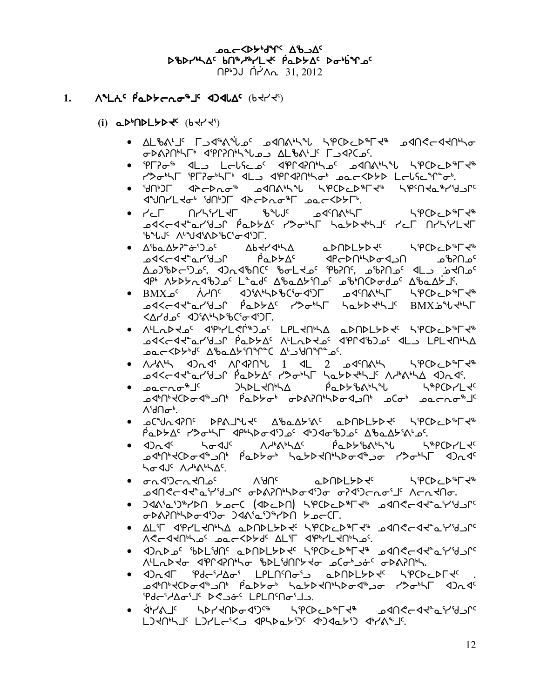**DOC COLLONG AB DAC** DBDrULAC bn&wLLtc PaDSAC Dobinac በピンJ በረለ<sub>ባ 31,2012</sub>

#### 1.  $\Lambda^4$ La<sup>c</sup>  $\beta$ a $\lambda$  $\tau$ a $\sigma^4$ <sup>T</sup> <  $\Lambda$ 3 $\Lambda$ A<sup>c</sup> ( $\delta$  $\prec$  $\gamma^5$ )

- $(i)$  a  $D^b$   $D^b$   $D^c$   $D^c$   $D^c$   $D^c$   $D^c$   $D^c$   $D^c$   $D^c$   $D^c$   $D^c$   $D^c$   $D^c$   $D^c$   $D^c$   $D^c$   $D^c$   $D^c$   $D^c$   $D^c$   $D^c$   $D^c$   $D^c$   $D^c$   $D^c$   $D^c$   $D^c$   $D^c$   $D^c$   $D^c$   $D^c$   $D^c$   $D^c$   $D^c$   $D^c$ 
	- GDANNHT SPPNHALOS ALBALIS FSSICOS
	- PF?0 < 4L LCLSC 4PP4?Nhsc dAAhSL SPCDCD+Fd reth Prior 11, deraining accapt later in
	- ነብ ገር ብሎች የአገኛው የተመለካታል የአደር አልሆነት በ<sup>4</sup>በት የተመለል የ ᡏᡃᡟ᠓ᢞ᠘ᢣᠣᡃ᠂ᠯ᠓᠈᠖᠂ᠲᢄᢣ᠘᠂ᡘᡫᢄᠰ᠑ᡯ᠂ᢐ᠑ᡄᡳ
	- いっこししゃしょ THONG A THE THULE AND THE POINT ᠊᠍ᠣᡏ᠋ᠢ᠆ᡏᡳ᠆ᡏᢣ᠘᠆ᡁᢣᡰᡌ᠅᠘᠘ᠻ᠂ᢓᡉᢂ᠂ᡕ᠗ᢣᢂᢣᡏ᠗ᢣ᠀ᢣᢂᠴ ზასს ∧საქ∢აბაზርა⊶∢აეГ.
	- ᠍᠌᠖᠂᠘ᢞᠣᡄ᠘ᢣ᠌ᠡᢪᡠ᠋᠑᠀᠂᠌᠅ᢂ᠕᠋᠅᠕ᢣᢣ᠕<br>᠌ᠥᡗᡰᡳᡷᡆᢞ᠅᠘ᢣ᠈᠕ᢣᡏᡳᢂᢣ᠘ᠻ᠂᠆ᡘᡮ᠙ᢣᠾ᠉᠘ᢦᡲᠰᡉᢋᢣᡅᠴᡷᢈᡔᢣᢄ<br>ᢅᡆᡗᡰᢉᢞᡆ᠆ᠬᠢᡅᢂᢣᡗᡳᢁᠾᡅᢂᢣ᠘ᠻ᠂᠕ᢏᡰᠻᠽᠴᢥᡫᢄᢣᢄᢣᢈᠴᢣᢄᡆ <u>᠌ᢦ᠐᠂ᡕᢂ᠊᠗᠀᠀᠀᠀᠀᠀᠀᠀᠀᠀᠀᠀᠀᠀᠀᠀᠀᠀᠀᠀᠀᠀᠀᠀᠀</u>
	- ٬ BMXه<sup>٬</sup> ۸٫۲۲<sup>٬</sup> ۹۵٬۵۰۹٬۵۴٬۲۵٬۴۵٬۲۵٬۰۵٬۲۵٬۰۵٬۲۵٬۴۵٬۲۵٬۴۵٬۲۵٬۴۵٬۲۵٬۴۵٬۲۵٬۴۵٬۲۵٬۴۵<br>۵۷۲٬۳۵٬۲۵٬۲۵٬۲۵٬۲۵٬۲۵٬۲۵٬۲۵٬۲۵٬۲۵٬۲۵٬۲۵٬۲۵٬۴۵ <ΔΡΑΦς <2) «Αλληλειδες <2)Γ.
	- ^LL~D40c dibptLerin)0c LPL4nh1a aDUDL7D4c topCDcDnL4n ۵۰–^^۵۳۵'د ۵°۰۲^^۵۴ کشمور ۵°۰×۵+۵×
	- $\bullet$   $\wedge$   $\wedge$   $\wedge$   $\wedge$   $\wedge$   $\wedge$   $\wedge$   $\wedge$   $\wedge$   $\vee$   $\vee$   $\vee$   $\vee$   $\vee$   $\vee$   $\vee$   $\vee$   $\vee$   $\vee$   $\vee$   $\vee$   $\vee$   $\vee$   $\vee$   $\vee$   $\vee$   $\vee$   $\vee$   $\vee$   $\vee$   $\vee$   $\vee$   $\vee$   $\vee$   $\vee$   $\vee$  **DAKLAK PLYANG POPAL PALA PARA PLYANG AD PLYANG AD PLYS**
	- L&bCDLTFC ᠊᠑ᡧᡁ᠍ᡑᠽᢉᠵᢁᡕᡒ᠖᠂ᡁᢄᡔᢂᢣᡁ᠙ᡘᡐ᠗ᢣ᠂᠂ᠾ᠂ᢪᡅᡔᡋᢒᢣᢞ᠓ᠰᡈᡆ ∧ՙժՈԺ⊾
	- OCAUUSUL DbVTALE VPOVALIVC ODUDFADE POCDCD#LE#  $\overline{P}$ مالكا المسلم المسلم المسلم المسلم المسلم المسلم المسلم المسلم المسلم المسلم المسلم المسلم ال
	- ᠍᠘ᡏᡅ᠉ᢣᢗᢂᢐᡏ᠂᠖ᢓᢣ᠅᠂ᡏ᠗ᢣᢂᢣᡆ᠅ᢣ᠗ᢣᡗᢣᢂᢣᠾ᠅᠕ᢣᡆᢂᠾ hadde Adonne
	- <del>م</del>م ۱۹۲۶ ۱۹۲۸ ۱۹۲۸ ۱۹۳۸ ۱۹۳۵ ۱۹۳۵ いっていこしゃしょう ᠴ᠍ᢦᡗᠠᡭᢇᡐᢞ᠌᠌ᡅ᠍ᢣ᠈ᢖ᠘᠈ᠻᢠ᠖ᢣ᠔ᢣ᠓ᠰᡭᢦᠲ᠂ᠾ᠌ᡋ᠅ᢣ᠍ᢂ᠘
	- JAA'2'J&YbO >2C (ADCDN) SPCDCD&Ft® 29NScAt°2'Y'YJN GDAYNHDG4')G J4A'a'J"YDN YocT.
	- ALT JP/LRNLA QDNDLYDR SPCDCD&LR& QJNCCJRGY&LY ACCARINAS DOCKALAL ALIL APPLAUPLOS.
	- ∢J^D¬c 』PDFAU、 TDUDFAAG PACDTD#L4# DQUGCq4, TASTLG <u>ᠰ</u>ᡫ᠌᠘ᢂᢣᡉ᠂ᡏ᠋ᢔᡁ᠍ᠯ᠑ᠰᠲᠣ᠂ᡁᢂ᠐ᡁᢣᠢᡇ᠂ᡋᢕ᠗ᡛ᠅᠖ᡖᢂ᠈᠐ᡰ
	- ᠴᡏᡃᡅᢥᡪᢗᢂᡆᡏ᠂ᡁ᠂ᠾᢂᢣᡆ᠉᠂ᡆᢣᢂᢣ᠗ᢣᡏᡏᡆ᠉ᠴᡆ᠂ᢢᡐᠣᡃᡰᡗ Pdd'Ado'J' Desde' LPLN'no'Js.
	- G GP-YAJC AD-YADG-ADCA APCDCD&LA DANSCALLALO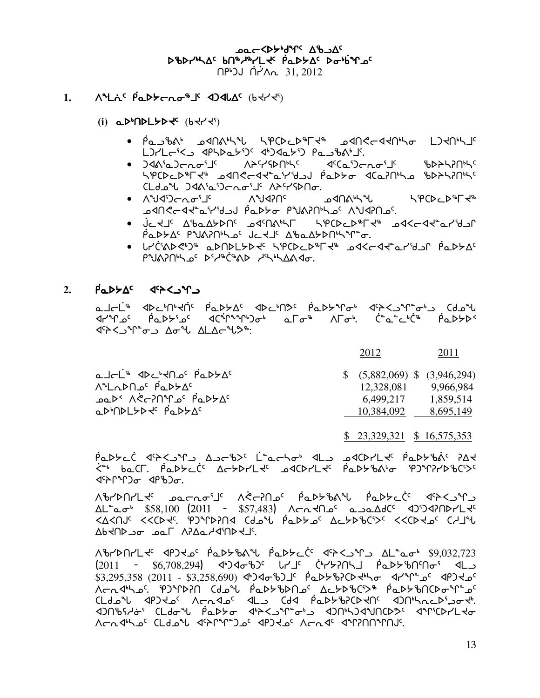**Dac <br of the your** DBDrULAC bn&wrLtc PaDSAC DobitLoc <u>በ<sup>β</sup>)J በ</u><sup>2</sup>ላሊ 31, 2012

#### **٨ ° لن في المسلم العامل المسلم المسلم المسلم المسلم المسلم المسلم المسلم المسلم المسلم المسلم المسلم**  $1.$

- $(i)$  a  $D^b$   $D^b$   $D^c$   $D^c$   $D^c$   $D^c$   $D^c$   $D^c$   $D^c$   $D^c$   $D^c$   $D^c$   $D^c$   $D^c$   $D^c$   $D^c$   $D^c$   $D^c$   $D^c$   $D^c$   $D^c$   $D^c$   $D^c$   $D^c$   $D^c$   $D^c$   $D^c$   $D^c$   $D^c$   $D^c$   $D^c$   $D^c$   $D^c$   $D^c$   $D^c$   $D^c$ 
	- POJPAN PANAL PERSOLA PLANE PANGCARINA PO L) Pastbot (PSC-4) Captbot 15.
	- ᠕ᡝ<sup>ᢈ</sup>᠘ᡃᠺᡅ᠍ᢕ᠉ᢣᡕ᠂᠌᠂᠂᠂ᡧᢗᡉ<sub>᠔</sub>ᡄ᠋᠍᠍᠍᠇ᢁ<sub>᠄</sub>᠋ ჼb▷ჁჄჇႶჼჄ<sup>Ⴀ</sup> SPCDcD PL 3 SUSCAT a LIST PADY TO SPASSOLA CLd ישראל הארט הארץ APY SPG.
	- ∙ ∧ํ๚⁄งา⊱∼๛ฺๅ๎ ለግ4አUc ᠴᢦ᠓᠋ᠰᢣ<sup>ᡈ</sup>Ⴑ ᠊᠍ᢀ᠊᠓ᢄ᠘᠀ᢣ᠗᠕᠈ᢆ᠀ᡆᢂ᠕᠕᠉ᠾ᠉ᢣᡅ᠗ᠻ᠂᠕᠉᠕᠗᠀
	- بأحاجلا لا المعرك المالك المعلم الأمريكية المستعمر المعلم المعلم المعلم المعلم المعلم المعلم المعلم المعلم ا  $\beta$ a D D  $\beta$ <sup>c</sup> P U  $\beta$  D U  $\beta$  C U  $\alpha$  U  $\beta$  D  $\beta$  D D U  $\gamma$  D  $\alpha$ .
	- LL'CIADED QDNDLYDE SPCDCD FC DAKCAT CL'ISL PQDYAC PNAPULLO<sup>C</sup> D'H<sup>R</sup>C'hAD HLLAAdo.

#### $\overline{P}$   $\Delta P$   $\Delta C$   $\Delta P$   $\Delta C$   $\Delta P$   $\Delta P$   $\Delta P$   $\Delta P$   $\Delta P$   $\Delta P$   $\Delta P$   $\Delta P$   $\Delta P$   $\Delta P$   $\Delta P$   $\Delta P$   $\Delta P$   $\Delta P$   $\Delta P$   $\Delta P$   $\Delta P$   $\Delta P$   $\Delta P$   $\Delta P$   $\Delta P$   $\Delta P$   $\Delta P$   $\Delta P$   $\Delta P$   $\Delta P$   $\Delta P$   $\Delta P$   $\Delta P$   $\Delta P$   $\Delta P$   $\$  $2.$

ماحلّ<sup>ه</sup> ١٩٢٤-١٩٢٩ الم محمّة المحاملة المحمّة المحاملة المحمّة المحمّة المحمّة المحمّة المحمّة المح **JEAN AD UPO LONG CONCORD** 

| a I-L <sup>'s</sup> IDC'HO C PaDYAC | $$$ (5,882,069) \; (3,946,294) |           |
|-------------------------------------|--------------------------------|-----------|
| <u>ALADALE PADZAC</u>               | 12,328,081                     | 9.966.984 |
| <b>Paddo Part Action Paddo</b>      | 6.499.217                      | 1.859.514 |
| aDODLYD C PaDYAC                    | 10.384,092                     | 8,695,149 |

 $$23,329,321$   $$16,575,353$ 

2011

2012

PODYCC PASSAR AJEBY LOCTON PLU ARDILY PODYBAC PAY <u><်Nother Actional Actional</u> Actional Actional Actional Actional Actions (SC) خانہ اور اس کی جائز کے خانہ کو اس<br>حسن اور اس کا اسلام کی اسلامی کا اسلام کی اسلام کی اسلام کی اسلام کی اسلام کی اسلام کی اسلام کی اسلام کی اسلا 

 $\Delta L^{\circ}$ a  $\sigma^{b}$  \$58,100 (2011 - \$57,483)  $\Lambda$  $\sigma \Lambda$  $\sigma$ <sup>c</sup> a  $\sigma \Delta dC^{c}$  < 4) $\Im$ APYUP JO DOL APAQ-YA'NDYJ'.

AbrdnrL << <ap> <de> <de> <de><de> <de<de><de</ap><de><de><de><de><<de><de><de</ap><de><de><de><de</  $(2011 - $6.708.294)$   $(1, 2)$   $(1, 2)$   $(1, 2)$   $(1, 2)$   $(1, 2)$   $(1, 2)$   $(1, 2)$   $(1, 2)$   $(1, 2)$ \$3,295,358 (2011 - \$3,258,690) 4540 bJL Paddbb2CD +ho 41 M 0 407 d 4P3 <u>٨٢م ١٩٢٧م (١٩٦٠)٩٤ ١٩٢٨م المحمول المحمولين المحمولين المحمولين المحمولين المحمولين المحمولين المحمولين المحمو</u> AGA442°CLd2°L 421°C°4P)3°C AGA4°A°NANIN'.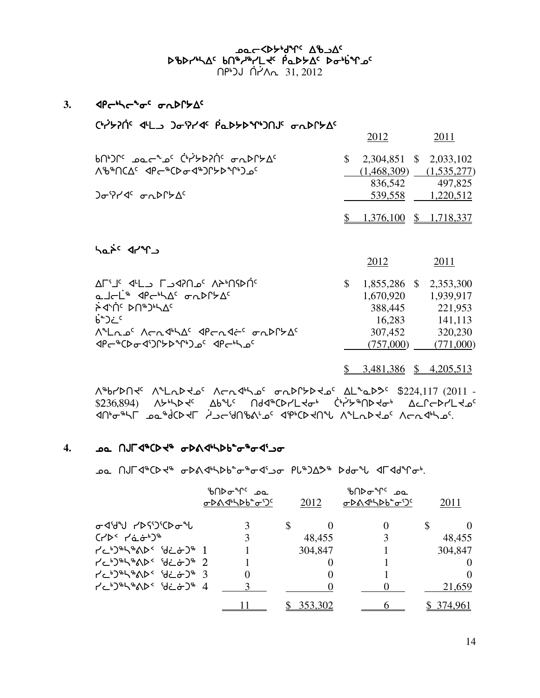$3.$   $\langle P \leftarrow A \left( \left( \begin{array}{cc} 1 & \mathbf{a} \\ \mathbf{b} & \mathbf{b} \end{array} \right) \right)$ 

hanic drya

| <b>Ch/22010 JE0214 PLA22010 CH/2010 CAPC/2010</b> |  |
|---------------------------------------------------|--|
|---------------------------------------------------|--|

|                                                                                                         |    | 2012                     | 2011                                           |
|---------------------------------------------------------------------------------------------------------|----|--------------------------|------------------------------------------------|
| $\mathcal{A}^{\alpha}$ and $\mathcal{A}^{\alpha}$ and $\mathcal{A}^{\alpha}$ and $\mathcal{A}^{\alpha}$ | S. | 2,304,851 \$ 2,033,102   |                                                |
| ᠕ᡃ᠍᠍᠍᠍᠍᠍ᡃᢂᡌ᠅᠂᠕ᡛ᠆ᢞᢗᢂᠣ᠊ᡏ᠗᠐ᢣᢂᠾ᠈᠑ᡗ                                                                          |    |                          | $(1,468,309)$ $(1,535,277)$<br>836,542 497,825 |
| ጋσ <sup>ι</sup> ንґ∢ <sup>ς</sup> σ∩⊳Ր≻∆ <sup>ς</sup>                                                    |    |                          | 539,558 1,220,512                              |
|                                                                                                         |    | $$1,376,100 \$1,718,337$ |                                                |

|                                                                             | 2012                   | 2011      |
|-----------------------------------------------------------------------------|------------------------|-----------|
| AL'I' J'LANG' AA'NPN'                                                       | 1,855,286 \$ 2,353,300 |           |
| a Jel <sup>is</sup> JPessas on DP5As                                        | 1,670,920              | 1,939,917 |
|                                                                             | 388,445                | 221,953   |
| $h^{\circ}$ ); $\circ$                                                      | 16.283                 | 141,113   |
| <u> Ailros Arrainas apradris orbeixas</u>                                   | 307,452                | 320,230   |
| <b><pc%cdodi)cyp%pinac <pc%dec%cdodiyadc<="" b=""></pc%cdodi)cyp%pinac></b> | (757,000)              | (771,000) |

\$ 3,481,386 \$ 4,205,513

Λ<sup>&</sup>brDN + Λ<sup>α</sup>LαD to Λσα 4b ο σαDΓbD to ΔLααD> \$224,117 (2011 -\$236,894) ለታካኑኦሩ Δb<sup>۹</sup>Ⴑ<sup>ϲ</sup> በdଏჼCÞr՛LՎԺჼ Ċჼr҆<sup></sup>ヶჼႶϷՎԺჼ ΔϲՐϲϷr՛LՎഛ xtheshu ante-thesa controlly and the chaftbe actions when the controlly when  $\Lambda$ 

#### 4. ba NJF4<sup>\$</sup>CD < 6 oDA4 b5 o<sup>\$</sup> o<sup>\$</sup>c4'20

**مقد AJF4 بالكوان بالكورة بالكوابية مكانية بالكورة بين بين الكوابية** بين الكوران بين الكوران بين الكوران.

|                                                             | ზ∩⊳ <sub>ଫ</sub> ೀ∽ _ാപ<br>ᠦᢂᡧᡃᡪᢂᢐᡃ᠑ | 2012    | ზ∩⊳Ժ <sup>ъ</sup> Ր° ഛ<br>ᠦᢂᡧᡃᡪᢂᢐᡃ᠑ | 2011       |
|-------------------------------------------------------------|--------------------------------------|---------|-------------------------------------|------------|
| <b>৮৭</b> ১৫৬ বিধ                                           | 3                                    | \$      |                                     |            |
| $(750 + 650)$                                               | 3                                    | 48,455  |                                     | 48,455     |
| $1e^{-t}$ $1e^{-t}$ $1e^{-t}$                               |                                      | 304,847 |                                     | 304,847    |
| $1$ $2^{6}$ $2^{6}$ $2^{6}$ $2^{6}$ $2^{6}$ $2^{6}$ $2^{6}$ |                                      |         |                                     | $\theta$   |
| $7c$ b)\$h\\$ab< 'di_ab)\$ 3                                | 0                                    |         |                                     | $\Omega$   |
| PCDBSBADS 82078 4                                           |                                      |         |                                     | 21,659     |
|                                                             |                                      | 353,302 |                                     | \$ 374,961 |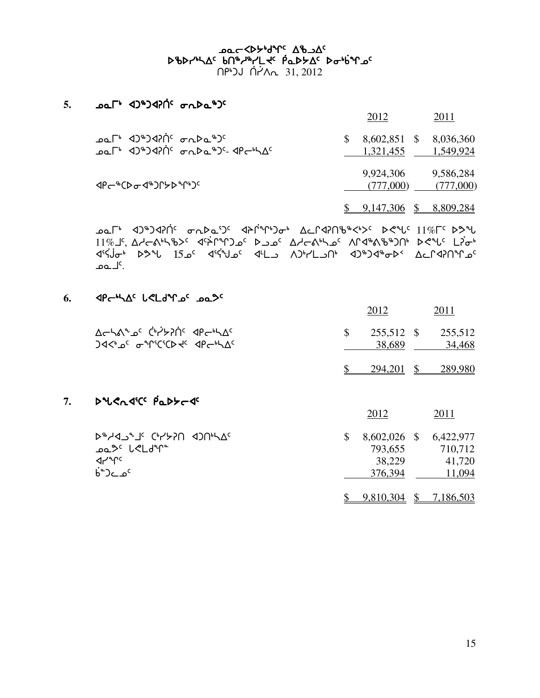# ᢧᡐ᠘ᠰ᠕᠀᠂ᡆᡗᢣ᠙ᢣᠾ᠈ᠾ᠈ᢢᠾᢂ᠈᠘<br>᠔᠊ᢐᢂᢣᠾᢂ᠂᠀ᠽᠽᢂᢣᡗᢄ᠂᠀ᡏ᠑ᢣ᠘<br>᠗ᡁᢂᢣ᠉ᡳ᠘ᠻ᠂᠗ᠰ᠅ᠾ᠅᠕᠉᠂᠘ᢞ በ<sup>β</sup>>J በ2ለ<sub>ባ</sub> 31,2012

#### 5.  $\Delta\Omega$ <sup>+</sup>  $\Delta\Omega$ <sup>+</sup> $\Delta\Omega$ <sup>+</sup> $\Omega$ <sup>+</sup> $\Delta$ <sup>+</sup> $\Delta$ <sup>+</sup> $\Delta$ <sup>+</sup> $\Delta$ <sup>+</sup>

|                                                                        | 2012                                          | 2011      |
|------------------------------------------------------------------------|-----------------------------------------------|-----------|
| Per 42 1970 c C C C C<br><b>POLL</b> 42 3470 C C C C C C C C C C C C C | 8,602,851 \$ 8,036,360<br>1,321,455 1,549,924 |           |
| ͺ <b>⊲</b> ₽←®CϷ <del>ℴ</del> −Ϥ®ϽՐ৮Ϸ®ՐჼϽ <sup>ϲ</sup>                 | 9,924,306 9,586,284<br>(777,000)              | (777,000) |
|                                                                        | $\frac{$}{$}$ 9,147,306 \$ 8,809,284          |           |

ב <sup>11</sup> β/٣) (11/6 محمله د) ( عدم المعرفي المحمولين المعرفي المعرفي المعرفي المعرفي المعرفي المعرفي المعرفي الم 11% Γ΄, ΔΑ-ΚΑΝΑΒΟ<sup>ς</sup> Φ'ΆΓΥΙΟ Ο' ΑΙ ΑΛΑΛΑΙ Ο' ΛΓΑΝΑΒΙΟΝ ΑΦΙ' LΡσΗ 4' (16 - 16) من المسلم المسلم المسلم المسلم المسلم المسلم المسلم المسلم المسلم المسلم المسلم المسلم المسلم المس<br>المسلم المسلم المسلم المسلم المسلم المسلم المسلم المسلم المسلم المسلم المسلم المسلم المسلم المسلم المسلم الم کل عما

## 6.  $\Delta P - \Delta C$   $\Delta C$   $\Delta P - \Delta C$   $\Delta P$

7.

|                                                                      | 2012 |                           | 2011                 |
|----------------------------------------------------------------------|------|---------------------------|----------------------|
| ACharlo <sup>c</sup> Chrypic APChAC<br>Jd<br>of anticicp+c dpc+hAc   | \$   | 255,512<br>-S<br>38,689   | 255,512<br>34,468    |
|                                                                      | \$.  | 294,201<br>$\mathcal{S}$  | 289,980              |
| DUCATIC PaDYCT                                                       |      |                           |                      |
|                                                                      | 2012 |                           | 2011                 |
| <b>D&amp;YQJ&amp;TE GAASU 4JUrYVE</b><br>ــا <sup>م</sup> الگا کا عم | \$   | 8,602,026 \$<br>793,655   | 6,422,977<br>710,712 |
| ⊲৴৺৽                                                                 |      | 38,229                    | 41,720               |
| <sup>6</sup> ْءِ ⊃د°ٰ                                                |      | 376,394                   | 11,094               |
|                                                                      |      | 9,810,304<br>$\mathbb{S}$ | 7,186,503            |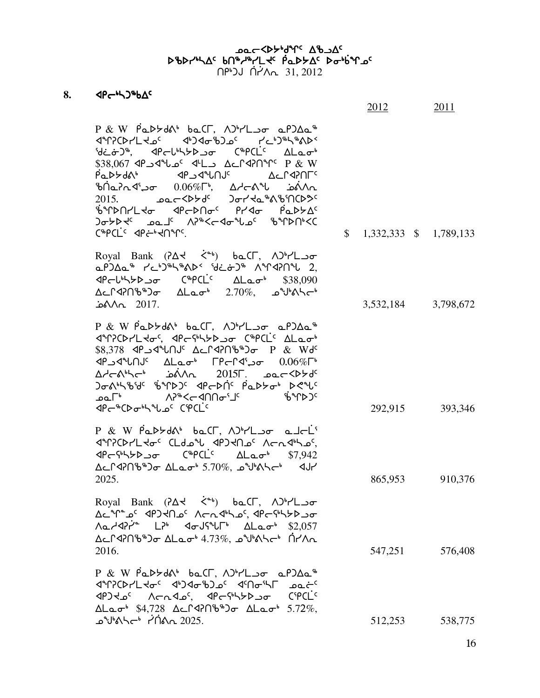#### ∆د Xo−<b-\م^ل y^b+d^c scsy4nw5 vt6h6ymJ5 `rNs/w5 si4`vqk5 scsy4nw5 vt6h6ymJ5 <u>በየነጋሀ በ</u>ለአ<sub>ባ 31, 2012</sub>

## 8. **4Pchp8bdc**

|                                                                                                                                                                                                                                                                                                                                                                                                                                                                                                                                                                                                                              | 2012                      | 2011                |
|------------------------------------------------------------------------------------------------------------------------------------------------------------------------------------------------------------------------------------------------------------------------------------------------------------------------------------------------------------------------------------------------------------------------------------------------------------------------------------------------------------------------------------------------------------------------------------------------------------------------------|---------------------------|---------------------|
| P & W PaDSdat baCL, ADVL or aPDAa <sup>\$</sup><br>dir?CDrLd_oc di)doib)_oc rci)inhinants<br>blion of the Capclic Alaot<br>\$38,067 JL LALCAPOT P & W<br><del></del><br>$2015.$ $2015.$ $2015.$ $2015.$ $2015.$ $2015.$ $2015.$ $2015.$ $2015.$ $2015.$ $2015.$ $2015.$ $2015.$ $2015.$ $2015.$ $2015.$ $2015.$ $2015.$ $2015.$ $2015.$ $2015.$ $2015.$ $2015.$ $2015.$ $2015.$ $2015.$ $2015.$ $2015$<br>₿ºՐDN/L to <pr>DNoc Pr<lo pad="">Ac<br/>᠍ᢃᡔᢣᢂ᠂᠈ᡆ᠑᠅᠂᠕᠈ᠳᢄᡕ᠆ᡏᢍᡅ᠉ᢣᡏᢈᢣ᠐ᢣ᠙ᠸ<br/>C<sup>\$</sup>PCL<sup>c</sup> <pcbd2pc.< td=""><td><math>\$1,332,333</math> <math>\$1,789,133</math></td><td></td></pcbd2pc.<></lo></pr> | $$1,332,333$ $$1,789,133$ |                     |
| Royal Bank (PAV<br>$\zeta^*$ ) bacr, $\Lambda$ <sup>1</sup> rl $\sigma$<br>aPJAa" KeDIKAADS 'de&D" AMPAPN'U 2,<br>$\langle 4PcL^6L^6L^6L^6 \rangle$ $C^6PCL^c$ $\Delta La\sigma^6$ \$38,090<br>                                                                                                                                                                                                                                                                                                                                                                                                                              |                           | 3,532,184 3,798,672 |
| P & W PaDSda baCL, ADVL or aPDAa <sup>\$</sup><br>d972CD7Ltoc, dpcqbhbboo C&PCLC ALaob<br>\$8,378 P & Wdc Acrd?n&®) or P & Wdc<br>יח\י4ك 10.06 FP וח\י4ك<br>$\Delta$ denstand $\Delta$ denstand $\Delta$ denstand $\Delta$ denstand $\Delta$ denstand $\Delta$<br><b>Ͻ</b> σልኣኑቴህና ቴንቦϷϽ <sup>ς</sup> <ΦΕΡΑΤ ΡάΡεσι Ρ<ግς<br>ᠴ᠋᠋᠋᠋᠋ᠦ᠊᠋᠋᠋᠊᠖ᢞᢉᠢᢂ᠋ᠷ᠖ᠴᢁ᠆᠂ᢀᡩ᠓ᠪ<br><b>PCBONUGCCPCLC</b>                                                                                                                                                                                                                                             |                           | 292,915 393,346     |
| P & W PaDSdA' baCT, ADVL or al-L'<br><b>JPPCDYLKo<sup>c</sup> CLdol JPDKNoC ArnJhJOC</b><br>Δcrd?nbbd) σ ΔLaob 5.70%, 29bahch 4Jr<br>2025.                                                                                                                                                                                                                                                                                                                                                                                                                                                                                   | 865,953                   | 910,376             |
| Royal Bank (74 <4) baCL, APYLor<br>Ac "n" al 'al 'ar Ach-q" al 'ar Chram a' an Chram<br>$\Lambda$ a $\lambda$<br>$\Lambda$ <sup>2</sup> LPb $\sim$ $\sim$ dFUS <sup>p</sup> $\Lambda$ La $\sigma$ <sup>b</sup> \$2,057<br>Δ⊆Γ4?Πზ <sup>ቈ</sup> Ͻσ ΔLaσ <sup>ι</sup> 4.73%, ق <sup>س</sup> كΔحΓ4?Π<br>2016.                                                                                                                                                                                                                                                                                                                   | 547,251                   | 576,408             |
| $P & W$ PaD>ds baCL, $\Delta P$<br><b>JPPOPYLKo<sup>c</sup> <br/> JPPOPYLKoc <br/> JPPOPYLKoc <br/> JPPOPYLKoc <br/> JPPOPYLKoc <br/> JPPOPYLKoc <br/> JPPOPYLKoc <br/> JPPOPYLKoc <br/> JPPOPYLKoc <br/> JPPOPYLKOC <br/> JPPOPYLKOC <br/> JPPOPYLKOC <br/> JP</b><br>JPJKJC ACRISC, JPGSHYDJ0 CSPCLC<br>$\Delta$ Lao <sup>6</sup> \$4,728 $\Delta$ cr<br>4706 $\delta$ or $\Delta$ Lao <sup>6</sup> 5.72%,<br>ഛ <sup>പ</sup> ിം∆പ്പിക്കു                                                                                                                                                                                   | 512,253                   | 538,775             |

16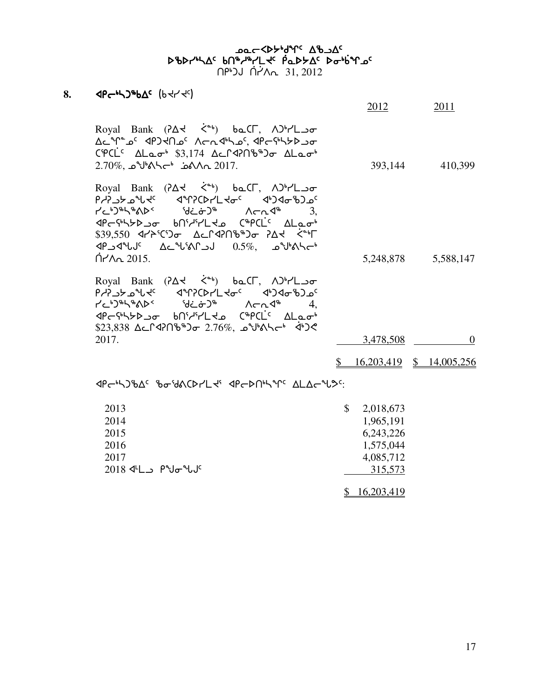#### er<bappedde verste scsy4nw5 vt6h6ymJ5 `rNs/w5 si4`vqk5 scsy4nw5 vt6h6ymJ5 <u>በየነጋሀ በ</u>ለአ<sub>ባ 31, 2012</sub>

## 8. **4Pc+53+bAc** (b + 1 + 2c)

|                                                                                                                                                                                                                                                                                                                                                                                                                                                                                                                                                                | <u>2012</u> | <u>2011</u>                            |
|----------------------------------------------------------------------------------------------------------------------------------------------------------------------------------------------------------------------------------------------------------------------------------------------------------------------------------------------------------------------------------------------------------------------------------------------------------------------------------------------------------------------------------------------------------------|-------------|----------------------------------------|
| Royal Bank $(2\Delta2 - \zeta2)$ bo CI, $\Delta$ <sup>3</sup> r'L o<br>∆دْ ٩٣-٩٤/يەر Ac-مىلەر Ac-مەربەر Ac-۴۴-مە<br>$CPCLc$ $\Delta$ Lao <sup>6</sup> \$3,174 $\Delta$ c $C$ $Q$ $D$ $B^{\ast}$ $D\sigma$ $\Delta$ Lao <sup>6</sup><br>2.70%, $\sim$ الا $\sim$ هف $\sim$ 1017.                                                                                                                                                                                                                                                                                |             | 393,144 410,399                        |
| Royal Bank $(2\Delta2 \leq b)$ bo CF, $\Delta^{b}r'L \rightarrow \sigma$<br><b>PcdSCAL AALSCALFUSE 4-24-6746-8796</b><br>$r$ $\sim$ $r$ $\sim$ $r$ $\sim$ $r$ $\sim$ $r$ $\sim$ $r$ $\sim$ $r$ $\sim$ $r$ $\sim$ $r$ $\sim$ $r$ $\sim$ $r$ $\sim$ $r$ $\sim$ $r$ $\sim$ $r$ $\sim$ $r$ $\sim$ $r$ $\sim$ $r$ $\sim$ $r$ $\sim$ $r$ $\sim$ $r$ $\sim$ $r$ $\sim$ $r$ $\sim$ $r$ $\sim$ $r$ $\sim$ $r$<br>PCP442 JPCLC BOGARY-LRS COPCLC ALaot<br>\$39,550 477°CD $\Delta\subset \Gamma$ <2016°D $\sim$ 24 $\sim$ 15<br>$\bigcap$ $\bigcap_{n=1}^{\infty}$ 2015. |             | 5,248,878 5,588,147                    |
| Royal Bank (74 < 6) baCL, APYLoo<br><b>የሃነገንት ሚሊፋ</b> ፈፌሁያርÞኣበሩዋ <sub>ሩ</sub> ፈ <sub>ቀ</sub> ጋላዲዎጋሚ<br>PCP45220 bnidirlts CHPCLC ALaot<br>$$23,838$ $\Delta$ cr4206 $^{\circ}$ ) $\sigma$ 2.76%, $\Delta$ Ubesh 42                                                                                                                                                                                                                                                                                                                                             |             |                                        |
| 2017.                                                                                                                                                                                                                                                                                                                                                                                                                                                                                                                                                          | 3,478,508   | $\theta$                               |
|                                                                                                                                                                                                                                                                                                                                                                                                                                                                                                                                                                |             | $\frac{$}{5}$ 16,203,419 \; 14,005,256 |

xro4ngcw5 cid=bsymJ3 xrost4nq5 wmwozK5:

| 2013                                                          | 2,018,673  |
|---------------------------------------------------------------|------------|
| 2014                                                          | 1,965,191  |
| 2015                                                          | 6,243,226  |
| 2016                                                          | 1,575,044  |
| 2017                                                          | 4,085,712  |
| $2018$ d <sup>L</sup> $\Box$ Pud <sup>e</sup> lJ <sup>c</sup> | 315,573    |
|                                                               | 16,203,419 |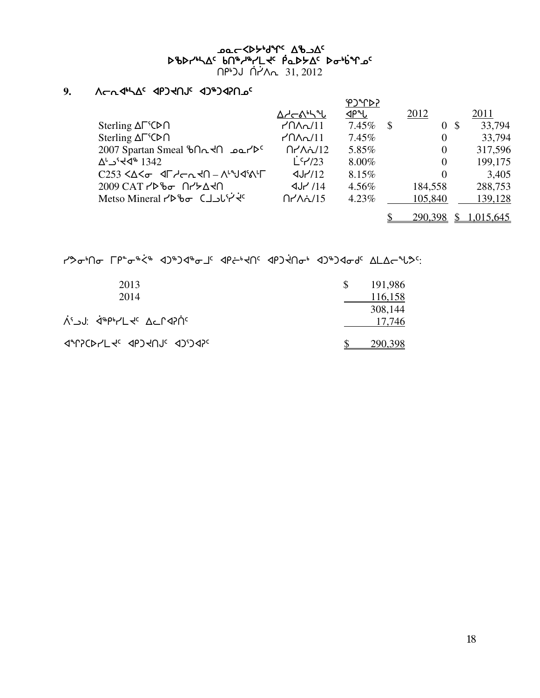#### <u>አለመንግሥት መልክ የተ</u>ፈረጉ መልክ የተፈረጉ መልክ የሚያስችል ነው። የአል የተፈረጉ መልክ የተፈ scsy4nw5 vt6h6ymJ5 `rNs/w5 si4`vqk5 scsy4nw5 vt6h6ymJ5 <u>በየነጋሀ በ</u>ለአ<sub>ባ 31, 2012</sub>

## **9.** WoEx4nw5 xrgJtA5 xg6gxDtk5 xg6gxDtk5

|                                                              |                                                | אירי°כ   |               |                |      |           |
|--------------------------------------------------------------|------------------------------------------------|----------|---------------|----------------|------|-----------|
|                                                              | Δ≁়←ል⊾ኣሇ                                       | ⊲Ρ"Ⴑ     |               | 2012           |      | 2011      |
| Sterling $\Delta \Gamma^s$ CD $\cap$                         | $r$ $\Lambda$ $\sim$ $\Lambda$                 | $7.45\%$ | $\mathcal{S}$ | $\overline{0}$ | - \$ | 33,794    |
| Sterling $\Delta \Gamma^{\varsigma}(\triangleright \cap$     | $M\Lambda$ n $/11$                             | $7.45\%$ |               | $\theta$       |      | 33,794    |
| 2007 Spartan Smeal bn <n></n>                                | $\bigcap$ $\bigwedge \bigwedge \bigwedge / 12$ | 5.85%    |               | $\overline{0}$ |      | 317,596   |
| 1342 <sup>∿</sup> ل∕ 1342                                    | $L^c$ $1/23$                                   | $8.00\%$ |               | $\overline{0}$ |      | 199,175   |
| $C253 < \Delta < \sigma$ $4 \Gamma$ denth - $\Lambda$ -ydish | $\frac{dJ}{12}$                                | 8.15%    |               | $\theta$       |      | 3,405     |
|                                                              | $4J$ /14                                       | 4.56%    |               | 184,558        |      | 288,753   |
| Metso Mineral rbbo CJ Jure                                   | $\bigcap$ $\bigwedge \bigwedge / 15$           | $4.23\%$ |               | 105,840        |      | 139,128   |
|                                                              |                                                |          |               | 290,398        |      | 1,015,645 |

Y30MD TP-0%< 4JHJ4% 4PC+4N 4PJ4No+ 4JHJ40d ALACH3"

| 2013                   | 191,986 |
|------------------------|---------|
| 2014                   | 116,158 |
|                        | 308,144 |
| לי⊃י: אַין אין Acrahic | 17,746  |
| JALSCALTE ADJAUR JUJAS | 290.398 |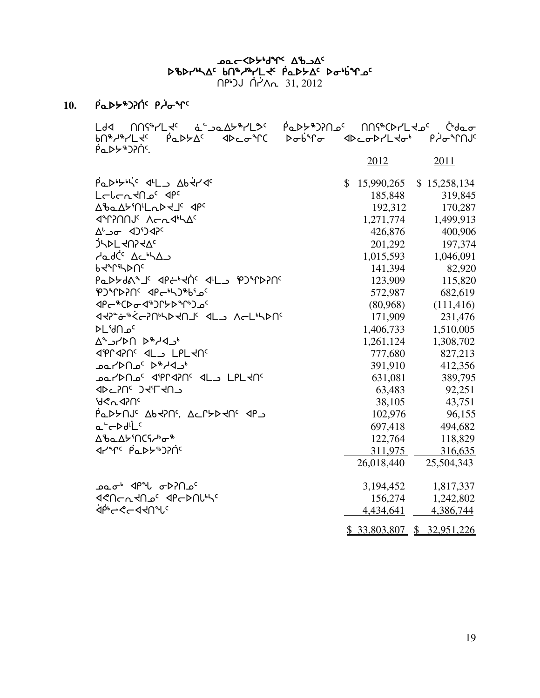bac <br />
<sub>Agr</sub> ab and the control of pbpruhac bn&rkrLtc papbac potino  $\bigcap P^{\bullet}$ 

#### **10.** ]rNs/6gD]t5 r]hiq5

Ldd NNS<sup>&</sup>YLt<sup>c</sup> à Jalt Cle Part Day OnS MOS Chara <u>bN\$y\$YLts Addyns dDcofC DobfGo dDcoDYLtot PigfYNJs</u>  $P_0D5*D205$  2012 2011  $\rho_{\alpha}$  $\rho_{\beta}$  $\rho_{\beta}$   $\sim$   $15,990,265$  \$ 15,258,134 moZoEJtk5 xr5 185,848 319,845  $\Delta$ ba $\Delta$ bin-Labeli dpc 192,312 170,287  $\frac{1.271774}{1.499.913}$   $\frac{1.271774}{1.499.913}$  $\Delta^{\iota}$ ے  $426,876$  400,906 400,906 `gnsmJtDJw5 201,292 197,374  $A = 1,015,593$  1,046,091  $b$ <sup> $\sim$ </sup>T<sup>q</sup> $\sim$  82,920 rabbd 123,909 115,820 الاجتماع 123,909 115,820  $\text{P}$ 2931  $\text{P}$   $\text{P}$   $\text{P}$   $\text{P}$   $\text{P}$   $\text{P}$   $\text{P}$   $\text{P}$   $\text{P}$   $\text{P}$   $\text{P}$   $\text{P}$   $\text{P}$   $\text{P}$   $\text{P}$   $\text{P}$   $\text{P}$   $\text{P}$   $\text{P}$   $\text{P}$   $\text{P}$   $\text{P}$   $\text{P}$   $\text{P}$   $\text{P}$   $\text{P}$   $\mathcal{A}P\mathcal{C}^*\mathcal{A}^*\mathcal{A}^*\mathcal{A}^*\mathcal{A}^*\mathcal{A}^*\mathcal{A}^*\mathcal{A}^*\mathcal{A}^*\mathcal{A}^*\mathcal{A}^*\mathcal{A}^*\mathcal{A}^*\mathcal{A}^*\mathcal{A}^*\mathcal{A}^*\mathcal{A}^*\mathcal{A}^*\mathcal{A}^*\mathcal{A}^*\mathcal{A}^*\mathcal{A}^*\mathcal{A}^*\mathcal{A}^*\mathcal{A}^*\mathcal{A}^*\mathcal{A}^*\mathcal{A}^*\mathcal{A}^*\mathcal{A}^*\mathcal$ xJD8~i6`XoDt4nsJtj5 xml Wom4nst5 171,909 231,476 smdtk5 1,406,733 1,510,005  $\Delta^4$ יבו $\sim$ 1.261,124 1,308,702  $\sim$ 1,261,124 1,308,702 xeQxDt5 xml mrmJt5 777,680 827,213 kNystk5 s6hxl4 391,910 412,356 kNystk5 xeQxDt5 xml mrmJt5 631,081 389,795  $\Delta E = \frac{3.483}{92.251}$  63.483 92.251  $d$ °d $\lt$   $\sim$  43,751 43,751  $\overline{P}$ ב 102,976  $\overline{P}$ אלאס 102,976 96,155  $\overline{P}$  $a^2$  $b^3$  $c^3$  $d^2$  $d^2$  $d^3$   $d^3$  $d^3$   $d^3$  $d^3$   $d^3$  $d^3$   $d^3$  $d^3$   $d^3$  $\Delta$ ზჲ $\Delta$ ታ ነ $\Delta$ ՐՏ $\Delta$ ს $\sigma$ ზ 118,829 <u>4</u>2ንግ<sup>c</sup> P<sub>Q</sub>DUS እንበጎ 26,018,440 25,504,343  $k = 3.194,452$   $1.817,337$ x?toEJtk5 xrostZ4n5 156,274 1,242,802  $\mathcal{A}^{\mathsf{p}\mathsf{b}}$ c $\mathcal{A}$  and  $\mathcal{A}^{\mathsf{p}\mathsf{b}}$ c  $\mathcal{A}$  and  $\mathcal{A}^{\mathsf{p}\mathsf{b}}$ c  $\mathcal{A}$  and  $\mathcal{A}^{\mathsf{p}\mathsf{b}}$ c  $\mathcal{A}$  and  $\mathcal{A}^{\mathsf{p}\mathsf{b}}$ c  $\mathcal{A}$  and  $\mathcal{A}^{\mathsf{p}\mathsf{b}}$ c  $\mathcal{A}$  and  $\mathcal{A}^{\mathsf{$ \$ 33,803,807 \$ 32,951,226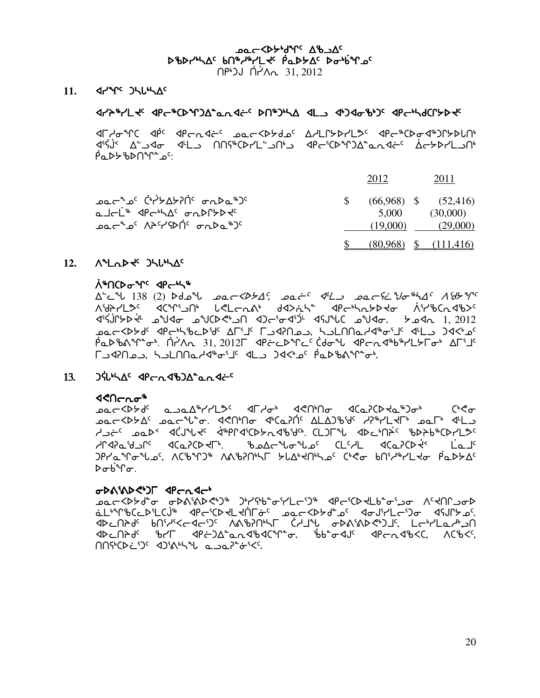AC YOY'd AD AC scsy4nw5 vt6h6ymJ5 `rNs/w5 si4`vqk5 scsy4nw5 vt6h6ymJ5

 $\bigcap$ PLJ  $\bigcap$   $\bigcap$   $\bigcap$   $\bigcap$   $\bigcap$  31, 2012

#### 11. *A<sub>L</sub>AC* JHL<sup>6</sup>AC

#### $x_1 + y_2 + z_3 = 0$  and  $x_2 - y_1 + z_2$  in  $x_3 - y_2$  in  $x_4 - y_3$  and  $y_4 - y_1$  and  $y_5 - z_4$

**IF Adem Computed when the controlling of ADECAFIC apemCDoctable controlling controlling controlling** x3`C`A2 w9lxi x7ml ttC6bsym9lt4l xro3bsqgw8NEx~o5 `wo/symlt4  $P^{\alpha}$ 

|                                                                                                                       | 2012  | 2011                                                          |
|-----------------------------------------------------------------------------------------------------------------------|-------|---------------------------------------------------------------|
| ᠴ᠋᠖ᡄ᠆᠂ᡆᢄ᠂ᠿᢥᢣ᠘ᡃᢣ᠒ᡤ᠂᠂ᡒ᠕᠘᠖᠃᠑<br>௳⅃᠆ <sup>ᅟᅟ</sup> ᆣ <sup>ኈ</sup> ᠂᠊ᅃ᠆ᡃᢣ᠘ <sup>ᡕ</sup> ᠂ᡒ᠘ᡗᡗᢣᢂ<br>ᠴ᠋᠖ᡄ᠆ᠳ᠖᠂᠕ᠡᢄᡝ᠙ᢂᡤ᠂᠂ᡋ᠊ᡊ᠖ᠴ᠑ | 5.000 | $(66.968)$ \$ $(52,416)$<br>(30,000)<br>$(19,000)$ $(29,000)$ |
|                                                                                                                       |       | $(80,968)$ \$ $(111,416)$                                     |

#### 12.  $\Lambda$ <sup>2</sup> Label Julium Ac

#### ለ\*በርÞσ<sup>ъ</sup>Րና <በ<sub>6</sub>

w9Mz 138 (2) sfkz kNoXs/w5, kN~o5 x7ml kNoC~Mai6nw5 Wd/q5 ASAYL3C <aCAS>D L<L and d<br/>3/2 <aC+Cno+ aPx3]C`AQ/s`J7 kaxi kabs?4lt xgo3ix3`g7 xCAzb kaxi. /kxE 1, 2012 مم حطابه كانه بن المسلم المحمد المحمد المحمد المحمد المحمد المحمد المحمد المحمد المحمد المحمد المحمد المحمد ال Ped%AM°o" Ni/A 31, 2012L 4PacdMc'(do"WAPan4%YLYLo" AFT'  $\Gamma$ لوم مان المعامل العبدالي المسلمة المسلمة المسلمة المسلمة المسلمة المسلمة المسلمة المسلمة المسلمة المسلمة المس

#### $13.$   $3\dot{\theta}$   $13.$   $3\dot{\theta}$   $13.$   $3\dot{\theta}$   $13.$   $3\dot{\theta}$   $13.$   $3\dot{\theta}$   $13.$   $3\dot{\theta}$   $13.$   $3\dot{\theta}$   $13.$   $3\dot{\theta}$   $13.$   $3\dot{\theta}$   $13.$   $3\dot{\theta}$   $13.$   $3\dot{\theta}$   $13.$   $3\dot{\theta}$   $13.$   $3\dot{\theta}$   $13.$   $3\dot{\theta}$   $13.$   $3\dot{\$

#### <u>130cha</u>\*

Actional Alman and the term of the series of the community of the community of the community of the c ACCXDXAC معر على المحرمة المحرمة المحرمة المحرمة المحرمة المحرمة المحرمة المحرمة المحرمة المحرمة الم http://www.acjakaza.org/sch/LSC/Marbachile.cl/Schulesch/LSC/Exchanges-CD7L30.html hQxDNdlQ5 xbNDbsJu4. ckwozizk5 bm5hm xbNDbs]J2 ]mNj5  $QP$  $\delta \sigma$ <sub>p</sub> $\sigma$ .

#### obarabed Tender

**sec<b>d ملكم المحمول المحمول المحمول المحمول المحمول المحمول المحمول المحمول المحمول المحمول المحمول الم** خل<sup>ىم</sup>1لەككەككىككە ئاسلام ئەككەككە ئەكەبكەككە ئامغان ئەككەك ئەكتەبكەت. ADCUYAC PU:4xCACJC VVPJUL CYJAP ODVIVDGIJ' FGALOGPJU  $\Delta B = \Delta B + \Delta S$  and  $\Delta C$  and  $\Delta C$   $\Delta C$  is  $\Delta S$  is  $\Delta S$  and  $\Delta S$  is  $\Delta S$  and  $\Delta S$  is  $\Delta S$  is  $\Delta S$  is  $\Delta S$  is  $\Delta S$  is  $\Delta S$  is  $\Delta S$  is  $\Delta S$  is  $\Delta S$  is  $\Delta S$  is  $\Delta S$  is  $\Delta S$  is  $\Delta S$  is  $\Delta S$  is  $\Delta S$  is  $\Delta S$  $MSE$  $\mathcal{D}^{c}$  and  $\mathcal{D}^{c}$  and  $\mathcal{D}^{c}$  and  $\mathcal{D}^{c}$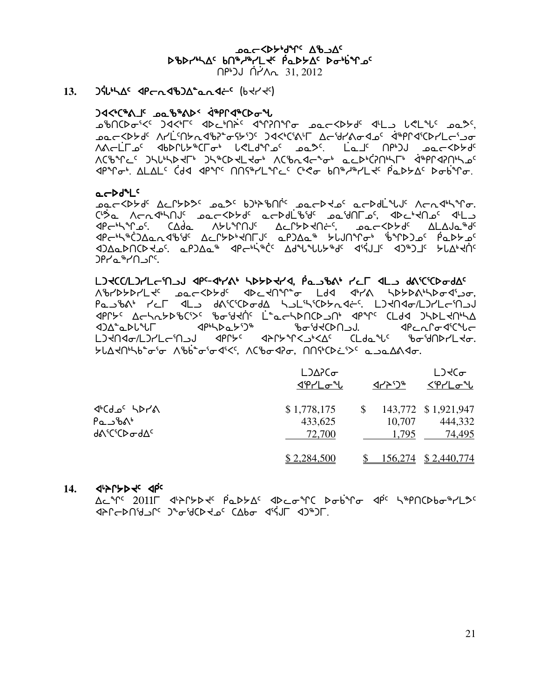AC YOY'd AD AC scsy4nw5 vt6h6ymJ5 `rNs/w5 si4`vqk5 scsy4nw5 vt6h6ymJ5 tr4gA ]t`yWE 31, 2012

**13. JSULAC SPC ABJA<sup>L</sup>QASL<sup>C</sup> (bst science)** 

#### $\mathcal{A}$   $\mathcal{A}$   $\mathcal{A}$   $\mathcal{B}$   $\mathcal{B}$   $\mathcal{B}$   $\mathcal{B}$   $\mathcal{B}$   $\mathcal{B}$   $\mathcal{B}$   $\mathcal{B}$   $\mathcal{B}$   $\mathcal{B}$   $\mathcal{B}$   $\mathcal{B}$   $\mathcal{B}$   $\mathcal{B}$   $\mathcal{B}$   $\mathcal{B}$   $\mathcal{B}$   $\mathcal{B}$   $\mathcal{B}$   $\mathcal{B}$   $\mathcal{B}$   $\mathcal{$

Abo ist at the chilife and the construction of the completion of the complete to the complete was de cordations of the Captage of Aright and the Captage and Captage and Captage and Captage and Society. AAGLLA' </b>الله من المحمد للعام المستقيمة المحمد للمستقيمة المستقيمة المحمد للمستقيمة المستقيمة الم Waarda Junyay Jumbada waa waa dadaa dhiina dhaanna dhama ah aan aan ah Jumbada waa wadan waxa waxa dhama ah wa  $\mathcal{A}P^{\infty}$ r $\mathcal{A}$ . who is closed with  $\mathcal{A}P^{\infty}$  is closed basis  $\mathcal{A}P^{\infty}$  and  $\mathcal{A}P^{\infty}$  is  $\mathcal{A}P^{\infty}$ 

#### $a-bd^{n}L^{c}$

kNoXs/f5 wMQ/sK5 kNK5 vg4pct`Q5 kNosJk5 Nosf`mzA5 WoEx4nqi.  $C$ 'שב תרת לילחלי בפרללאלי פרלסונינאלי בפיטורביי, אלכילום יונים **PG ACT ASLAT ASLANG ACLYDRAGES, ACCXPAGE ALAJa AS** XPGN\$CJAQQXYGWAGTURGADAG\$PUNTUG\$\$PUMPG\$ XabyAcata Carabiyata Aray Araya Asquanda Ariya Asqiyatiya xaradiya xida xiyati <sup>0</sup>ףר∩י°ב >Pr

mational the state of the state of the state of the state of the state of the state of the state state the state Wcys/symJ5 kNoXs/f5 xsMJtq8i mfx x4y= ns/s=4nsix3Li, rajbsit ral daturada halihichkades. Ladagalanda hasa ba **<BC+5 AC-5 ACS+ SOSTAGE L COCLDACE-OF SPACE CLOS DIPLESS <ddd^adL^LF** <dph\dad\^3maddatedda. <dddaraalC^ddcd^cddateddaraaladateddaraalada LJtNdo/LJrLciNJJ dPrys dPryinKJiKK CLdails iboidNPLto.  $SL\Delta$ dhub $^{\circ}$ oʻo Aʻbb $^{\circ}$ oʻodʻ<( ACʻbod $\sigma$ , NNiCDi $>$ C ana $\Delta$ Ado,

|                                                                                     | $L$ ) $\Delta$ $\Gamma$ $\sigma$<br><u>√የሥΓ</u> | イトリッ            | L <sub>3</sub><br><'የሥ∟Ժ"ს               |
|-------------------------------------------------------------------------------------|-------------------------------------------------|-----------------|------------------------------------------|
| $4°$ ርძ $2°$ አኦ $7$ ል<br>$PQ \cup {}^{6}\Lambda^6$<br><b>de</b> CiCD and $\Delta$ c | \$1,778,175<br>433,625<br>72,700                | 10,707<br>1,795 | 143,772 \$1,921,947<br>444,332<br>74,495 |
|                                                                                     | \$2,284,500                                     | 156,274         | \$2,440,774                              |

#### 14. *<u>AISLED Front</u>*

Actrc 2011F <PAP>+C PaD>Ac <DedtC Dobtro <PC 5tpNCDbotHL3c  $\mathcal{A}^{\alpha}$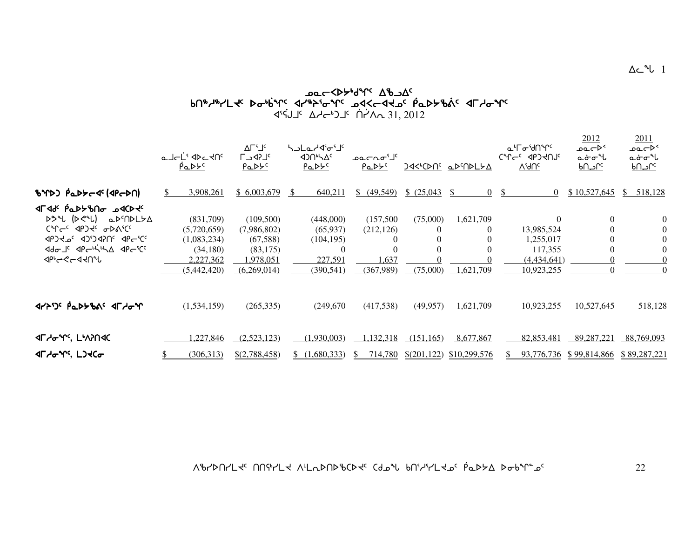### $\lambda_{\rm max} \sim 10^{4}$ kJ $\lambda_{\rm max} \sim 10^{4}$ and $\lambda_{\rm max}$ kJ $\lambda_{\rm max}$ otext situation of the situation of the situation of the situation of the situation of the situation of the si x3]CAj5 who4gj5 `t`yWE 31, 2012

|                                                                                                                                                                                    | م⊥دل <sup>ن</sup> ا⊳د ا∩د<br><u>PaDYS</u>                                       | ∆Γ'⅃ <sup>ϲ</sup><br><b>LSDCJ</b><br>PaDY <sup>C</sup>                       | <b>SULa</b> Andigi<br><b><br/> 120165414</b><br><u>PaDYC</u> |                                                                                 | ا <sup>ک</sup> ات ممت<br><u>PaDYS</u>                                 |                            | <u>JAKICDNS aDSNDLYA</u>  | ᡅᡃᠮ᠋ᡉᡃᡃᠯ᠓ᠰ<br>$V_f$ qUc                                                     | 2012<br>≻⊄⊃ےم<br>مخ∼س<br><u>Manc</u>                               | 2011<br>≻⊄⊃ءم<br>مخ∼∜ل<br><u>ے احت</u> |                                                    |
|------------------------------------------------------------------------------------------------------------------------------------------------------------------------------------|---------------------------------------------------------------------------------|------------------------------------------------------------------------------|--------------------------------------------------------------|---------------------------------------------------------------------------------|-----------------------------------------------------------------------|----------------------------|---------------------------|-----------------------------------------------------------------------------|--------------------------------------------------------------------|----------------------------------------|----------------------------------------------------|
| BYD) PaDScde (dPcDN)                                                                                                                                                               | 3,908,261                                                                       | \$6,003,679                                                                  | -S                                                           | 640,211                                                                         | \$ (49,549)                                                           | \$ (25,043)                | -SS<br>$\left( \right)$   | $\overline{0}$                                                              | \$10,527,645                                                       | $\mathbb{S}$                           | 518,128                                            |
| <b>√©∕ 1994 ∂∩0⊀≺طT4</b><br>$D^{\circ}$ ( $D^{\circ}$ ) $D^{\circ}$<br>CMGC PORC OPVICC<br>POR CCCC 30-04-CCC<br>Adol <sup>c</sup> APC-hing APC <sup>SCC</sup><br><b>√</b> ∲∽<−√√∿ | (831,709)<br>(5,720,659)<br>(1,083,234)<br>(34,180)<br>2,227,362<br>(5,442,420) | (109,500)<br>(7,986,802)<br>(67,588)<br>(83, 175)<br>!978,051<br>(6,269,014) |                                                              | (448,000)<br>(65, 937)<br>(104, 195)<br>$\overline{0}$<br>227,591<br>(390, 541) | (157,500)<br>(212, 126)<br>$\theta$<br>$\Omega$<br>1,637<br>(367,989) | (75,000)<br>(75,000)       | 1,621,709<br>1,621,709    | $\Omega$<br>13,985,524<br>1,255,017<br>117,355<br>(4,434,641)<br>10,923,255 | $\overline{0}$<br>$\mathbf{0}$<br>$\Omega$<br>$\theta$<br>$\Omega$ |                                        | $\theta$<br>$\overline{0}$<br>$\Omega$<br>$\Omega$ |
| <b>JYADS PLASHAS JEYGAR</b>                                                                                                                                                        | (1,534,159)                                                                     | (265, 335)                                                                   |                                                              | (249,670)                                                                       | (417,538)                                                             | (49, 957)                  | 1,621,709                 | 10,923,255                                                                  | 10,527,645                                                         |                                        | 518,128                                            |
| <b>«ΓΑσΎς LΑΥΛΟΚ</b><br><b>JL <i>A</i>GAG</b> , LJ <del>J</del> Co                                                                                                                 | ,227,846<br>(306, 313)                                                          | (2,523,123)<br>\$(2,788,458)                                                 |                                                              | (1.930.003)<br>(1,680,333)                                                      | 1,132,318<br>714,780                                                  | (151, 165)<br>\$(201, 122) | 8,677,867<br>\$10,299,576 | 82,853,481<br>93,776,736                                                    | 89,287,221<br>\$99,814,866                                         |                                        | 88,769,093<br>\$89,287,221                         |

 $\Delta c$ <sup>u</sup> $l$  1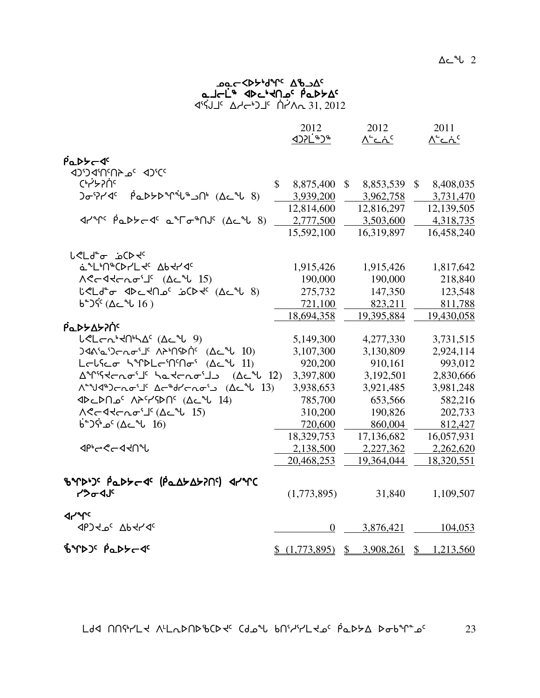#### كمد**k**كγل<sup>0</sup>γ° ∆له∠م3 ماحلّه Rus-Mac Paptac x3]CAj5 who4gj5 `t`yWE 31, 2012

|                                                                                                                                                      | 2012<br><b><d>1<br/> 1&gt;&gt;&gt;&gt;&gt;&gt;&gt;&gt;&gt;&gt;&gt;&gt;&gt;&gt;&gt;&gt;&gt;&gt;</d></b> | 2012<br>$\Lambda^c$ ے $\Lambda^c$ | 2011<br>∧ <sup>د</sup> ⊂ند <sup>د</sup> |
|------------------------------------------------------------------------------------------------------------------------------------------------------|--------------------------------------------------------------------------------------------------------|-----------------------------------|-----------------------------------------|
|                                                                                                                                                      |                                                                                                        |                                   |                                         |
| PaDYCD                                                                                                                                               |                                                                                                        |                                   |                                         |
| <b>3)*CD <sup>3</sup>a4N2N2CCD</b>                                                                                                                   |                                                                                                        |                                   |                                         |
| Chrysluc                                                                                                                                             | $\mathbb{S}$<br>8,875,400                                                                              | 8,853,539<br>$\mathbb{S}$         | 8,408,035<br>$\mathbb{S}$               |
| $\beta$ <sub>Q</sub> D>D <sup>o</sup> r <sup>i</sup> U <sup>\$</sup> Jn <sup>\$</sup> (Ac <sup>o</sup> U 8)<br><b>)<sub>ው</sub>ነን</b> ረ <sup>c</sup> | 3,939,200                                                                                              | 3,962,758                         | 3,731,470                               |
|                                                                                                                                                      | 12,814,600                                                                                             | 12,816,297                        | 12,139,505                              |
| $47^{\circ}$ $(6.8)^{\circ}$ $(4.8)^{\circ}$ $(4.8)^{\circ}$ $(4.8)^{\circ}$                                                                         | 2,777,500                                                                                              | 3,503,600                         | 4,318,735                               |
|                                                                                                                                                      | 15,592,100                                                                                             | 16,319,897                        | 16,458,240                              |
| <b>∪<ld-<sub>ه غC</ld-<sub></b>                                                                                                                      |                                                                                                        |                                   |                                         |
| a LINOOLLY Abdrda                                                                                                                                    | 1,915,426                                                                                              | 1,915,426                         | 1,817,642                               |
|                                                                                                                                                      | 190,000                                                                                                | 190,000                           | 218,840                                 |
| لأحمل من المحامر في المحمد (26 من 18)                                                                                                                | 275,732                                                                                                | 147,350                           | 123,548                                 |
| $6^{\circ}$ ا باشکان ( $16$ )                                                                                                                        | 721,100                                                                                                | 823,211                           | 811,788                                 |
|                                                                                                                                                      | 18,694,358                                                                                             | 19,395,884                        | 19,430,058                              |
| Ρα <b>Ρ</b> ΣΑΣΡΟ                                                                                                                                    |                                                                                                        |                                   |                                         |
| $LCLCn^3dN^4\Delta^c$ ( $\Deltac^4L$ 9)                                                                                                              | 5,149,300                                                                                              | 4,277,330                         | 3,731,515                               |
| $340$ 'a') $cn\sigma$ ' $1^c$ $\Lambda$ <sup>2</sup> ' $n\Omega$ ' $\Lambda$ <sup>2</sup> ' $\Lambda$ $10$                                           | 3,107,300                                                                                              | 3,130,809                         | 2,924,114                               |
| Lolico hindlonnon (Acil 11)                                                                                                                          | 920,200                                                                                                | 910,161                           | 993,012                                 |
| ΔΥΊΚΚΓΙΟ - (Δε <sup>λ</sup> ί 12)                                                                                                                    | 3,397,800                                                                                              | 3,192,501                         | 2,830,666                               |
| Λ <sup>εα</sup> ν/Δ <sup>β</sup> ) c <sup>h</sup> orno <sup>s</sup> Δε <sup>α</sup> φήσησε (Δε <sup>α</sup> ν 13)                                    | 3,938,653                                                                                              | 3,921,485                         | 3,981,248                               |
| <b>I4) مAP۲-YSDN</b> (2c مك 14)                                                                                                                      | 785,700                                                                                                | 653,566                           | 582,216                                 |
|                                                                                                                                                      | 310,200                                                                                                | 190,826                           | 202,733                                 |
| $6^{\circ}$ م <sup>4</sup> (∆د 16 −6° )                                                                                                              | 720,600                                                                                                | 860,004                           | 812,427                                 |
|                                                                                                                                                      | 18,329,753                                                                                             | 17,136,682                        | 16,057,931                              |
| ง จะ 2-ง จะ                                                                                                                                          | 2,138,500                                                                                              | 2,227,362                         | 2,262,620                               |
|                                                                                                                                                      | 20,468,253                                                                                             | 19,364,044                        | 18,320,551                              |
| ზΎϷ <sup>ϧ</sup> Ͻ <sup>ϲ</sup> ͵ ϷʹͼϷ <i>ϞʹϲͺϤ</i> ͼͺʹʹϸʹͼϪϟϪϟϿͶϥʹͺͺͺϥϞͺϟϹ                                                                          |                                                                                                        |                                   |                                         |
| <b>POOU</b>                                                                                                                                          | (1,773,895)                                                                                            | 31,840                            | 1,109,507                               |
| <b>Jrue</b>                                                                                                                                          |                                                                                                        |                                   |                                         |
| <b>JPJ 40° Ab +1146</b>                                                                                                                              | $\overline{0}$                                                                                         | 3,876,421                         | 104,053                                 |
| BYDJS PaDYCS                                                                                                                                         | (1,773,895)                                                                                            | 3,908,261<br>$\mathcal{S}$        | $\frac{1}{2}$<br>1,213,560              |

 $L$ dd NNith Alladndigat (doil bhithlao padta dobint of  $23$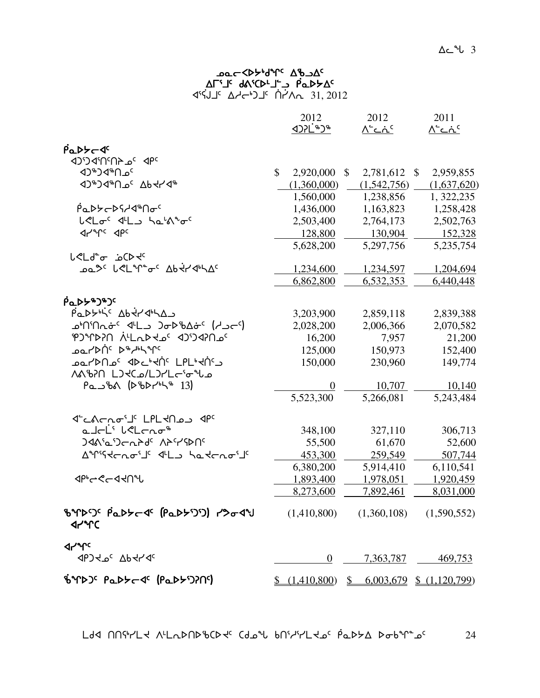### yc de Cap-Ap-Ac- works י4לא ב-"ב-4 AN <sup>15</sup> f 4°ל) <sup>בי</sup>-4⊿ 15, 2012 <sup>14</sup>ל4

|                                                                                                           |              | 2012                                                                                              | 2012                        | 2011                      |
|-----------------------------------------------------------------------------------------------------------|--------------|---------------------------------------------------------------------------------------------------|-----------------------------|---------------------------|
|                                                                                                           |              | <b><br/> 12PL<br/> 12PL<br/> 14PL<br/> 14PL<br/> 14PL<br/> 14PL<br/> 14PL<br/> 14PL<br/> 14PL</b> | $\Lambda^c$ ے $\Lambda^c$   | $\Lambda^4$ C $\Lambda^6$ |
| PaDY-J                                                                                                    |              |                                                                                                   |                             |                           |
| JP 3a 4N2N2C'CD                                                                                           |              |                                                                                                   |                             |                           |
| <b>D</b> <sup>*</sup> >d <sup>*</sup> D <sup>c</sup>                                                      | $\mathbb{S}$ | 2,920,000                                                                                         | \$<br>2,781,612 \$          | 2,959,855                 |
| {ትራል } <sub>}</sub> <sub>}</sub> <sub>}</sub> <sub>}</sub> } { } }                                        |              | (1,360,000)                                                                                       | (1,542,756)                 | (1,637,620)               |
|                                                                                                           |              | 1,560,000                                                                                         | 1,238,856                   | 1, 322, 235               |
| <i>₧</i> ҇ҍӔѤѤҀ                                                                                           |              | 1,436,000                                                                                         | 1,163,823                   | 1,258,428                 |
| L <loc "oc<="" <l_="" hath="" td=""><td></td><td>2,503,400</td><td>2,764,173</td><td>2,502,763</td></loc> |              | 2,503,400                                                                                         | 2,764,173                   | 2,502,763                 |
| <b>ALALC Abc</b>                                                                                          |              | 128,800                                                                                           | 130,904                     | 152,328                   |
|                                                                                                           |              | 5,628,200                                                                                         | 5,297,756                   | 5,235,754                 |
| √دلa <del>°ه</del> غC⊁∀                                                                                   |              |                                                                                                   |                             |                           |
| ᠴ᠋ᠣ᠌᠊᠈᠊᠂ᡁ᠋ᡧ᠘ᠰ᠋ᠾ᠌᠆᠂᠂ᠾᢋ᠘᠂ᢓᡉᢋᡰ                                                                               |              | 1,234,600                                                                                         | 1,234,597                   | 1,204,694                 |
|                                                                                                           |              | 6,862,800                                                                                         | 6,532,353                   | 6,440,448                 |
| ϼ <sup>σ</sup> ΡϷ϶Ͽ <sub>ε</sub> Ͻͼ                                                                       |              |                                                                                                   |                             |                           |
| PaDYN'S AbtranA                                                                                           |              | 3,203,900                                                                                         | 2,859,118                   | 2,839,388                 |
| ᠊ᢩ᠔᠂᠓᠕᠕ᢦᢞ᠂᠂ᡮ᠘ᢣ᠂᠑ᢦ᠊ᢂᡌᡠ <sup>ᡕ</sup> ᠂᠕᠅᠗ᠷ                                                                  |              | 2,028,200                                                                                         | 2,006,366                   | 2,070,582                 |
| PJMPPIN ALLORS OF ADDECT                                                                                  |              | 16,200                                                                                            | 7,957                       | 21,200                    |
| <b>POLYDUC D&amp; JPLALC</b>                                                                              |              | 125,000                                                                                           | 150,973                     | 152,400                   |
| ־ספר <sub>ו</sub> ∢טן איך איך האי                                                                         |              | 150,000                                                                                           | 230,960                     | 149,774                   |
| AABPN LJKCa/LJrLc'o <sup>s</sup> ua                                                                       |              |                                                                                                   |                             |                           |
| $Pa_5bA (PbP^{-1}b^* 13)$                                                                                 |              |                                                                                                   | 10,707                      | 10,140                    |
|                                                                                                           |              | 5,523,300                                                                                         | 5,266,081                   | 5,243,484                 |
| 4°CACRo <sup>s LPL</sup> ל־CACROS לפ                                                                      |              |                                                                                                   |                             |                           |
| a JoL' belong*                                                                                            |              | 348,100                                                                                           | 327,110                     | 306,713                   |
| <b>ጋፈል<sup>ና</sup>ፚ፡ጋ</b> ⊂ሌት <sup>ፈር</sup> ለትናረውበና                                                       |              | 55,500                                                                                            | 61,670                      | 52,600                    |
| A <sup>s</sup> ristenoil ( 4L ) hatenoil                                                                  |              | 453,300                                                                                           | 259,549                     | 507,744                   |
|                                                                                                           |              | 6,380,200                                                                                         | 5,914,410                   | 6,110,541                 |
| ⊲৳৸ৼৼৼ৸৸                                                                                                  |              | 1,893,400                                                                                         | 1,978,051                   | 1,920,459                 |
|                                                                                                           |              | 8,273,600                                                                                         | 7,892,461                   | 8,031,000                 |
|                                                                                                           |              |                                                                                                   |                             |                           |
| ზዣÞS PLPFC (PLPFS) 1904V                                                                                  |              | (1,410,800)                                                                                       | $(1,360,108)$ $(1,590,552)$ |                           |
| <b>Jrue</b>                                                                                               |              |                                                                                                   |                             |                           |
| <b>SPORT OF THAC</b>                                                                                      |              | $\overline{0}$                                                                                    | 7,363,787                   | 469,753                   |
| BYPD' PaDYC4 (PaDYDPI)                                                                                    |              | $\frac{(1,410,800)}{6}$ $\frac{(0,6003,679)}{6}$ $\frac{(1,120,799)}{6}$                          |                             |                           |

 $L$ dd nnfr/ $L$ d nl $L$ a $\mu$ Da $\mu$ s Ca $\mu$ ba $\mu$ ar bhr $\mu$ ld is  $\mu$ a $\mu$ s bob $\mu$ as 24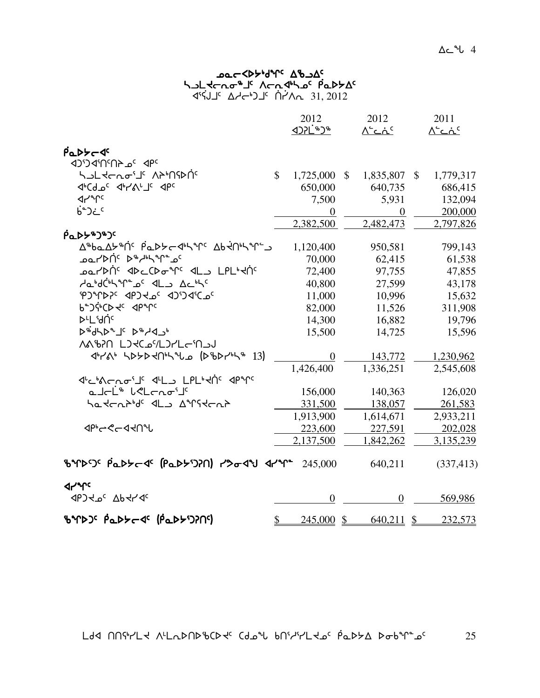#### ש⊂<γן^נ<sup>ע</sup> על−γ<sub>94</sub>γ<sup>c</sup> haldrof is Arnaha in Palas and Solomon and The Solomon In the Solomon Palastic Solomon in the Solomon Solomon 4°ל) <sup>בי</sup>-4⊿ 15, 2012 <sup>14</sup>ל4

|                                                                                                       |               | 2012                                                                                                                                                                                                                | 2012             |              | 2011                      |
|-------------------------------------------------------------------------------------------------------|---------------|---------------------------------------------------------------------------------------------------------------------------------------------------------------------------------------------------------------------|------------------|--------------|---------------------------|
|                                                                                                       |               | <b><br/> 1921<br/> 1921<br/> 1944<br/> 1946<br/> 1946<br/> 1946<br/> 1946<br/> 1946<br/> 1946<br/> 1946<br/> 1946<br/> 1946<br/> 1946<br/> 1946<br/> 1946<br/> 1946<br/> 1946<br/> 1946<br/> 1946<br/> 1946&lt;</b> | <u>∧∸ت∧</u>      |              | $\Lambda^c$ ے $\Lambda^c$ |
|                                                                                                       |               |                                                                                                                                                                                                                     |                  |              |                           |
| PaDS-JC<br>JPC 2019 PC                                                                                |               |                                                                                                                                                                                                                     |                  |              |                           |
| ᡃᡪ᠍᠘ᡫᢋᡄ᠍᠍᠘ᢄ᠂ᢕᠶᢂᠾ᠒                                                                                     | $\mathbb{S}$  | 1,725,000                                                                                                                                                                                                           | \$<br>1,835,807  | $\mathbb{S}$ | 1,779,317                 |
| <b>JICALOC JILYSILIC JPC</b>                                                                          |               | 650,000                                                                                                                                                                                                             | 640,735          |              | 686,415                   |
| <b>Jrt</b> e                                                                                          |               | 7,500                                                                                                                                                                                                               | 5,931            |              | 132,094                   |
| €ْ'€ذ                                                                                                 |               | $\boldsymbol{0}$                                                                                                                                                                                                    | $\boldsymbol{0}$ |              | 200,000                   |
|                                                                                                       |               | 2,382,500                                                                                                                                                                                                           | 2,482,473        |              | 2,797,826                 |
| <b>ράΓελλο</b>                                                                                        |               |                                                                                                                                                                                                                     |                  |              |                           |
| <u>Δ®ba Δ৮®ής βαρλ←Φηλλις Δρήθηλλις</u>                                                               |               | 1,120,400                                                                                                                                                                                                           | 950,581          |              | 799,143                   |
| ۵۵۲۵/۱ <sup>٬</sup> ۴۴ <sub>۳</sub> ۳۹٬۴۵                                                             |               | 70,000                                                                                                                                                                                                              | 62,415           |              | 61,538                    |
| e - المسلم المسلم المسلم المسلم المسلم المسلم المسلم المسلم المسلم المسلم المسلم المسلم المسلم المس   |               | 72,400                                                                                                                                                                                                              | 97,755           |              | 47,855                    |
| AabdChamac dLa Achtc                                                                                  |               | 40,800                                                                                                                                                                                                              | 27,599           |              | 43,178                    |
| PJMPPC <pjde 3dd4cpc<="" td=""><td></td><td>11,000</td><td>10,996</td><td></td><td>15,632</td></pjde> |               | 11,000                                                                                                                                                                                                              | 10,996           |              | 15,632                    |
| P.JGCD TC JbrLc                                                                                       |               | 82,000                                                                                                                                                                                                              | 11,526           |              | 311,908                   |
| <b>DLL'UNC</b>                                                                                        |               | 14,300                                                                                                                                                                                                              | 16,882           |              | 19,796                    |
| $P^4$ dh $P^4$ J $\subset P^4$ d $\sim$ b                                                             |               | 15,500                                                                                                                                                                                                              | 14,725           |              | 15,596                    |
| <b>NA&amp;AN LJKCJYLJYLGM</b>                                                                         |               |                                                                                                                                                                                                                     |                  |              |                           |
| 478 505040540 (DBD754 13)                                                                             |               | $\overline{0}$                                                                                                                                                                                                      | 143,772          |              | 1,230,962                 |
|                                                                                                       |               | 1,426,400                                                                                                                                                                                                           | 1,336,251        |              | 2,545,608                 |
| √~L'N⊂NO'I' √LL LPL'KÀ' √P'Y'                                                                         |               |                                                                                                                                                                                                                     |                  |              |                           |
| a Jal <sup>is</sup> lelanoi <sup>je</sup>                                                             |               | 156,000                                                                                                                                                                                                             | 140,363          |              | 126,020                   |
| hatchbid <sup>e</sup> dla Airstchb                                                                    |               | 331,500                                                                                                                                                                                                             | 138,057          |              | 261,583                   |
|                                                                                                       |               | 1,913,900                                                                                                                                                                                                           | 1,614,671        |              | 2,933,211                 |
| ⊲৳৽ৼ৴৸ঀ৸                                                                                              |               | 223,600                                                                                                                                                                                                             | 227,591          |              | 202,028                   |
|                                                                                                       |               | 2,137,500                                                                                                                                                                                                           | 1,842,262        |              | 3,135,239                 |
| BYPSS PaDSC (PaDSSA) PSody APY                                                                        |               | 245,000                                                                                                                                                                                                             | 640,211          |              | (337, 413)                |
| <b>SLAC</b>                                                                                           |               |                                                                                                                                                                                                                     |                  |              |                           |
| JPJ YO Ab YY JC                                                                                       |               | $\overline{0}$                                                                                                                                                                                                      | $\boldsymbol{0}$ |              | 569,986                   |
| BYDJ <sup>C</sup> PaDYC (PaDYJ)NG                                                                     | $\frac{1}{2}$ | $245,000 \text{ }$ \$                                                                                                                                                                                               | 640,211          | \$           | 232,573                   |

 $L$ dd NNith AlladNdisCd Cdoil bnithlad padda dobining 25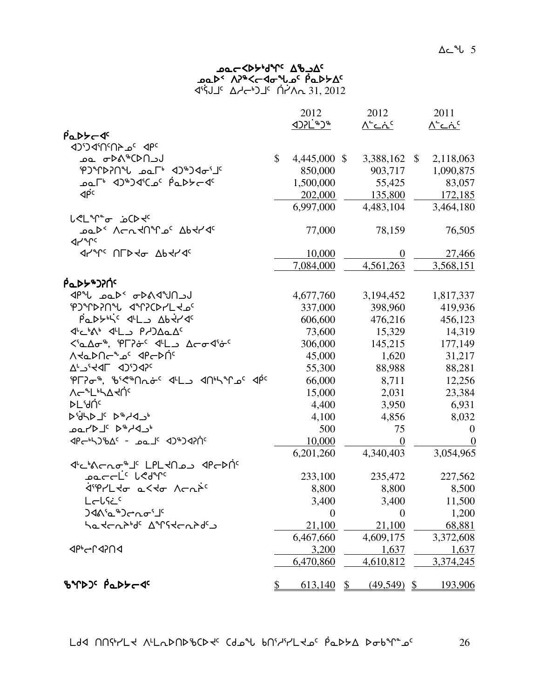| <b>DOC <dl, <dl,="" b="" que="" your<=""></dl,></b> |  |
|-----------------------------------------------------|--|
| Park APAC-doub CappAC                               |  |
| <b>SI2 31, 2012</b> Address CP-5                    |  |

|                                                                                                                   |                          | 2012             |              | 2012              | 2011             |
|-------------------------------------------------------------------------------------------------------------------|--------------------------|------------------|--------------|-------------------|------------------|
| PaDSCT                                                                                                            |                          |                  |              | <u> ^`دۂ`</u>     | <u>∧'دۂ`</u>     |
| <sup>3</sup> ገለግባን <sub>ገ</sub> ሬ የቦ                                                                              |                          |                  |              |                   |                  |
| لد CD4 <sup>0</sup> *∆ط <del>ه</del> عف                                                                           | \$                       | 4,445,000 \$     |              | 3,388,162 \$      | 2,118,063        |
| PJMYDPNU LOL 4JOJA                                                                                                |                          | 850,000          |              | 903,717           | 1,090,875        |
| ۹′-⊀⊄&¢ <sup>¢</sup> ه(۹′°4۱ ∗۳هه                                                                                 |                          | 1,500,000        |              | 55,425            | 83,057           |
| $\Phi^{\rm c}$                                                                                                    |                          | 202,000          |              | 135,800           | 172,185          |
|                                                                                                                   |                          | 6,997,000        |              | 4,483,104         | 3,464,180        |
| <b>L<lin<sup>eo</lin<sup></b> isCD -                                                                              |                          |                  |              |                   |                  |
| <b>POLY VCUAULOC VP4LAC</b><br>⊲৴৺৻                                                                               |                          | 77,000           |              | 78,159            | 76,505           |
|                                                                                                                   |                          | 10,000           |              | $\theta$          | <u>27,466</u>    |
|                                                                                                                   |                          | 7,084,000        |              | 4,561,263         | 3,568,151        |
| <b>Ρ΄ ΦΡΑ</b>                                                                                                     |                          |                  |              |                   |                  |
| JP LOUPS AS - ADO JPP                                                                                             |                          | 4,677,760        |              | 3,194,452         | 1,817,337        |
| PJMDPNU dMPCDYL do                                                                                                |                          | 337,000          |              | 398,960           | 419,936          |
| Padtis 4L Abtra                                                                                                   |                          | 606,600          |              | 476,216           | 456,123          |
| JIL AIL PADALA                                                                                                    |                          | 73,600           |              | 15,329            | 14,319           |
| <'a Ao", 'PL?&< < L_> Aco <i'&<< td=""><td></td><td>306,000</td><td></td><td>145,215</td><td>177,149</td></i'&<<> |                          | 306,000          |              | 145,215           | 177,149          |
| <b>VATDUCATE</b> dbCDUc                                                                                           |                          | 45,000           |              | 1,620             | 31,217           |
| AL CICD JPF, C,V                                                                                                  |                          | 55,300           |              | 88,988            | 88,281           |
| PL?0%, B' <ma0' <pl)="" <plyps<<="" td=""><td></td><td>66,000</td><td></td><td>8,711</td><td>12,256</td></ma0'>   |                          | 66,000           |              | 8,711             | 12,256           |
| ᠕ᡕ᠆᠂᠂᠘᠉ᢣ᠘ᡪ᠒                                                                                                       |                          | 15,000           |              | 2,031             | 23,384           |
| ⊳୮.AU∈                                                                                                            |                          | 4,400            |              | 3,950             | 6,931            |
| PYANG DAYAJ'                                                                                                      |                          | 4,100            |              | 4,856             | 8,032            |
| ∗د4∿*ط <sup>ء</sup> لـ⊲∕∟ءمـ                                                                                      |                          | 500              |              | 75                | $\boldsymbol{0}$ |
| PC-47967c - POLC 4747454                                                                                          |                          | 10,000           |              | $\theta$          | $\overline{0}$   |
|                                                                                                                   |                          | 6,201,260        |              | 4,340,403         | 3,054,965        |
| ぴ~%~~~®" LPL <n <p<="" ?="" td=""><td></td><td></td><td></td><td></td><td></td></n>                               |                          |                  |              |                   |                  |
| oaccL <sup>ic</sup> bedure<br>לייףר2לס 2<לס תרת <sup>2כ</sup>                                                     |                          | 233,100          |              | 235,472           | 227,562          |
| لـحل?خ <sup>د</sup>                                                                                               |                          | 8,800<br>3,400   |              | 8,800             | 8,500            |
| ᢃᢦᡘ <sup>ᡕ</sup> ᠍᠘ᢘ᠑ᡕ᠘ᡉ᠋᠄                                                                                        |                          | $\boldsymbol{0}$ |              | 3,400<br>$\theta$ | 11,500<br>1,200  |
| ᡃᢁ᠊᠍᠍ᡪᡄ᠍᠍᠍᠍ᢈᢑ᠋᠍᠍ᠨᢄ᠂᠊ᡒᠰ᠙ᠽᡄ᠍᠍ᠾᢃᡓ                                                                                    |                          | 21,100           |              | 21,100            | 68,881           |
|                                                                                                                   |                          | 6,467,660        |              | 4,609,175         | 3,372,608        |
| <b>⊲</b> P•∽Ր⊲ን∩⊲                                                                                                 |                          | 3,200            |              | 1,637             | <u>1,637</u>     |
|                                                                                                                   |                          | 6,470,860        |              | 4,610,812         | 3,374,245        |
|                                                                                                                   |                          |                  |              |                   |                  |
| BYDJ <sup>c</sup> PaDSCD                                                                                          | $\overline{\mathcal{P}}$ | 613,140          | $\mathbb{S}$ | $(49,549)$ \$     | 193,906          |

 $L$ dd nnfr/ $L$ ל תלבור של השיע נולדי השיר של האיר של האיר השיר הא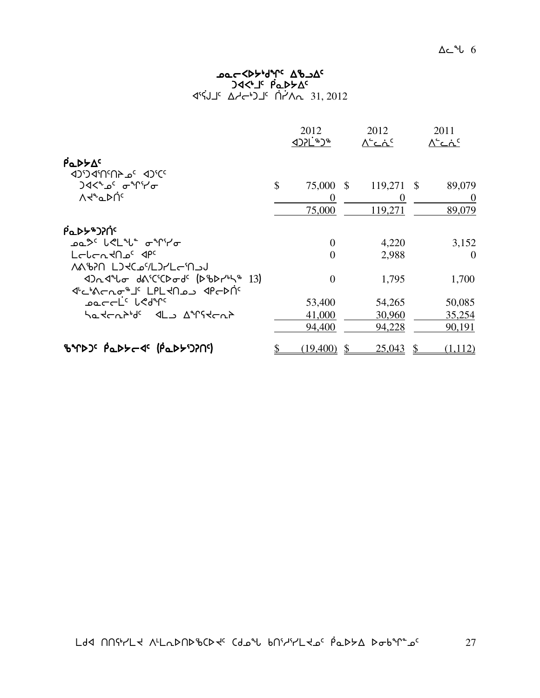#### ש⊂≺ף, א<sup>ר</sup>אך פא⊃ gxX4j5 ]rNs/w5  $\frac{1}{2}$   $\frac{1}{2}$   $\frac{1}{2}$   $\frac{1}{2}$   $\frac{1}{2}$   $\frac{1}{2}$   $\frac{1}{2}$   $\frac{1}{2}$   $\frac{1}{2}$   $\frac{1}{2}$   $\frac{1}{2}$   $\frac{1}{2}$   $\frac{1}{2}$   $\frac{1}{2}$   $\frac{1}{2}$   $\frac{1}{2}$   $\frac{1}{2}$   $\frac{1}{2}$   $\frac{1}{2}$   $\frac{1}{2}$   $\frac{1}{2}$   $\frac{1}{2}$

|                                                                       | 2012<br><b><d>1<br/> 1&gt;&gt;C+&gt;+</d></b> | 2012<br>∧'د∴د |               | 2011<br>∧'د∴د |
|-----------------------------------------------------------------------|-----------------------------------------------|---------------|---------------|---------------|
| $\beta$ a $D$ $\forall \Delta^c$<br><b>ICC <sup>C</sup>ACCILL</b> CCC |                                               |               |               |               |
|                                                                       | \$<br>75,000 \$                               | 119,271 \$    |               | 89,079        |
| <b>A</b> teric                                                        | $\theta$                                      | $\theta$      |               | $\theta$      |
|                                                                       | 75,000                                        | 119,271       |               | 89,079        |
| <b>Ρα</b> ΑΡΑΣΑΟΡΙ                                                    |                                               |               |               |               |
|                                                                       | $\overline{0}$                                | 4,220         |               | 3,152         |
| LELENTAD <sup>C</sup> APC<br>ለልঙንበ Lጋ <del>Վ</del> Cഛ/LጋイLඌበم         | $\theta$                                      | 2,988         |               | $\Omega$      |
| Drd to dricio de (DbDruh 13)<br><sup>1</sup> JPL LAL JPL JPL JPC AP   | $\theta$                                      | 1,795         |               | 1,700         |
| ـمفــدارد الاطهرد                                                     | 53,400                                        | 54,265        |               | 50,085        |
| Satchbid <sup>e</sup> dLo Airstchb                                    | 41,000                                        | 30,960        |               | 35,254        |
|                                                                       | 94,400                                        | 94,228        |               | 90,191        |
| BYDJ <sup>C</sup> PaDSC 4 <sup>C</sup> (PaDSJ)2N9                     | (19,400)                                      | 25,043        | $\mathcal{S}$ | (1,112)       |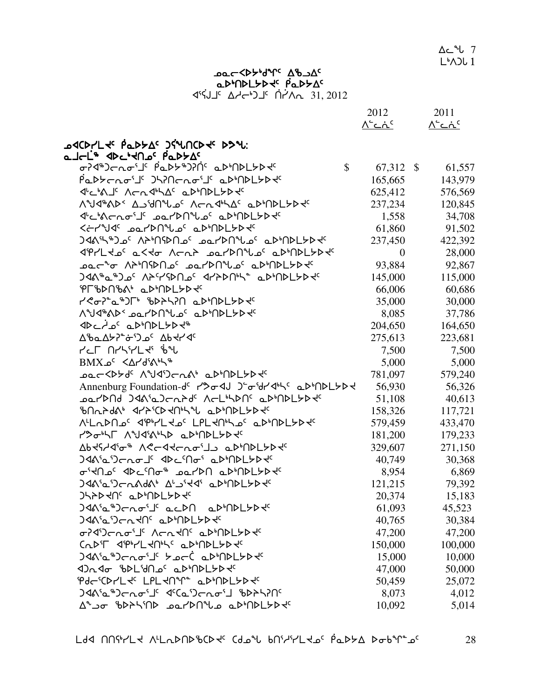|                                                                        | <u> ^`دۂ`</u>  | <u> ^`دۂ`</u> |
|------------------------------------------------------------------------|----------------|---------------|
| ACD۲L۲ <sup>ς</sup> Pedלas JŚLACD۲۲ DS۲۲.                              |                |               |
| مـا⊂لْـُ جاكد اجداكر Aكلكد                                             |                |               |
| ᡋ᠌ᢣ᠋ᡏᠲ᠑ᠳᡎ᠌ᠥ᠄ᡁ᠙ᢏᡐᢂᢣᠾ᠅᠂ᡋᢑᠾᢧᡏᢄᠰ᠀ᢣᡗ<br>$\mathbb{S}$                        | 67,312 \$      | 61,557        |
| Padtchois Jhinchois adindlyd                                           | 165,665        | 143,979       |
| JULIAJE ACAJINAC aDINDLYDYC                                            | 625,412        | 576,569       |
| Λ°ህ<16 Δ Δ Δ'ΑΠ° λ Δ Δ' Λ Δ' Δ' Δ Δ'ΑΔ' Δ Δ'ΑΔ'                        | 237,234        | 120,845       |
| ᡧᡄᡃ᠍᠍᠍ᡧᡄ᠘ᢎ᠂ᡌ᠂ᡗᡆ᠕ᠰ᠐ᢞᠾ᠖᠂ᡏᠾ᠉ᠾᢂᢣᢧ᠙                                         | 1,558          | 34,708        |
| ≺∻ללשל בשר\4חילבי ב4יח                                                 | 61,860         | 91,502        |
| <b>)ଏለ™</b> ჼጋჲ٬ ለት'በናϷበഛՙ ഛ⊿ንበ <sup>ባ</sup> ሀഛ٬ ҩϷ'በϷL৮Ϸ <del>ᡧ</del> | 237,450        | 422,392       |
| <b>JPYLKo' aKKo ACAA barDNLo' aDMDLYDK'</b>                            | $\overline{0}$ | 28,000        |
| ᠴ᠌ᠣᡄ᠊ᡃᢦ᠆᠂ᠬᢣᡃ᠓ᡴ᠑ᡗᠴ᠖ᠴ᠖᠘ᢓ᠓ᠰ᠍᠘᠖᠂ᡆ᠉᠊ᠴᠴ᠍᠖                                    | 93,884         | 92,867        |
| <b>)ଏለჼℴჼ)ℴ٬ ለትናሃክበℴ٬ ଏ/ትኦበ<sup>៲</sup>ᢣ, ℴ</b> ኦነበኦLኦኦ <del>√</del> ٬ | 145,000        | 115,000       |
| PLPDUPY, TP,UDFFD4                                                     | 66,006         | 60,686        |
| Y < G-) - L & LASHAN C-P-NDL-P-R-                                      | 35,000         | 30,000        |
| <b>/\°J&lt;'*{\P^\_\D\^\_\G\\Q`\\D\\\D\\\\\\</b> \                     | 8,085          | 37,786        |
| ⊲Dتأے⊂ م4⊌D⊳D+D+                                                       | 204,650        | 164,650       |
| <u>ᢧ</u> ᢂ᠕᠉᠔ᢌ᠅ᡩ᠑                                                      | 275,613        | 223,681       |
| <u>ለግር ሀአለአከተል የ</u>                                                   | 7,500          | 7,500         |
| $BMX_0^c < \Delta r d^c \Lambda^b \Lambda^c$                           | 5,000          | 5,000         |
| ᠴ᠍᠌eᡄ<Ϸᢣď ᠕ᢞᠨᡏ᠑ᡄ᠘᠊ᠺᡃ᠂᠌ᡆᢂᡅ᠘ᢣᢂᡕ                                          | 781,097        | 579,240       |
| Annenburg Foundation-dc r>o <dj j-o-br<br=""></dj> ad-hnbL>b<          | 56,930         | 56,326        |
| ᠴ᠍ᢁ᠊ᡕᢂ᠐᠂᠑ᢦ᠙ᡎ᠀᠆᠋᠍ᢈᢣᡇ᠂᠋᠈ᢉ᠆᠌ᡏᡎᢂᡁ᠂ᢆᢁᢧ᠕ᢧ᠌ᡗᢣᢧᡩ                               | 51,108         | 40,613        |
| BUUY99V, JLY.CD4Ur/A TD,UDFFD4c                                        | 158,326        | 117,721       |
| ALLODNOS JPHYLKOS LPLKNILOS QDINDLYDKS                                 | 579,459        | 433,470       |
| r>onL ANGAND aDMDLYD+                                                  | 181,200        | 179,233       |
| YP4d14.0 VGC44CVQ.77 ThUDFAD4                                          | 329,607        | 271,150       |
| <b>)ᡏᠷ</b> ᡲᠣ᠑ᠸ᠘ᠣ᠋ᢖ᠂᠂ᡏᡅᡄᡃ᠓ᠣ᠍᠄᠂ᢆᢆᠣᡅ᠈᠓᠘ᢣᢧᡇ                               | 40,749         | 30,368        |
| ᠸ᠋᠄ᡪᠽ᠐ᢣᢄ᠂ᢉᡀᢄ᠂ᡉᡗᡕ᠑ᡴ᠂ᡆᢂᢣ᠔ᠴ᠑                                              | 8,954          | 6,869         |
| <b>JAASaSCAAdAS ALSIKAS aDSNDLYDKG</b>                                 | 121,215        | 79,392        |
|                                                                        | 20,374         | 15,183        |
| <b>)ᡏᠷ</b> ᡏᡆᠲ᠑ᡄ᠍᠘ᡄ᠖ᡕ᠘ᡛ᠂ᡆᡄᢂᡁ᠗ᡖᢂᡕ᠐ᢂᠷ᠖                                   | 61,093         | 45,523        |
| <b>JAA'a'Jcn4N' aD'NDLYD4'</b>                                         | 40,765         | 30,384        |
| THON'S APPOINT                                                         | 47,200         | 47,200        |
| CODF JPHLJOH' aDMDLYDJ                                                 | 150,000        | 100,000       |
| ᢃᡏᡧ᠈ᡆ᠉᠑ᡕ᠊ᡊᠣ <sub>᠌</sub> ᡆᠾ᠂ᡝ᠊ᢐᡄᢗ᠂ᢆᢆᡆᢧ᠕ᢂ᠘ᢣᢂ                            | 15,000         | 10,000        |
| ᡕ᠑᠘ᢦᡆ᠂᠍᠍᠍᠍᠍᠍᠍᠍᠍ᠰ᠐᠑ᢄ᠂᠑᠘᠀᠐᠑                                              | 47,000         | 50,000        |
| Pdc'CDYLtc LPLtn'i aD'nDLYDtc                                          | 50,459         | 25,072        |
| <b>)くぐぐとも しょっこつつじょうしゃくいう</b>                                           | 8,073          | 4,012         |
|                                                                        | 10,092         | 5,014         |

Ac Bart Abac adMDLYD tal pady As 4°ל) <sup>19</sup> Aרלי) <sup>ב</sup> A−לי  $\Delta$  $\sim$   $\sim$  7  $L^{\bullet}$ ADL 1

2012 2011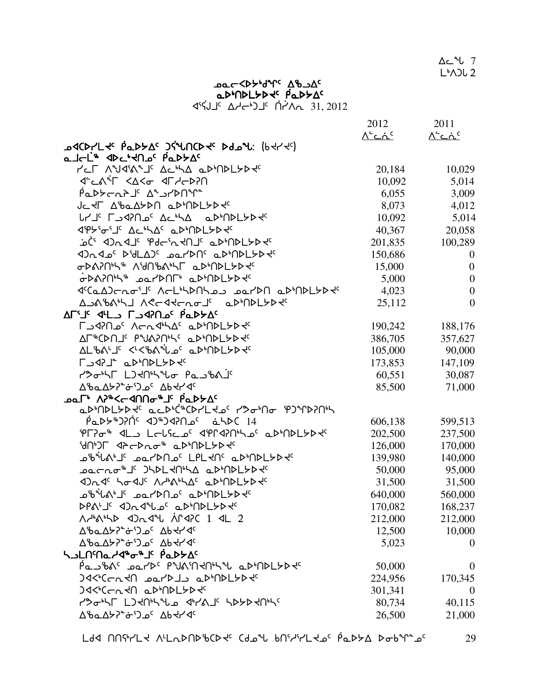Ldd NNirlt ALLDNDbCDt Cdol bNirirLto PaDSA Doblines 29

|                                                                                                                                                                                                                                            | 2012                      | 2011             |
|--------------------------------------------------------------------------------------------------------------------------------------------------------------------------------------------------------------------------------------------|---------------------------|------------------|
| <b>QQCDYL the PODYAS JEANCD the Delay: (PHL the )</b>                                                                                                                                                                                      | <u> ۸<sup>۰</sup>د ند</u> | <u> ^`د ۂ د</u>  |
| ما⊂لْـُ جاكد اجاراـة Aكلحد                                                                                                                                                                                                                 |                           |                  |
| YCL VARYATE ACHA ODIUDLADE                                                                                                                                                                                                                 | 20,184                    | 10,029           |
| JEAN KAKO JEHO                                                                                                                                                                                                                             | 10,092                    | 5,014            |
| ιάνντης Δευγρυμε                                                                                                                                                                                                                           | 6,055                     | 3,009            |
| JC XF A&aA>DA aDMDL>DX                                                                                                                                                                                                                     | 8,073                     | 4,012            |
| <b>LYJ' LAPIOS ACHA aDMDLYDES</b>                                                                                                                                                                                                          | 10,092                    | 5,014            |
| <b><p>'o'J' AC'LA' aP'NPLYP+'</p></b>                                                                                                                                                                                                      | 40,367                    | 20,058           |
| Ci d)nd" iPdcintN" aDiNDLYD                                                                                                                                                                                                                | 201,835                   | 100,289          |
| DAJS PYLAJS DAYDAS QPANDLYD                                                                                                                                                                                                                | 150,686                   | $\overline{0}$   |
| <b>σ</b> ϷልʔႶᢣᡪ᠍᠍ᡑ᠂᠕᠄᠊᠍᠍ďᡕ᠖ᡧᢣ᠘᠆ᢆᡆᢂᠾᢂᢣᢂ                                                                                                                                                                                                     | 15,000                    | $\boldsymbol{0}$ |
| GPAPNIL" POLYDUL" QDIUDLYDY                                                                                                                                                                                                                | 5,000                     | $\overline{0}$   |
| ᡏᡃᢗᡉ᠋᠘᠑ᡕ᠊ᡊᠣᡃ᠋᠂᠋᠕ᡕ᠘ᡃᡃᡪᢂ᠋ᠾᢃ᠌ᠴ᠂ᢁᡏ᠕᠐᠂᠑ᠾ᠕ᢧ᠓᠘ᡶᢂ                                                                                                                                                                                                  | 4,023                     | $\boldsymbol{0}$ |
| AJAGANJ ACCATCLOJC aDMDLYD                                                                                                                                                                                                                 | 25,112                    | $\overline{0}$   |
| AFI JULA FARAA POPLA                                                                                                                                                                                                                       |                           |                  |
| ᠾᢃ᠊ᡧᡗ᠐ᢀ᠂᠂᠕ᡄ᠍᠍ᠮ᠕ᡕᡑ᠙᠂ᡒᢧᠾᠾᡗᠷᢧᡩ                                                                                                                                                                                                                | 190,242                   | 188,176          |
| AL&CDUTE bAYSURE TP,UDFAD4c                                                                                                                                                                                                                | 386,705                   | 357,627          |
| AL&ALIC <l<&allgc adadlyd<="" td=""><td>105,000</td><td>90,000</td></l<&allgc>                                                                                                                                                             | 105,000                   | 90,000           |
| LAST TPPUPLADE                                                                                                                                                                                                                             | 173,853                   | 147,109          |
| rd Panth Late Panthy                                                                                                                                                                                                                       | 60,551                    | 30,087           |
| <b>AbaA&gt;&gt;"c"Joc Abdrdc</b>                                                                                                                                                                                                           | 85,500                    | 71,000           |
| ᠊ <b>ᢁ</b> ᡄ᠘᠂᠕᠈ᡒᢉ᠆ᢦ᠐᠐ᠰᡒ᠗ᡕ᠖᠖ᡊᢂ                                                                                                                                                                                                             |                           |                  |
| <u>ℴ</u> ᢧᡃႶᢧᡶ <i>ᡃ</i> ᢧᢣᡲ᠂ℴ <i>ᡄ</i> ᢧᡃᡃᡬᡃᡃᢗᢧᠨᡃᡶ᠌ᢈ᠍᠘ᠻ᠂ᡝᡃ᠋ᠵᠦᡃ <b>᠓</b> ᠣ᠂ᡃ᠌᠌ᡟ᠑᠋ᠰᡗᢂᢣ                                                                                                                                                       |                           |                  |
| $\hat{P}aDP*DP\hat{P}$ < 4)*)< $\hat{P}aPDc$ $\hat{a}ADC$ 14                                                                                                                                                                               | 606,138                   | 599,513          |
| PL?0- 4L LCLSC 0' 4PP4?NNO' aDMDLYD+                                                                                                                                                                                                       | 202,500                   | 237,500          |
| <b>GUPJE <p<plo" apmpl="">P+C</p<plo"></b>                                                                                                                                                                                                 | 126,000                   | 170,000          |
| ᠴᡃ᠍᠍᠍ᢐᢥ᠕ᡃ᠋᠂ᠴ᠋ᢁ᠇᠑᠐ᠴ᠌᠂᠘ᠪ᠘ᢣ᠐᠂ᢅ᠘ᢂᢣ᠗᠅᠐ᢂᢣ᠂                                                                                                                                                                                                       | 139,980                   | 140,000          |
| ב ברתס <sup>י</sup> ם א4לכול∩י <i>ו</i> ם ב4לח4לי                                                                                                                                                                                          | 50,000                    | 95,000           |
| <b><dr<br></dr<br> The Additional Advantagement of the Advantagement of the Advantagement of the Advantagement of the Advantagement of the Advantagement of the Advantagement of the Advantagement of the Advantagement of the Advanta</b> | 31,500                    | 31,500           |
| ᠊᠉ᢣ᠋ᢦᡰᢣ᠘ᢣ᠉ᡆ᠘᠕᠕ᢣ᠖ᡆ᠉ᡫᢞ᠕᠉ᡰᡷ᠍᠍᠍᠍ᠰᡆᢔ᠗᠘                                                                                                                                                                                                          | 640,000                   | 560,000          |
| <b>DPALIE DARTLOC QDINDLYDE</b>                                                                                                                                                                                                            | 170,082                   | 168,237          |
| <b>A-MAMA <da4m 1="" 2<="" <l="" ap4pc="" b=""></da4m></b>                                                                                                                                                                                 | 212,000                   | 212,000          |
| <b>AbaA&gt;&gt;"c"Joc Abdrdc</b>                                                                                                                                                                                                           | 12,500                    | 10,000           |
| Δ <i>'</i> baΔ <del>'</del> >" σ <sup>τ</sup> Ο Δ΄ Δb τη σ <sup>τ</sup>                                                                                                                                                                    | 5,023                     | $\boldsymbol{0}$ |
| ᢣ <b>Ⴢ</b> ႾႶႷႭჄ <b>Ⴣ</b> ჼჾჼ⅃ჼჼႭϷჁϪ                                                                                                                                                                                                       |                           |                  |
| Panblyde punintnyl admolyde                                                                                                                                                                                                                | 50,000                    | $\boldsymbol{0}$ |
| <b>JA&lt;'CCAYA 201'DJS aD'ADLYD+C</b>                                                                                                                                                                                                     | 224,956                   | 170,345          |
| JA<6CCLXD aD6NDLYDXG                                                                                                                                                                                                                       | 301,341                   | $\overline{0}$   |
| COGNT LIKUNJU GHAJI SPYPKUNG                                                                                                                                                                                                               | 80,734                    | 40,115           |
| <b>AbaA&gt;&gt;"c"Joc Abdrdc</b>                                                                                                                                                                                                           | 26,500                    | 21,000           |

ᢆᢦᢧ᠕ᢂ᠘ᡷ᠑ᢣᢂᡮᡁ᠂ᡁᢆᢦ᠊ᢂ<br>᠊ᢦᡏ᠆ᡕᢂᡶ᠕ᡒᡁ᠂ᢎᢪ᠀ᡒ  $451.2012$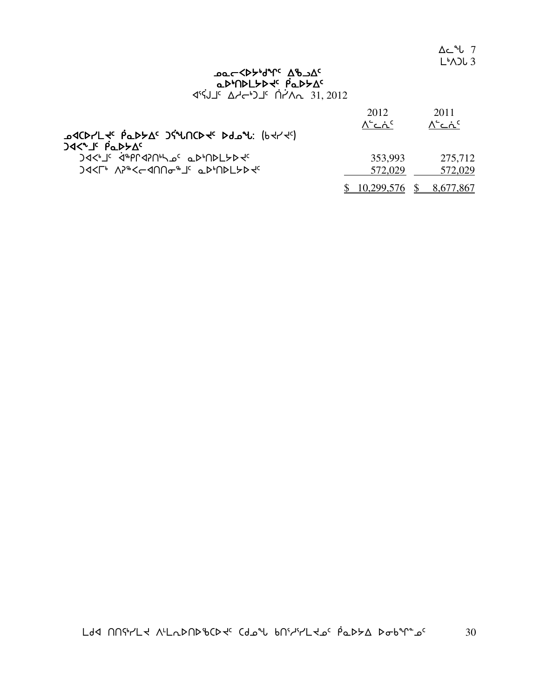$\Delta$  $\sim$   $\sim$  7  $L^{\bullet}$ ADL 3

#### كمد**k**ك−Xbبالمحك∽ adMDLYD tal pady As 4°ל) <sup>19</sup> Aרלי) <sup>ב</sup> A−לי

|                                                                                    | 2012                                             | 2011                |
|------------------------------------------------------------------------------------|--------------------------------------------------|---------------------|
| <b>GCDLL + PODATE JEANCD + Ddon:</b> (bt/te)                                       | $\Lambda^{\mathsf{c}}$ ما $\Lambda^{\mathsf{c}}$ | ∧ <sup>∽</sup> ⊂๋^⊂ |
| <b>JAK"J' PaDYA'</b><br>JAC'S APPLANALOC aDINDLYDE                                 | 353,993                                          | 275,712             |
| )∢ <l, th="" v5#<←∢uuº#7c="" ºъ,udгጉþิ4c<=""><th>572,029</th><th>572,029</th></l,> | 572,029                                          | 572,029             |
|                                                                                    | $\underline{10,299,576}$ \$ 8,677,867            |                     |

 $L$ dd  $M$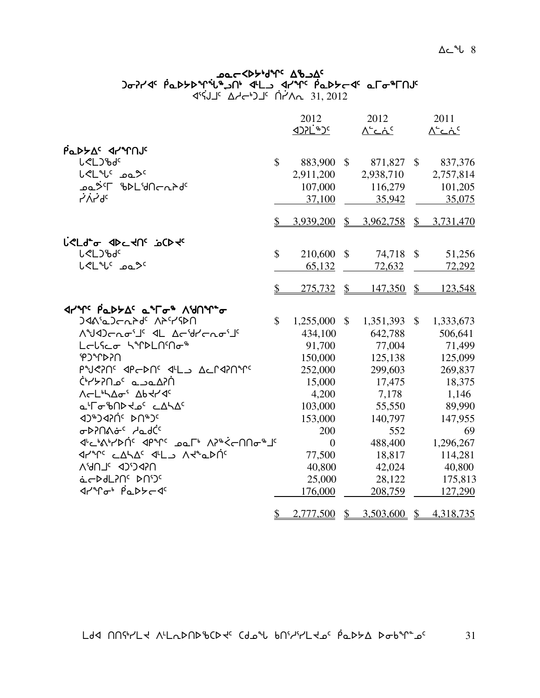#### ש⊂≺ף, א<sup>ר</sup>אך פא⊃ agin'il yakti balantar iray dan balantar iyo kana kana kana kana kana kana kuma kana kuma kuma kuma kuma kuma k 4°ל) <sup>19</sup> Aרלי) <sup>ב</sup> A−לי

|                                                                                                                                                               |               | 2012                  |               | 2012           |               | 2011        |
|---------------------------------------------------------------------------------------------------------------------------------------------------------------|---------------|-----------------------|---------------|----------------|---------------|-------------|
|                                                                                                                                                               |               | <b><d>1<br/>E</d></b> |               | <u>∧∸ت∧</u>    |               | <u>∧∸ت∧</u> |
| PaDYAS JYMNS                                                                                                                                                  |               |                       |               |                |               |             |
| <b>L</b> <l)bdc< td=""><td>\$</td><td>883,900</td><td><math>\mathcal{S}</math></td><td>871,827</td><td><math>\frac{1}{2}</math></td><td>837,376</td></l)bdc<> | \$            | 883,900               | $\mathcal{S}$ | 871,827        | $\frac{1}{2}$ | 837,376     |
| LeLuc Dasc                                                                                                                                                    |               | 2,911,200             |               | 2,938,710      |               | 2,757,814   |
| ᠴᢆᢆᢆ᠘ᠫᢣ᠋᠋᠂᠖ᢂ᠘᠂᠕ᡄ᠘᠌ᢈᠴ                                                                                                                                          |               | 107,000               |               | 116,279        |               | 101,205     |
| ∍لم`ب\ر                                                                                                                                                       |               | 37,100                |               | 35,942         |               | 35,075      |
|                                                                                                                                                               |               |                       |               |                |               |             |
|                                                                                                                                                               | S.            | 3,939,200             | $\mathcal{S}$ | 3,962,758      | $\mathcal{S}$ | 3,731,470   |
| L' CLd <sup>e</sup> or de culter jo Center                                                                                                                    |               |                       |               |                |               |             |
| <b>L</b> <l)bdc< td=""><td><math>\mathbb{S}</math></td><td>210,600 \$</td><td></td><td>74,718</td><td><math>\mathcal{S}</math></td><td>51,256</td></l)bdc<>   | $\mathbb{S}$  | 210,600 \$            |               | 74,718         | $\mathcal{S}$ | 51,256      |
| <b>L<l< b="">" ممك</l<></b>                                                                                                                                   |               | 65,132                |               | 72,632         |               | 72,292      |
|                                                                                                                                                               |               |                       |               |                |               |             |
|                                                                                                                                                               | $\mathcal{S}$ | 275,732               | $\mathcal{S}$ | 147,350        | $\frac{1}{2}$ | 123,548     |
|                                                                                                                                                               |               |                       |               |                |               |             |
| <b>JAA'aJcaPd' APYSPN</b>                                                                                                                                     | \$            | 1,255,000             | \$            | 1,351,393      | \$            | 1,333,673   |
| Waldenoil 1 Acidronoil                                                                                                                                        |               | 434,100               |               | 642,788        |               | 506,641     |
| Lelfeo SiPLNMo <sup>\$</sup>                                                                                                                                  |               | 91,700                |               | 77,004         |               | 71,499      |
| <b>USSU<sub>A</sub>CA</b>                                                                                                                                     |               | 150,000               |               | 125,138        |               | 125,099     |
| PNSPNS APGDNS ALL ACPAPNASS                                                                                                                                   |               | 252,000               |               | 299,603        |               | 269,837     |
| ח?לשבב <sup>6</sup> ב∩?לי                                                                                                                                     |               | 15,000                |               | 17,475         |               | 18,375      |
| <b>NELLAGE Abtrac</b>                                                                                                                                         |               | 4,200                 |               | 7,178          |               | 1,146       |
| <b>a'ro'bND do cALA</b>                                                                                                                                       |               | 103,000               |               | 55,550         |               | 89,990      |
| JAJAJAJ PUAJ                                                                                                                                                  |               | 153,000               |               | 140,797        |               | 147,955     |
| ᠥ <b>᠈</b> ᡅ᠕ᡠ <sup>᠌</sup> ᠂᠂ᡆ᠕ᡬ <sup>᠌᠌</sup>                                                                                                               |               | 200                   |               | 552            |               | 69          |
| ᡏᡃᡄᡃ᠍᠍᠍ᡧᡪᡃᢂᡤ᠂ᡏᠲᠰ᠌᠅ᠴᡉ᠘᠂᠕ᡒᡃ᠅                                                                                                                                    |               | $\theta$              |               | 488,400        |               | 1,296,267   |
| <b>International Control Advantional Advantional Advantments</b>                                                                                              |               | 77,500                |               | 18,817         |               | 114,281     |
| UGPCSCP JLUP,V                                                                                                                                                |               | 40,800                |               | 42,024         |               | 40,800      |
| acbdLPNS DNDS                                                                                                                                                 |               | 25,000                |               | 28,122         |               | 175,813     |
| ᡏᠠᠰᠾᠲ᠂ᠹᡉᢂᢣᡄ᠊ᡏ                                                                                                                                                 |               | 176,000               |               | 208,759        |               | 127,290     |
|                                                                                                                                                               | \$            | 2,777,500             | $\mathcal{S}$ | $3,503,600$ \$ |               | 4,318,735   |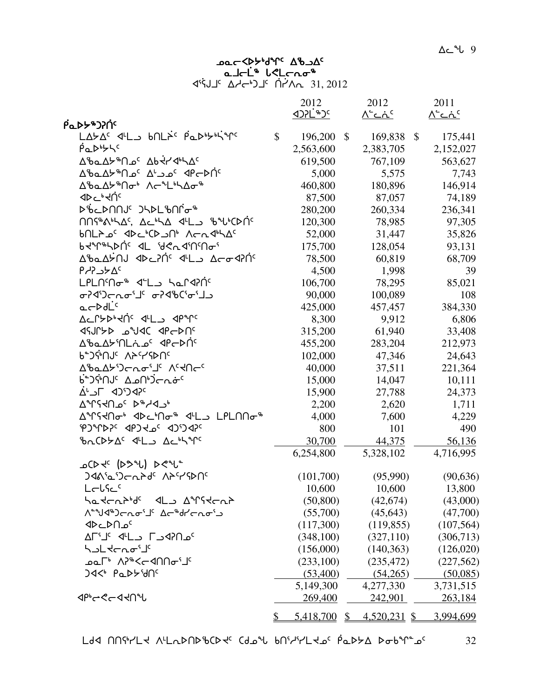∆د <sup>م</sup>ل 9

# **JOC COPART UP-OF**  $\begin{array}{cccccc} & \mathbf{a} \perp & \mathbf{c}' & \mathbf{b}' & \mathbf{c}' & \mathbf{c} \\ & \mathbf{a} & \mathbf{c} & \mathbf{c}' & \mathbf{c} \\ & \mathbf{c} & \mathbf{c}' & \mathbf{c} & \mathbf{c} \\ & \mathbf{c} & \mathbf{c} & \mathbf{c} \\ & \mathbf{c} & \mathbf{c} & \mathbf{c} \\ & \mathbf{c} & \mathbf{c} & \mathbf{c} \\ & \mathbf{c} & \mathbf{c} & \mathbf{c} \\ & \mathbf{c} & \mathbf{c} & \mathbf{c} \\ & \mathbf{$

|                                                                                                                                                      |              | 2012<br><b><d>1<br/>E</d></b> |               | 2012                          |                           | 2011          |
|------------------------------------------------------------------------------------------------------------------------------------------------------|--------------|-------------------------------|---------------|-------------------------------|---------------------------|---------------|
| βα <b>ιλλε</b> ολής                                                                                                                                  |              |                               |               | <u> ^`د ۂ د</u>               |                           | <u>∧∸ت∧ د</u> |
|                                                                                                                                                      | $\mathbb{S}$ | 196,200                       | $\mathcal{S}$ | 169,838                       | $\boldsymbol{\mathsf{S}}$ | 175,441       |
| PaDbyS                                                                                                                                               |              | 2,563,600                     |               | 2,383,705                     |                           | 2,152,027     |
| Δ <sup>8</sup> baΔ <sup>yβ</sup> Πρ <sup>ς</sup> Δb-47465Δς                                                                                          |              | 619,500                       |               | 767,109                       |                           | 563,627       |
| ∆ზم∆≻®∩ے⊂ ∆'ے ہ⊂ ⊲β∼⊳∩ <sup>د</sup>                                                                                                                  |              | 5,000                         |               | 5,575                         |                           | 7,743         |
| ᠘ᡃᡃᢐ᠋ᡅ᠘ᡃᡔ <sup>ᡑ</sup> ᠌᠌᠓᠋ᢦ᠊ᡃ᠌᠕ᡕ᠆ <sup>ᢌ</sup> ᠘ᡃᢣ᠋᠘᠋ <i>ᢐ</i> ᠂ᡑ                                                                                   |              | 460,800                       |               | 180,896                       |                           | 146,914       |
| ⊲⊳⊂ <sub>৽</sub> ⊰∪ৢ৻                                                                                                                                |              | 87,500                        |               | 87,057                        |                           | 74,189        |
| ₯₧₣₯௶ <sub>௴</sub> ௮௸௺௸                                                                                                                              |              | 280,200                       |               | 260,334                       |                           | 236,341       |
| $\bigcap Y^{\mathsf{A}} \wedge \bigcup Y^{\mathsf{C}}$ , $\Delta \subset {}^{\mathsf{A}} \wedge \Delta$ all $\Delta$ is the $\bigcap Y^{\mathsf{C}}$ |              | 120,300                       |               | 78,985                        |                           | 97,305        |
| bNLA oc<br>BNLA oc<br>BNLA oc<br>BNLA oc<br>BNLA oc<br>BNLA oc<br>BNLA oc<br>BN                                                                      |              | 52,000                        |               | 31,447                        |                           | 35,826        |
| bdinerbyc dr Acuquulo                                                                                                                                |              | 175,700                       |               | 128,054                       |                           | 93,131        |
| Δ%ΩΔΫ́NJ IP 2N̈́° IL Δ⊂σIN͡                                                                                                                          |              | 78,500                        |               | 60,819                        |                           | 68,709        |
| $P A C$ לכ $P A C$                                                                                                                                   |              | 4,500                         |               | 1,998                         |                           | 39            |
| LPLNM <sub>o</sub> d'L <sub>a</sub> hardin                                                                                                           |              | 106,700                       |               | 78,295                        |                           | 85,021        |
| <b>ᢦ᠊</b> ᠡ᠋ᡏ᠈ᢐ᠈᠕᠉ᢣᠴᢁᡆᢇ᠑ᡭ᠈ᡏᡑ                                                                                                                         |              | 90,000                        |               | 100,089                       |                           | 108           |
| $a-bdLc$                                                                                                                                             |              | 425,000                       |               | 457,457                       |                           | 384,330       |
| ACP>D'ING JL_ JPJC                                                                                                                                   |              | 8,300                         |               | 9,912                         |                           | 6,806         |
| 1979 JOV°a AYIUP                                                                                                                                     |              | 315,200                       |               | 61,940                        |                           | 33,408        |
| Δ%αΔ <del>b</del> MLjας dPcDNς                                                                                                                       |              | 455,200                       |               | 283,204                       |                           | 212,973       |
| <b>P<sub>T</sub>) άνης V5 αλρου</b>                                                                                                                  |              | 102,000                       |               | 47,346                        |                           | 24,643        |
| ∆%َ~radi_{\{\Ocel}}                                                                                                                                  |              | 40,000                        |               | 37,511                        |                           | 221,364       |
| ᡃ <b>ᡠ᠆</b> ᠔ᢞ᠓ᢞ᠂᠘᠘᠕᠍ᢀᡤᢄ᠆᠔                                                                                                                           |              | 15,000                        |               | 14,047                        |                           | 10,111        |
| AL <1)<0                                                                                                                                             |              | 15,900                        |               | 27,788                        |                           | 24,373        |
| Δ <sup>∿</sup> Γና⊀በഛ΄ Ϸ <sup>ኈ</sup> ᄼϤ <i></i>                                                                                                      |              | 2,200                         |               | 2,620                         |                           | 1,711         |
| <b>∆</b> ऀॸॎऻॴऀज़क़ॴक़ॴक़ॴक़ॴक़ॴक़ॴक़ॴक़ॴ                                                                                                            |              | 4,000                         |               | 7,600                         |                           | 4,229         |
| PJMAPC APJ +2C 4JDAPC                                                                                                                                |              | 800                           |               | 101                           |                           | 490           |
| ზαCDYΔ <sup>c</sup> < ΨL 3 Δch Mc                                                                                                                    |              | 30,700                        |               | 44,375                        |                           | 56,136        |
|                                                                                                                                                      |              | 6,254,800                     |               | 5,328,102                     |                           | 4,716,995     |
| CD J <sup>C</sup> (DD JL) D C JL C                                                                                                                   |              |                               |               |                               |                           |               |
| <b>ጋፈየ<sub>י</sub>ሚ</b> ንሩ አይረ እቃሌለር                                                                                                                 |              | (101,700)                     |               | (95,990)                      |                           | (90, 636)     |
| Lelfe                                                                                                                                                |              | 10,600                        |               | 10,600                        |                           | 13,800        |
| ᡃᢁ᠊᠍᠍᠍ᡪᡄ᠋᠍᠍ᢦ᠙ᡕᡆᢂᡁ᠑᠂᠊᠀ᡒᡁ᠙ᢋᡄ᠋ᢦᡃ                                                                                                                        |              | (50, 800)                     |               | (42, 674)                     |                           | (43,000)      |
| ᠕᠋᠋ᢆ᠊᠍᠊ᡃ᠋ᡃᡃ᠑ᡕ᠘᠋ᡉ᠋ᡃ᠘᠂᠘ᡕ᠊᠍ᡑ᠕᠆᠈ᢉ                                                                                                                        |              | (55,700)                      |               | (45, 643)                     |                           | (47,700)      |
| ⊲∿⊂⊳∪°                                                                                                                                               |              | (117,300)                     |               | (119, 855)                    |                           | (107, 564)    |
| ALS C-V-1 C-V-1                                                                                                                                      |              | (348, 100)                    |               | (327,110)                     |                           | (306, 713)    |
| לאך לכעים <i>י</i>                                                                                                                                   |              | (156,000)                     |               | (140,363)                     |                           | (126,020)     |
| ᠊ᢁ᠆ᡁ᠉᠂᠕᠑ᡒᢄ᠆᠀᠐᠐ᢁ᠂᠆                                                                                                                                    |              | (233,100)                     |               | (235, 472)                    |                           | (227, 562)    |
| <b>JA&lt;</b> PaDSMC                                                                                                                                 |              | (53,400)                      |               | (54,265)                      |                           | (50,085)      |
|                                                                                                                                                      |              | 5,149,300                     |               | 4,277,330                     |                           | 3,731,515     |
| ง จะ 2-ง จะ                                                                                                                                          |              | 269,400                       |               | 242,901                       |                           | 263,184       |
|                                                                                                                                                      | $\mathbb{S}$ |                               |               | $5,418,700$ \$ $4,520,231$ \$ |                           | 3,994,699     |

Ldd NN 4/La ALLa DND bCD to Cd and bNi 14Lt as pa Db 2 Dob 4 as 32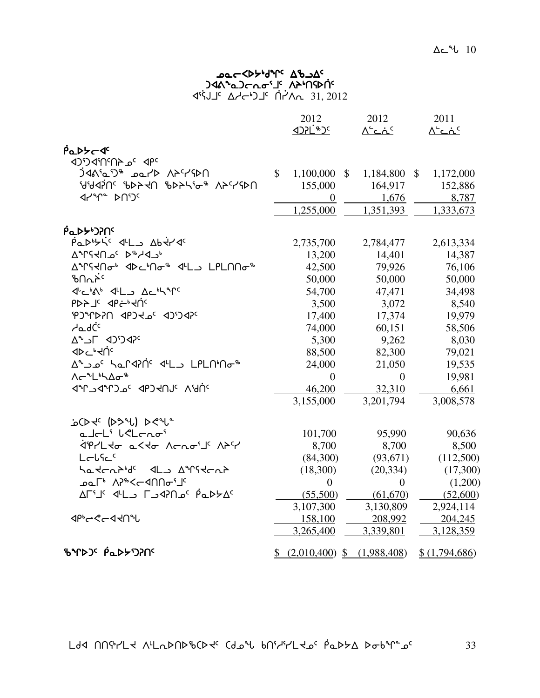#### ש⊂≺ף, א<sup>ר</sup>אך פא⊃ )ፈል<sub>ግ</sub>ፈጋሩሚሚገ<sub>ና</sub> VP<sub>1</sub>Up4C aišJJ⊂ ∆∠د+C 10'^E 11, 2012

|                                                                                                      |              | 2012             |              | 2012<br><u> ^`دۂ`</u>          | 2011<br><u>∧∸دۂ د</u> |
|------------------------------------------------------------------------------------------------------|--------------|------------------|--------------|--------------------------------|-----------------------|
| ฅ๋ฉ⊳≻~∢⊂                                                                                             |              |                  |              |                                |                       |
| JO'D J'N'NA 2' APC                                                                                   |              |                  |              |                                |                       |
| <u>AASSA ALAD REPADI</u>                                                                             | $\mathbb{S}$ | 1,100,000        | $\mathbb{S}$ | 1,184,800 \$                   | 1,172,000             |
| <b>AAAJUC PPSAG PPSAG DHAGA</b>                                                                      |              | 155,000          |              | 164,917                        | 152,886               |
|                                                                                                      |              | $\overline{0}$   |              | 1,676                          | 8,787                 |
|                                                                                                      |              | 1,255,000        |              | 1,351,393                      | 1,333,673             |
| ฅ <sup></sup> ๎๎๎๎๎๎๎๎๎๎๛ๅๅ๛                                                                         |              |                  |              |                                |                       |
| PODOSIC 4L DD Abtrac                                                                                 |              | 2,735,700        |              | 2,784,477                      | 2,613,334             |
| ∆°TSHn° >° A°H                                                                                       |              | 13,200           |              | 14,401                         | 14,387                |
| ∆ <sup>ᅆ</sup> ᡗᡪᡪᡕ᠗ᡒᡃ᠂ᢦᢂ᠋᠘ᢣ᠒ᢦ᠆᠂ᡧ᠘᠘᠂᠘ᠹ᠘᠓ᢙ᠉                                                           |              | 42,500           |              | 79,926                         | 76,106                |
| ᡃᡃᡌ᠗᠌᠘ᢣ                                                                                              |              | 50,000           |              | 50,000                         | 50,000                |
| 4'c's 4'L Ac's"                                                                                      |              | 54,700           |              | 47,471                         | 34,498                |
| $b$ by $T_c$ ab $\leftrightarrow$ $40c$                                                              |              | 3,500            |              | 3,072                          | 8,540                 |
| PJMPPIO JPJC 2017CP                                                                                  |              | 17,400           |              | 17,374                         | 19,979                |
| <b>ے</b> طرف                                                                                         |              | 74,000           |              | 60,151                         | 58,506                |
| ∆°د'4> اد^∆                                                                                          |              | 5,300            |              | 9,262                          | 8,030                 |
| <b>⊲⊳⊂</b> ∙≺∪́⊂                                                                                     |              | 88,500           |              | 82,300                         | 79,021                |
| Aشماعه محمد محمد محمد محمد محمد Ardrapn محمد محمد محمد محمد المحمد المحمد المحمد المحمد المحمد العام |              | 24,000           |              | 21,050                         | 19,535                |
| ᠕ <b>ᡕ᠆</b> ᠂᠂ᢆ᠘᠍ᡃᡪ᠘ᠥ <sup>௷</sup>                                                                   |              | $\Omega$         |              | $\mathbf{0}$                   | 19,981                |
| JAHUS APSHUIC VIAC                                                                                   |              | 46,200           |              | 32,310                         | 6,661                 |
|                                                                                                      |              | 3,155,000        |              | 3,201,794                      | 3,008,578             |
| icht (234) 224-                                                                                      |              |                  |              |                                |                       |
| alcL' leLcno'                                                                                        |              | 101,700          |              | 95,990                         | 90,636                |
| <i>לי</i> ףוללס 15ללס /רתס <i>יב</i> ' /14                                                           |              | 8,700            |              | 8,700                          | 8,500                 |
| Lelfec                                                                                               |              | (84,300)         |              | (93, 671)                      | (112,500)             |
| ᡃᡆ᠊᠍ᡪᡄ᠍᠍᠍ᢈᢑᡃᢥ᠂᠂᠆ᡌ᠆᠈᠂ <del>᠀</del> ᢥ᠙ᡕᠽᡄᢦ                                                             |              | (18,300)         |              | (20, 334)                      | (17,300)              |
| ᠊ᢁᡦ᠘᠂᠂᠕ᡃᡒᢄᢉ᠆᠀᠐᠐ᢁ᠂᠋                                                                                   |              | $\boldsymbol{0}$ |              | $\boldsymbol{0}$               | (1,200)               |
| ٬ A−۱٬ I و APN اس A−۱٬ A−۲٬ و A−۱٬                                                                   |              | (55,500)         |              | (61,670)                       | (52,600)              |
|                                                                                                      |              | 3,107,300        |              | 3,130,809                      | 2,924,114             |
| <b>⊲</b> ₧←<←∢⊀∩℃                                                                                    |              | 158,100          |              | 208,992                        | 204,245               |
|                                                                                                      |              | 3,265,400        |              | 3,339,801                      | 3,128,359             |
| <b>ზ</b> ኍÞጋ <sup>ϲ</sup> የ໋ົົົົົົ້ມ>Dንበ <sup>ϲ</sup>                                                |              |                  |              | $(2,010,400)$ \$ $(1,988,408)$ | \$(1,794,686)         |

 $L$ dd nnfr/ $L$ d nl $L$ DND $L$ CDd $\epsilon$  (do $\mu$  bn $L$ ld $\epsilon$  pod $\mu$ D $\Delta$ bob $\epsilon$  of  $33$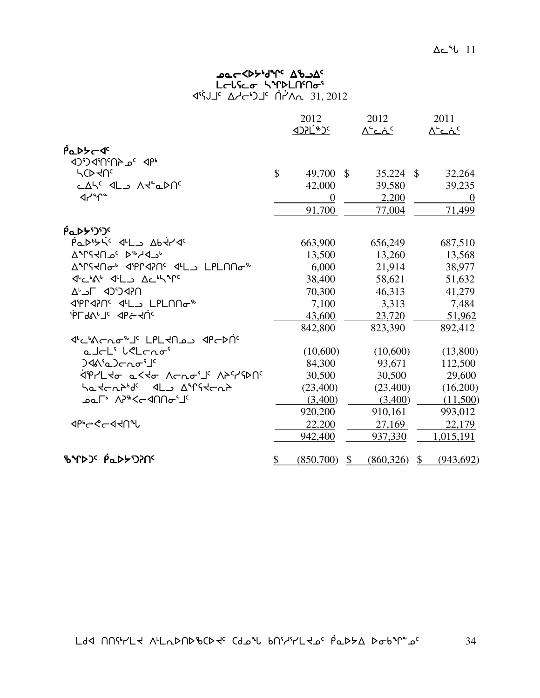#### ש⊂≺ף, א<sup>ר</sup>אך פא⊃ L∈lና⊆σ ኣশÞLN៘  $45J5 27J5 1.7J5 1.7J6 31, 2012$

|                                      |               | 2012                  |               | 2012          |               | 2011          |
|--------------------------------------|---------------|-----------------------|---------------|---------------|---------------|---------------|
|                                      |               | <u>&lt;#`JSC&amp;</u> |               | <u> ^`دۂ`</u> |               | <u> ^`دۂ`</u> |
| PaDYC J                              |               |                       |               |               |               |               |
| 4P <sup>3</sup> a 4N2N2C'CD          |               |                       |               |               |               |               |
| <b>LCDKUC</b>                        | $\mathcal{S}$ | 49,700                | $\mathcal{S}$ | 35,224        | $\mathcal{S}$ | 32,264        |
| CASC 4LD AR" QDAC                    |               | 42,000                |               | 39,580        |               | 39,235        |
| $4r^{\circ}r^{\circ}$                |               | 0                     |               | 2,200         |               | $\theta$      |
|                                      |               | 91,700                |               | 77,004        |               | 71,499        |
| <b>PODYDIC</b>                       |               |                       |               |               |               |               |
| PODOSIC 4L DD Abtrac                 |               | 663,900               |               | 656,249       |               | 687,510       |
| AMSYA 2 24/27                        |               | 13,500                |               | 13,260        |               | 13,568        |
| <b>AMSKOG</b> 4PM42054LJLPL00G       |               | 6,000                 |               | 21,914        |               | 38,977        |
| JULIAN JLL ACHYP                     |               | 38,400                |               | 58,621        |               | 51,632        |
| ח?4יכ4 ח⇒∆                           |               | 70,300                |               | 46,313        |               | 41,279        |
| IPLAPOS ILLO LPLONG <sup>\$</sup>    |               | 7,100                 |               | 3,313         |               | 7,484         |
| <b>ALPYSTE</b> db <del>e</del> -4Uc  |               | 43,600                |               | 23,720        |               | 51,962        |
|                                      |               | 842,800               |               | 823,390       |               | 892,412       |
| ᡏᡃᡄᡃ᠍᠍᠍᠍᠍ᠰᡄ᠘᠋ᠥᡑ᠍ᡌ᠂᠘ᠻ᠘ᡪ᠐ᠴ᠂᠀ᡰᢄᠡ᠑ᡤ      |               |                       |               |               |               |               |
| a Jeli lelenoi                       |               | (10,600)              |               | (10,600)      |               | (13,800)      |
| $340^6$ ) $Cn\sigma^5$               |               | 84,300                |               | 93,671        |               | 112,500       |
| ליףרבלס 1545 לרתס <i>י</i> בי לדירוף |               | 30,500                |               | 30,500        |               | 29,600        |
| Satchbids als Airstchb               |               | (23,400)              |               | (23,400)      |               | (16,200)      |
| ⊅≏°™^\}®<ר AP®                       |               | (3,400)               |               | (3,400)       |               | (11,500)      |
|                                      |               | 920,200               |               | 910,161       |               | 993,012       |
| <b>ぐんしんしゅうしゅく</b>                    |               | 22,200                |               | 27,169        |               | 22,179        |
|                                      |               | 942,400               |               | 937,330       |               | 1,015,191     |
| <b>ზ</b> ኍኈጋና Pึ๊ፌ⊳፦ነጋንበና            | \$            | (850,700)             | $\mathbb{S}$  | (860, 326)    | \$            | (943, 692)    |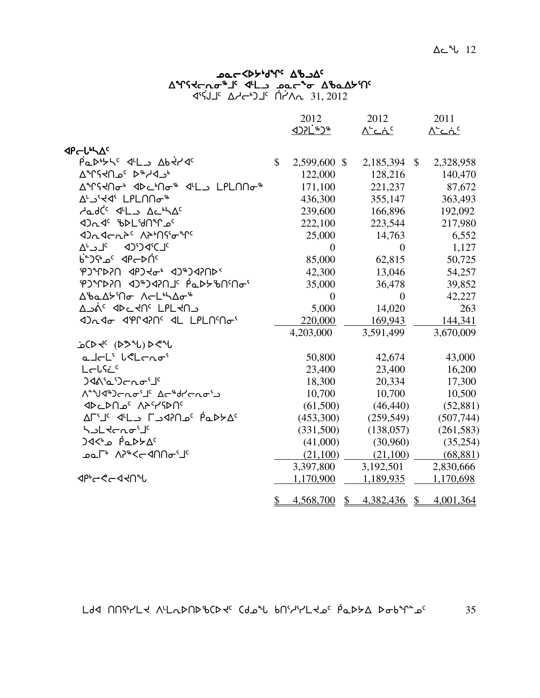#### שפ⊂≺γ<sub>ף</sub>גע<sub>ל 7</sub>7 שפ⊂ **A°FS+COLOF'S JEFT AND CONTROLLY AND ASSES** A 4°ל) <sup>19</sup> Aרלי) <sup>ב</sup> A−לי

|                                                                                                                   |              | 2012<br><b><d>1<br/> 1&gt;&gt;C+&gt;+</d></b> |              | 2012<br><u> ^`دۂ`</u>   | 2011<br><u> ^`دۂ`</u> |
|-------------------------------------------------------------------------------------------------------------------|--------------|-----------------------------------------------|--------------|-------------------------|-----------------------|
|                                                                                                                   |              |                                               |              |                         |                       |
| <b><pcllxac< b=""><br/>Padbyte del Abtrac</pcllxac<></b>                                                          | $\mathbb{S}$ | 2,599,600 \$                                  |              |                         | 2,328,958             |
| AMSYA 20 AMSYA                                                                                                    |              | 122,000                                       |              | 2,185,394 \$<br>128,216 | 140,470               |
| ∆ºՐናՎՈԺ• <d∟ºոժ® <ሥl」lplոոժ®<="" td=""><td></td><td>171,100</td><td></td><td>221,237</td><td>87,672</td></d∟ºոժ®> |              | 171,100                                       |              | 221,237                 | 87,672                |
| AL SERGI LPLNNo <sup>-8</sup>                                                                                     |              | 436,300                                       |              | 355,147                 | 363,493               |
| AadCC 4L AchAC                                                                                                    |              | 239,600                                       |              | 166,896                 | 192,092               |
| JOG BDLIJNT                                                                                                       |              | 222,100                                       |              | 223,544                 | 217,980               |
| <b><dr <dr="" n="">c /v&gt; /user/vc</dr></b>                                                                     |              | 25,000                                        |              | 14,763                  | 6,552                 |
|                                                                                                                   |              | $\theta$                                      |              | $\theta$                | 1,127                 |
| <sup>0</sup> ° 4P←DN                                                                                              |              | 85,000                                        |              | 62,815                  | 50,725                |
| <b>PJMPPC 4PJ+GP AJMPCP</b>                                                                                       |              | 42,300                                        |              | 13,046                  | 54,257                |
|                                                                                                                   |              | 35,000                                        |              | 36,478                  | 39,852                |
| Δ'baΔb'Πσ ΛσL'hΔσ <sup>%</sup>                                                                                    |              | $\overline{0}$                                |              | $\Omega$                | 42,227                |
| ∆גל <sup>כ</sup> ל4⊂לµ <sup>כ</sup> בPLל∩                                                                         |              | 5,000                                         |              | 14,020                  | 263                   |
| 4) LPLN' de la Califata                                                                                           |              | 220,000                                       |              | 169,943                 | 144,341               |
|                                                                                                                   |              | 4,203,000                                     |              | 3,591,499               | 3,670,009             |
| icD + (DS 2) De 2                                                                                                 |              |                                               |              |                         |                       |
| alcL' leLcno'                                                                                                     |              | 50,800                                        |              | 42,674                  | 43,000                |
| Lelfic                                                                                                            |              | 23,400                                        |              | 23,400                  | 16,200                |
| <b>) ั</b> งกระวัน                                                                                                |              | 18,300                                        |              | 20,334                  | 17,300                |
| <b>N<sup>a</sup>yd®) ต่าง <sup>ปุ</sup> 1 นารางจับ</b>                                                            |              | 10,700                                        |              | 10,700                  | 10,500                |
| <b>JDCDN2' APYSPN'</b>                                                                                            |              | (61,500)                                      |              | (46, 440)               | (52, 881)             |
| AF'I' J'L CJAN 2' PQDYA'                                                                                          |              | (453,300)                                     |              | (259, 549)              | (507,744)             |
| ל אך לכעים <sup>16</sup>                                                                                          |              | (331,500)                                     |              | (138, 057)              | (261, 583)            |
| <sup>0</sup> ∆ל⊄⊾0 e^>4                                                                                           |              | (41,000)                                      |              | (30,960)                | (35,254)              |
| ⊅∼°™\^°*<ר <sup>ק</sup> ∩∩ס                                                                                       |              | (21,100)                                      |              | (21,100)                | (68, 881)             |
|                                                                                                                   |              | 3,397,800                                     |              | 3,192,501               | 2,830,666             |
| <b>⊲</b> ₧←ぐ←◁ <b>⊰∩</b> ℃                                                                                        |              | 1,170,900                                     |              | 1,189,935               | 1,170,698             |
|                                                                                                                   | \$           | 4,568,700                                     | $\mathbb{S}$ | 4,382,436 \$            | 4,001,364             |

 $L$ dd nnfr/ $L$ d nl $L$ DNDb $C$ d $C$  (do $\sim$ bn $C$ ld bilar votals bob $\sim$ s  $35$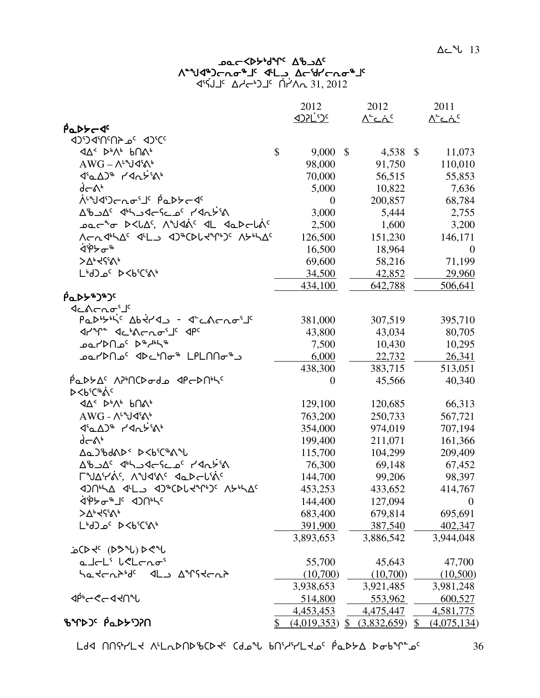#### שב⊂≺γ<sub>ף</sub>γمحر ע&ר *γ*לי A°°טל¢)רתס°4' לינג ∆רי16ירתס x3]CAj5 who4gj5 ]t`yWE 31, 2012

| <u> ארי לאכד</u><br><u> ^`د ند</u><br><u> ^`دۂ`</u><br>$\beta$ <sub>Q</sub> D $\beta$ <sub>C</sub> $\beta$ <sup>c</sup><br>$\boldsymbol{\mathsf{\hat{S}}}$<br>9,000<br>$\mathcal{S}$<br>$\mathcal{S}$<br>11,073<br>4,538<br>$AWG - \Lambda^{\iota}Yd^{\iota}\Lambda^{\iota}$<br>98,000<br>91,750<br>110,010<br>70,000<br>56,515<br>55,853<br>√−∿°<br>5,000<br>10,822<br>7,636<br>᠊ᢥ <sup>ᡅ</sup> ᡃᠡᡏ᠑ᡄ᠘ᠣ᠋ᡃ᠋᠂ <i>ᡥ</i> ᡅᢂᢣ <i>ᡄ</i> ᠊ᡏ<br>68,784<br>200,857<br>$\overline{0}$<br>AbJA <sup>c</sup> JhJJG-Sc_o <sup>c</sup> 11Ac55A<br>3,000<br>5,444<br>2,755<br>ـَ محر محلكة, A°كاظة ( طلــ طمـهجالة )<br>2,500<br>1,600<br>3,200<br>Λ στι Δειλικι αι τη τη συνδολική της αλλική λ<br>126,500<br>151,230<br>146,171<br>ᢤᢀᡃᠵ᠋ᠣ᠊<br>16,500<br>18,964<br>$\mathbf{0}$<br><b>&gt;∆</b> •ל?`^<br>69,600<br>58,216<br>71,199<br>LbJ_0' D <b'c's\b<br>34,500<br/>42,852<br/>29,960<br/>434,100<br/>642,788<br/>506,641<br/><b>PaDY&amp;J&amp;Jc</b><br/>שנמרתס<sup>יין</sup><br/>Padbyhic Abtras - decheraris<br/>381,000<br/>395,710<br/>307,519<br/>dran debachois dpc<br/>43,034<br/>80,705<br/>43,800<br/>⊕مل<sup>ام</sup>∕ <sup>6</sup> ¢ <sup>2</sup>مر∩⊄∕ ⊿ه<br/>7,500<br/>10,430<br/>10,295<br/>د*۱۹۳۵–۱۹۵°–۹۵ <sup>ب</sup>ه∩۳۵° ۵۰<br/>6,000<br/>22,732<br/>26,341<br/>438,300<br/>383,715<br/>513,051<br/>PaDYAS APMCDodo PCDNhs<br/>45,566<br/>40,340<br/><math>\overline{0}</math><br/>⊳&lt;ሁ<sup>ና</sup>ር፨ልና<br/><b><d<br></d<br> <d<br></d<br> <d<br></d<br> <d<br></d<br> <d<br></d<br> <d<br></d<br> <d<br></d<br> <d<br></d<br> <d<br></d<br> <d<br></d<br><d<br></d<br><d<br></d<br><d<<d<<d<<dd<< b="" d<="" d<<="" d<<dd<<="" dd<="" dd<<=""><br/>129,100<br/>120,685<br/>66,313<br/><math>AWG - \Lambda^{\iota}Yd^{\iota}\Lambda^{\iota}</math><br/>763,200<br/>567,721<br/>250,733<br/><b>&lt;ιαλλη Καντική</b><br/>354,000<br/>974,019<br/>707,194<br/>√−ል<br/>161,366<br/>199,400<br/>211,071<br/><b>AaJbdAD&lt; D<b<cb4c< b=""><br/>209,409<br/>115,700<br/>104,299<br/>Ab - Ac John - Jach - Antish - Action<br/>76,300<br/>69,148<br/>67,452<br/><b>Γ</b><i>ΝΔΥΑ</i>ς ΛΥΚΑς ΚΑΡΕΙΆς<br/>144,700<br/>99,206<br/>98,397<br/>453,253<br/>433,652<br/>414,767</b<cb4c<></b></d<<d<<d<<dd<<></b></b'c's\b<br> |
|------------------------------------------------------------------------------------------------------------------------------------------------------------------------------------------------------------------------------------------------------------------------------------------------------------------------------------------------------------------------------------------------------------------------------------------------------------------------------------------------------------------------------------------------------------------------------------------------------------------------------------------------------------------------------------------------------------------------------------------------------------------------------------------------------------------------------------------------------------------------------------------------------------------------------------------------------------------------------------------------------------------------------------------------------------------------------------------------------------------------------------------------------------------------------------------------------------------------------------------------------------------------------------------------------------------------------------------------------------------------------------------------------------------------------------------------------------------------------------------------------------------------------------------------------------------------------------------------------------------------------------------------------------------------------------------------------------------------------------------------------------------------------------------------------------------------------------------------------------------------------------------------------------------------------------------------------------------------------------------------------------------------------------------------------------------------------------------------------------------------------------------------------------------------------------------------------------------------------|
|                                                                                                                                                                                                                                                                                                                                                                                                                                                                                                                                                                                                                                                                                                                                                                                                                                                                                                                                                                                                                                                                                                                                                                                                                                                                                                                                                                                                                                                                                                                                                                                                                                                                                                                                                                                                                                                                                                                                                                                                                                                                                                                                                                                                                              |
|                                                                                                                                                                                                                                                                                                                                                                                                                                                                                                                                                                                                                                                                                                                                                                                                                                                                                                                                                                                                                                                                                                                                                                                                                                                                                                                                                                                                                                                                                                                                                                                                                                                                                                                                                                                                                                                                                                                                                                                                                                                                                                                                                                                                                              |
|                                                                                                                                                                                                                                                                                                                                                                                                                                                                                                                                                                                                                                                                                                                                                                                                                                                                                                                                                                                                                                                                                                                                                                                                                                                                                                                                                                                                                                                                                                                                                                                                                                                                                                                                                                                                                                                                                                                                                                                                                                                                                                                                                                                                                              |
|                                                                                                                                                                                                                                                                                                                                                                                                                                                                                                                                                                                                                                                                                                                                                                                                                                                                                                                                                                                                                                                                                                                                                                                                                                                                                                                                                                                                                                                                                                                                                                                                                                                                                                                                                                                                                                                                                                                                                                                                                                                                                                                                                                                                                              |
|                                                                                                                                                                                                                                                                                                                                                                                                                                                                                                                                                                                                                                                                                                                                                                                                                                                                                                                                                                                                                                                                                                                                                                                                                                                                                                                                                                                                                                                                                                                                                                                                                                                                                                                                                                                                                                                                                                                                                                                                                                                                                                                                                                                                                              |
|                                                                                                                                                                                                                                                                                                                                                                                                                                                                                                                                                                                                                                                                                                                                                                                                                                                                                                                                                                                                                                                                                                                                                                                                                                                                                                                                                                                                                                                                                                                                                                                                                                                                                                                                                                                                                                                                                                                                                                                                                                                                                                                                                                                                                              |
|                                                                                                                                                                                                                                                                                                                                                                                                                                                                                                                                                                                                                                                                                                                                                                                                                                                                                                                                                                                                                                                                                                                                                                                                                                                                                                                                                                                                                                                                                                                                                                                                                                                                                                                                                                                                                                                                                                                                                                                                                                                                                                                                                                                                                              |
|                                                                                                                                                                                                                                                                                                                                                                                                                                                                                                                                                                                                                                                                                                                                                                                                                                                                                                                                                                                                                                                                                                                                                                                                                                                                                                                                                                                                                                                                                                                                                                                                                                                                                                                                                                                                                                                                                                                                                                                                                                                                                                                                                                                                                              |
|                                                                                                                                                                                                                                                                                                                                                                                                                                                                                                                                                                                                                                                                                                                                                                                                                                                                                                                                                                                                                                                                                                                                                                                                                                                                                                                                                                                                                                                                                                                                                                                                                                                                                                                                                                                                                                                                                                                                                                                                                                                                                                                                                                                                                              |
|                                                                                                                                                                                                                                                                                                                                                                                                                                                                                                                                                                                                                                                                                                                                                                                                                                                                                                                                                                                                                                                                                                                                                                                                                                                                                                                                                                                                                                                                                                                                                                                                                                                                                                                                                                                                                                                                                                                                                                                                                                                                                                                                                                                                                              |
|                                                                                                                                                                                                                                                                                                                                                                                                                                                                                                                                                                                                                                                                                                                                                                                                                                                                                                                                                                                                                                                                                                                                                                                                                                                                                                                                                                                                                                                                                                                                                                                                                                                                                                                                                                                                                                                                                                                                                                                                                                                                                                                                                                                                                              |
|                                                                                                                                                                                                                                                                                                                                                                                                                                                                                                                                                                                                                                                                                                                                                                                                                                                                                                                                                                                                                                                                                                                                                                                                                                                                                                                                                                                                                                                                                                                                                                                                                                                                                                                                                                                                                                                                                                                                                                                                                                                                                                                                                                                                                              |
|                                                                                                                                                                                                                                                                                                                                                                                                                                                                                                                                                                                                                                                                                                                                                                                                                                                                                                                                                                                                                                                                                                                                                                                                                                                                                                                                                                                                                                                                                                                                                                                                                                                                                                                                                                                                                                                                                                                                                                                                                                                                                                                                                                                                                              |
|                                                                                                                                                                                                                                                                                                                                                                                                                                                                                                                                                                                                                                                                                                                                                                                                                                                                                                                                                                                                                                                                                                                                                                                                                                                                                                                                                                                                                                                                                                                                                                                                                                                                                                                                                                                                                                                                                                                                                                                                                                                                                                                                                                                                                              |
|                                                                                                                                                                                                                                                                                                                                                                                                                                                                                                                                                                                                                                                                                                                                                                                                                                                                                                                                                                                                                                                                                                                                                                                                                                                                                                                                                                                                                                                                                                                                                                                                                                                                                                                                                                                                                                                                                                                                                                                                                                                                                                                                                                                                                              |
|                                                                                                                                                                                                                                                                                                                                                                                                                                                                                                                                                                                                                                                                                                                                                                                                                                                                                                                                                                                                                                                                                                                                                                                                                                                                                                                                                                                                                                                                                                                                                                                                                                                                                                                                                                                                                                                                                                                                                                                                                                                                                                                                                                                                                              |
|                                                                                                                                                                                                                                                                                                                                                                                                                                                                                                                                                                                                                                                                                                                                                                                                                                                                                                                                                                                                                                                                                                                                                                                                                                                                                                                                                                                                                                                                                                                                                                                                                                                                                                                                                                                                                                                                                                                                                                                                                                                                                                                                                                                                                              |
|                                                                                                                                                                                                                                                                                                                                                                                                                                                                                                                                                                                                                                                                                                                                                                                                                                                                                                                                                                                                                                                                                                                                                                                                                                                                                                                                                                                                                                                                                                                                                                                                                                                                                                                                                                                                                                                                                                                                                                                                                                                                                                                                                                                                                              |
|                                                                                                                                                                                                                                                                                                                                                                                                                                                                                                                                                                                                                                                                                                                                                                                                                                                                                                                                                                                                                                                                                                                                                                                                                                                                                                                                                                                                                                                                                                                                                                                                                                                                                                                                                                                                                                                                                                                                                                                                                                                                                                                                                                                                                              |
|                                                                                                                                                                                                                                                                                                                                                                                                                                                                                                                                                                                                                                                                                                                                                                                                                                                                                                                                                                                                                                                                                                                                                                                                                                                                                                                                                                                                                                                                                                                                                                                                                                                                                                                                                                                                                                                                                                                                                                                                                                                                                                                                                                                                                              |
|                                                                                                                                                                                                                                                                                                                                                                                                                                                                                                                                                                                                                                                                                                                                                                                                                                                                                                                                                                                                                                                                                                                                                                                                                                                                                                                                                                                                                                                                                                                                                                                                                                                                                                                                                                                                                                                                                                                                                                                                                                                                                                                                                                                                                              |
|                                                                                                                                                                                                                                                                                                                                                                                                                                                                                                                                                                                                                                                                                                                                                                                                                                                                                                                                                                                                                                                                                                                                                                                                                                                                                                                                                                                                                                                                                                                                                                                                                                                                                                                                                                                                                                                                                                                                                                                                                                                                                                                                                                                                                              |
|                                                                                                                                                                                                                                                                                                                                                                                                                                                                                                                                                                                                                                                                                                                                                                                                                                                                                                                                                                                                                                                                                                                                                                                                                                                                                                                                                                                                                                                                                                                                                                                                                                                                                                                                                                                                                                                                                                                                                                                                                                                                                                                                                                                                                              |
|                                                                                                                                                                                                                                                                                                                                                                                                                                                                                                                                                                                                                                                                                                                                                                                                                                                                                                                                                                                                                                                                                                                                                                                                                                                                                                                                                                                                                                                                                                                                                                                                                                                                                                                                                                                                                                                                                                                                                                                                                                                                                                                                                                                                                              |
|                                                                                                                                                                                                                                                                                                                                                                                                                                                                                                                                                                                                                                                                                                                                                                                                                                                                                                                                                                                                                                                                                                                                                                                                                                                                                                                                                                                                                                                                                                                                                                                                                                                                                                                                                                                                                                                                                                                                                                                                                                                                                                                                                                                                                              |
|                                                                                                                                                                                                                                                                                                                                                                                                                                                                                                                                                                                                                                                                                                                                                                                                                                                                                                                                                                                                                                                                                                                                                                                                                                                                                                                                                                                                                                                                                                                                                                                                                                                                                                                                                                                                                                                                                                                                                                                                                                                                                                                                                                                                                              |
|                                                                                                                                                                                                                                                                                                                                                                                                                                                                                                                                                                                                                                                                                                                                                                                                                                                                                                                                                                                                                                                                                                                                                                                                                                                                                                                                                                                                                                                                                                                                                                                                                                                                                                                                                                                                                                                                                                                                                                                                                                                                                                                                                                                                                              |
|                                                                                                                                                                                                                                                                                                                                                                                                                                                                                                                                                                                                                                                                                                                                                                                                                                                                                                                                                                                                                                                                                                                                                                                                                                                                                                                                                                                                                                                                                                                                                                                                                                                                                                                                                                                                                                                                                                                                                                                                                                                                                                                                                                                                                              |
|                                                                                                                                                                                                                                                                                                                                                                                                                                                                                                                                                                                                                                                                                                                                                                                                                                                                                                                                                                                                                                                                                                                                                                                                                                                                                                                                                                                                                                                                                                                                                                                                                                                                                                                                                                                                                                                                                                                                                                                                                                                                                                                                                                                                                              |
|                                                                                                                                                                                                                                                                                                                                                                                                                                                                                                                                                                                                                                                                                                                                                                                                                                                                                                                                                                                                                                                                                                                                                                                                                                                                                                                                                                                                                                                                                                                                                                                                                                                                                                                                                                                                                                                                                                                                                                                                                                                                                                                                                                                                                              |
|                                                                                                                                                                                                                                                                                                                                                                                                                                                                                                                                                                                                                                                                                                                                                                                                                                                                                                                                                                                                                                                                                                                                                                                                                                                                                                                                                                                                                                                                                                                                                                                                                                                                                                                                                                                                                                                                                                                                                                                                                                                                                                                                                                                                                              |
|                                                                                                                                                                                                                                                                                                                                                                                                                                                                                                                                                                                                                                                                                                                                                                                                                                                                                                                                                                                                                                                                                                                                                                                                                                                                                                                                                                                                                                                                                                                                                                                                                                                                                                                                                                                                                                                                                                                                                                                                                                                                                                                                                                                                                              |
| <b>∛ჼ</b> Ϸჾჼ⅃ჼჃϽႶჼჄ<br>144,400<br>127,094<br>$\theta$                                                                                                                                                                                                                                                                                                                                                                                                                                                                                                                                                                                                                                                                                                                                                                                                                                                                                                                                                                                                                                                                                                                                                                                                                                                                                                                                                                                                                                                                                                                                                                                                                                                                                                                                                                                                                                                                                                                                                                                                                                                                                                                                                                       |
| >42566<br>683,400<br>679,814<br>695,691                                                                                                                                                                                                                                                                                                                                                                                                                                                                                                                                                                                                                                                                                                                                                                                                                                                                                                                                                                                                                                                                                                                                                                                                                                                                                                                                                                                                                                                                                                                                                                                                                                                                                                                                                                                                                                                                                                                                                                                                                                                                                                                                                                                      |
| LbJ_0' D <b'c's\b<br>391,900<br/>387,540<br/>402,347</b'c's\b<br>                                                                                                                                                                                                                                                                                                                                                                                                                                                                                                                                                                                                                                                                                                                                                                                                                                                                                                                                                                                                                                                                                                                                                                                                                                                                                                                                                                                                                                                                                                                                                                                                                                                                                                                                                                                                                                                                                                                                                                                                                                                                                                                                                            |
| 3,893,653<br>3,886,542<br>3,944,048                                                                                                                                                                                                                                                                                                                                                                                                                                                                                                                                                                                                                                                                                                                                                                                                                                                                                                                                                                                                                                                                                                                                                                                                                                                                                                                                                                                                                                                                                                                                                                                                                                                                                                                                                                                                                                                                                                                                                                                                                                                                                                                                                                                          |
| ich (De (De 1) De 1                                                                                                                                                                                                                                                                                                                                                                                                                                                                                                                                                                                                                                                                                                                                                                                                                                                                                                                                                                                                                                                                                                                                                                                                                                                                                                                                                                                                                                                                                                                                                                                                                                                                                                                                                                                                                                                                                                                                                                                                                                                                                                                                                                                                          |
| alt <sup>i</sup> keltari<br>47,700<br>55,700<br>45,643                                                                                                                                                                                                                                                                                                                                                                                                                                                                                                                                                                                                                                                                                                                                                                                                                                                                                                                                                                                                                                                                                                                                                                                                                                                                                                                                                                                                                                                                                                                                                                                                                                                                                                                                                                                                                                                                                                                                                                                                                                                                                                                                                                       |
| ᡃᡆ᠋ᡰᢁᡕᡔ᠘ᡛᢇ᠑᠂ᢕ᠕ᢠ᠙ᡕᠽᡄ<br>(10,700)<br>(10,700)<br>(10,500)                                                                                                                                                                                                                                                                                                                                                                                                                                                                                                                                                                                                                                                                                                                                                                                                                                                                                                                                                                                                                                                                                                                                                                                                                                                                                                                                                                                                                                                                                                                                                                                                                                                                                                                                                                                                                                                                                                                                                                                                                                                                                                                                                                      |
| 3,938,653<br>3,921,485<br>3,981,248                                                                                                                                                                                                                                                                                                                                                                                                                                                                                                                                                                                                                                                                                                                                                                                                                                                                                                                                                                                                                                                                                                                                                                                                                                                                                                                                                                                                                                                                                                                                                                                                                                                                                                                                                                                                                                                                                                                                                                                                                                                                                                                                                                                          |
| ⊲ঢ়৾৽৸ৼৼ৸৸৸<br>514,800<br>553,962<br>600,527                                                                                                                                                                                                                                                                                                                                                                                                                                                                                                                                                                                                                                                                                                                                                                                                                                                                                                                                                                                                                                                                                                                                                                                                                                                                                                                                                                                                                                                                                                                                                                                                                                                                                                                                                                                                                                                                                                                                                                                                                                                                                                                                                                                 |
| 4,453,453<br>4,475,447<br>4,581,775                                                                                                                                                                                                                                                                                                                                                                                                                                                                                                                                                                                                                                                                                                                                                                                                                                                                                                                                                                                                                                                                                                                                                                                                                                                                                                                                                                                                                                                                                                                                                                                                                                                                                                                                                                                                                                                                                                                                                                                                                                                                                                                                                                                          |
| ზ <sup>ა</sup> ՐϷϽ <sup>ϲ</sup> ቦፌϷ৮ΏንՈ<br>(4,019,353)<br>\$ (3,832,659)<br>(4,075,134)<br>$\mathbb{S}$<br>S                                                                                                                                                                                                                                                                                                                                                                                                                                                                                                                                                                                                                                                                                                                                                                                                                                                                                                                                                                                                                                                                                                                                                                                                                                                                                                                                                                                                                                                                                                                                                                                                                                                                                                                                                                                                                                                                                                                                                                                                                                                                                                                 |

 $L$ dd NNiylld AlladNdibCdd Cdoil bNiyiyldo padda dobining  $36$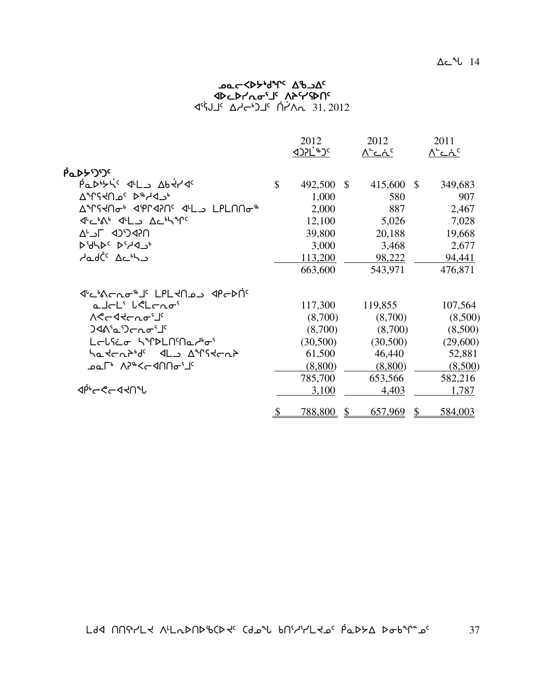#### ב**ס⊂<β**לש<sup>נ</sup>י ∆ישב **‹JPCPr'/Lo<sup>.</sup>J' ለጉናሃውበና** 1°45 AH <sup>1</sup> 1<sup>2</sup> AH 1<sup>2</sup> أك−ل

|                                                                                                               |               | 2012       |               | 2012<br><u> ^`دۂ`</u> |               | 2011<br><u> ^`دۂ`</u> |
|---------------------------------------------------------------------------------------------------------------|---------------|------------|---------------|-----------------------|---------------|-----------------------|
|                                                                                                               |               |            |               |                       |               |                       |
| <sup>ϳ</sup> ʹϾ <sup>·</sup> Ϲ <sup>·</sup> ͰʹϷ                                                               |               |            |               |                       |               |                       |
|                                                                                                               | $\mathbb{S}$  | 492,500 \$ |               | 415,600               | $\mathcal{S}$ | 349,683               |
| AMSYNOS D <sup>&amp;</sup> HID                                                                                |               | 1,000      |               | 580                   |               | 907                   |
| <u>AMSRNGN APLASUS AFLS FIFTUNGN</u>                                                                          |               | 2,000      |               | 887                   |               | 2,467                 |
| J'C'A' JLJ AC'h T'                                                                                            |               | 12,100     |               | 5,026                 |               | 7,028                 |
| <b>UGPCICP JUN</b>                                                                                            |               | 39,800     |               | 20,188                |               | 19,668                |
| <b>D'ULD' D'AJ-</b>                                                                                           |               | 3,000      |               | 3,468                 |               | 2,677                 |
| حامارڈ کار <sup>ہ</sup> اے                                                                                    |               | 113,200    |               | 98,222                |               | 94,441                |
|                                                                                                               |               | 663,600    |               | 543,971               |               | 476,871               |
| ᡧᡄᡃ᠍᠍᠍᠍᠍ᠰᡊᠴᢐ᠊ᡑᢅ᠍ᡌ᠂᠘ᠻ᠘ᡪᡗᡆ᠑᠂᠂ᡏᡌᢛᢂᠵ                                                                              |               |            |               |                       |               |                       |
| a Jeli lelenoi                                                                                                |               | 117,300    |               | 119,855               |               | 107,564               |
| <b>∧ぐ</b> ᡄ᠊ᡏᠢᡄᡅᠣᡃ᠋                                                                                           |               | (8,700)    |               | (8,700)               |               | (8,500)               |
|                                                                                                               |               | (8,700)    |               | (8,700)               |               | (8,500)               |
| LELSEO SAPENSNachos                                                                                           |               | (30,500)   |               | (30,500)              |               | (29,600)              |
| hatchbbdc <l_ angtchb<="" td=""><td></td><td>61,500</td><td></td><td>46,440</td><td></td><td>52,881</td></l_> |               | 61,500     |               | 46,440                |               | 52,881                |
| ⊅∼ר' ∧ר' <ר אח∩ס                                                                                              |               | (8,800)    |               | (8,800)               |               | (8,500)               |
|                                                                                                               |               | 785,700    |               | 653,566               |               | 582,216               |
| ⊲ঢ়৾৽ড়ৼ৸৸৸                                                                                                   |               | 3,100      |               | 4,403                 |               | 1,787                 |
|                                                                                                               | $\frac{1}{2}$ | 788,800    | $\mathcal{S}$ | 657,969               | \$            | 584,003               |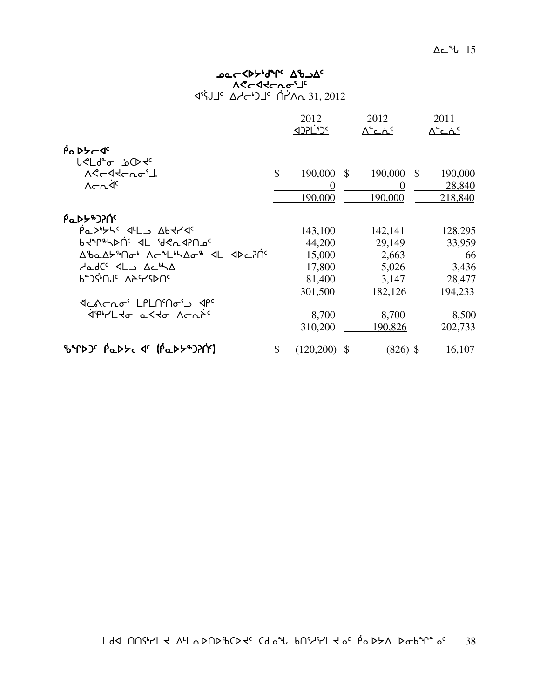#### שפ⊂≺γ<sub>ף</sub>גע<sub>ל 7</sub>7 שפ⊂ Aלר ללרת ס*י* 1°45 Addr<sup>1</sup> )⊥<sup>c</sup> nd 21, 2012

|                                                                |               | 2012<br><b>ISC'JSC</b> |               | 2012<br>∧'د∴د     |               | 2011<br>∧'د∴د |
|----------------------------------------------------------------|---------------|------------------------|---------------|-------------------|---------------|---------------|
| $\beta$ <sub>a</sub> $\beta$ <sub>z</sub> $\beta$ <sup>c</sup> |               |                        |               |                   |               |               |
| <b>L<ld< b=""><sup>e</sup> a CD +c<br/>ASCATCAO'J.</ld<></b>   | $\mathcal{S}$ | 190,000 \$             |               | 190,000           | $\mathcal{S}$ | 190,000       |
| $\Lambda$ $\subset$ $\Lambda$ <sup>c</sup>                     |               | $\Omega$               |               | $\mathbf{\Omega}$ |               | 28,840        |
|                                                                |               | 190,000                |               | 190,000           |               | 218,840       |
| βα <b>ιλλε</b> λικ                                             |               |                        |               |                   |               |               |
| $\rho$ <sub>a</sub> $\rho$ bysse dillo Abdrae                  |               | 143,100                |               | 142,141           |               | 128,295       |
| PAALPUC AL AGUASUOC                                            |               | 44,200                 |               | 29,149            |               | 33,959        |
| ᠘ᡃᡃᢐᡆ᠘ᡃᠵᡃᡃ᠓᠋ᠳᡃ᠂᠕ᡕ᠆ᠰ᠘ᡃᡃᡪ᠘ᡒᡃ᠂᠂<ᡌ <i>᠆</i> ᠕ᢗ                     |               | 15,000                 |               | 2,663             |               | 66            |
| dadC <sup>c</sup> IL Ac <sup>6</sup> A                         |               | 17,800                 |               | 5,026             |               | 3,436         |
| P-JGUL VYCAUL                                                  |               | 81,400                 |               | 3,147             |               | 28,477        |
|                                                                |               | 301,500                |               | 182,126           |               | 194,233       |
| ึง < <re></re>                                                 |               |                        |               |                   |               |               |
| <i><b>ÁPHLIT LITE NERPL</b></i>                                |               | 8,700                  |               | 8,700             |               | 8,500         |
|                                                                |               | 310,200                |               | 190,826           |               | 202,733       |
| BYD) <sup>c</sup> Padded <sup>c</sup> (Padde)?n?               | \$            | (120,200)              | $\mathcal{S}$ | $(826)$ \$        |               | 16,107        |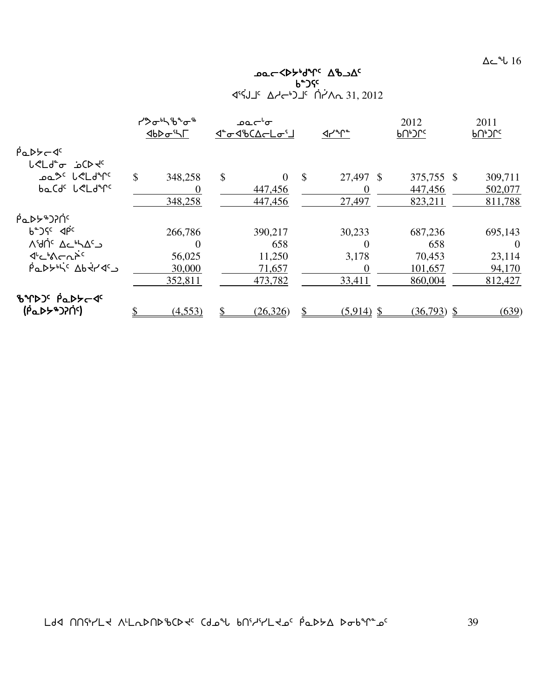$\Delta$ ⊂\_∿ $\cup$   $16$ 

Ac de Cappoint Cap የሚያስከተው የተመለከቱ የሚያስከተው የሚያስከተው የሚያስከተው የሚያስከተው የሚያስከተው የሚያስከተው የሚያስከተው የሚያስከተው የሚያስከተው የሚያስከተው የሚያስከተው የሚያስከተው 1°45, 4°4, كل−4)'⊂ 10^4, 31, 2012

|                                                     | ᠊ᠡᡃ᠋᠌ᡔᠣᡃᡰᡪᡃᢐ᠋᠍᠍ᡈ᠋᠊᠆᠋᠍᠍᠍᠊<br><b>⊲</b> ს⊳σ'ᡃ৲୮ |          | ⊃ہ~ےہ<br>⊲°o√%C∆⊂Lo`J |               | ⊲่ศึ         | 2012<br>ႱႮჁჂႱჺ | 2011<br>ჼႮჼჂႱჺ |
|-----------------------------------------------------|----------------------------------------------|----------|-----------------------|---------------|--------------|----------------|----------------|
| $\beta$ <sub>Q</sub> Db <sub>c</sub>                |                                              |          |                       |               |              |                |                |
| <b>L</b> <ld<del>c __ CD dc</ld<del>                |                                              |          |                       |               |              |                |                |
| ഛ്° ∪ീ∟ിീ്                                          | \$<br>348,258                                | \$       | $\Omega$              | $\mathcal{S}$ | 27,497 \$    | 375,755 \$     | 309,711        |
| ba Cdc LeLderc                                      |                                              |          | 447,456               |               | $\theta$     | 447,456        | 502,077        |
|                                                     | 348,258                                      |          | 447,456               |               | 27,497       | 823,211        | 811,788        |
| <b>PQDYBOPIC</b>                                    |                                              |          |                       |               |              |                |                |
| $b^2$ $\sqrt{5}$ $\leq$ $\sqrt{10}$                 | 266,786                                      |          | 390,217               |               | 30,233       | 687,236        | 695,143        |
| ∆ <sup>ی</sup> dr <sup>ic</sup> ∆د"⊿ <sup>د</sup> ے |                                              | $\Omega$ | 658                   |               |              | 658            | $\Omega$       |
| $4^{\circ}$ c $\sim$ h $\sim$ h $\sim$              | 56,025                                       |          | 11,250                |               | 3,178        | 70,453         | 23,114         |
| $\beta$ a D $\beta$ bisc Abit des                   | 30,000                                       |          | 71,657                |               | $\Omega$     | 101,657        | 94,170         |
|                                                     | 352,811                                      |          | 473,782               |               | 33,411       | 860,004        | 812,427        |
| BYDJ' PaDYCJ'                                       |                                              |          |                       |               |              |                |                |
| <u>(</u> ΡάΡΣΑΟΡΟ)                                  | (4,553)                                      |          | (26, 326)             |               | $(5,914)$ \$ | $(36,793)$ \$  | (639)          |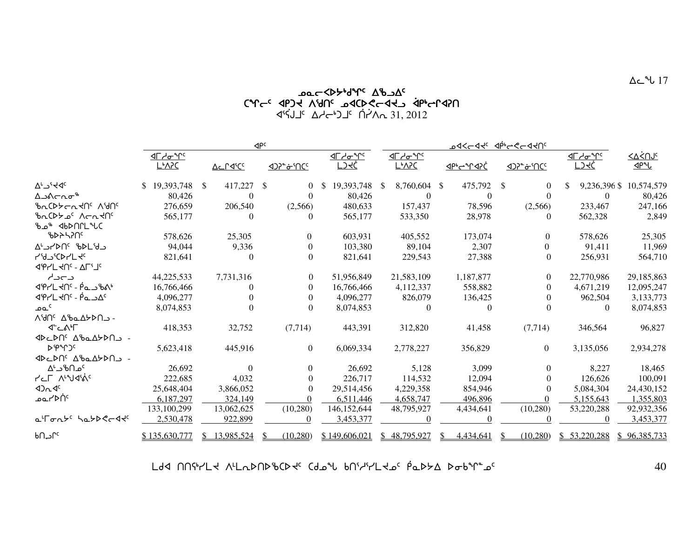#### cYc-8A <sup>ን</sup>ዦb<sup>4</sup>לל>גס<br>CትD >Abd>a יחלול xr4OQxDtair 15) ]<sup>c</sup> n' Adr−<sup>6</sup> j<sup>2</sup> n' An 31, 2012

|                                                                                                                                                                                                                                                                                                                                                                      |                          |              |                | $\mathsf{QPC}$ |                            |                  | ᠊ᢦᢓᡷ᠆ᡇᢋ᠂᠂ᢢ᠉ᠳᢌᢄ᠆ᡇᡕ |                  |  |                 |              |                |              |                      |
|----------------------------------------------------------------------------------------------------------------------------------------------------------------------------------------------------------------------------------------------------------------------------------------------------------------------------------------------------------------------|--------------------------|--------------|----------------|----------------|----------------------------|------------------|-------------------|------------------|--|-----------------|--------------|----------------|--------------|----------------------|
|                                                                                                                                                                                                                                                                                                                                                                      |                          |              |                |                |                            | <u>IF מיירים</u> |                   | <u>IF מיירים</u> |  |                 |              |                |              | <u>&lt;∆&lt;்∩Jc</u> |
|                                                                                                                                                                                                                                                                                                                                                                      | <b>L</b> <sup></sup> A?C |              | <u>Acraics</u> |                | <u> &lt;)}* &amp; `NCc</u> | <u>LJKĆ</u>      |                   | <u>L&amp;VSC</u> |  | <u>JPP-YAPC</u> |              |                | <u>LJKĆ</u>  | <u>Jerl</u>          |
| $\Delta^L \supset^{\varsigma}$ <dc< td=""><td>\$19,393,748</td><td><math>\mathbb{S}</math></td><td>417,227</td><td><sup>\$</sup></td><td><math>\Omega</math></td><td>\$<br/>19,393,748</td><td><b>S</b></td><td>8,760,604 \$</td><td></td><td>475,792</td><td><math>\mathbb{S}</math></td><td><math>\Omega</math></td><td>9,236,396 \$</td><td>10,574,579</td></dc<> | \$19,393,748             | $\mathbb{S}$ | 417,227        | <sup>\$</sup>  | $\Omega$                   | \$<br>19,393,748 | <b>S</b>          | 8,760,604 \$     |  | 475,792         | $\mathbb{S}$ | $\Omega$       | 9,236,396 \$ | 10,574,579           |
| ∆౨∧⊂౮⊕                                                                                                                                                                                                                                                                                                                                                               | 80,426                   |              | $\Omega$       |                | $\Omega$                   | 80,426           |                   | $\theta$         |  | $\Omega$        |              | $\Omega$       | $\theta$     | 80,426               |
| PURIC 10 <sup>c</sup> Aunc                                                                                                                                                                                                                                                                                                                                           | 276,659                  |              | 206,540        |                | (2,566)                    | 480,633          |                   | 157,437          |  | 78,596          |              | (2,566)        | 233,467      | 247,166              |
| <u>brCDA of</u> VELTUC                                                                                                                                                                                                                                                                                                                                               | 565,177                  |              | 0              |                | $\Omega$                   | 565,177          |                   | 533,350          |  | 28,978          |              | $\Omega$       | 562,328      | 2,849                |
| ჼᲮ <b>⊸ჼ</b> ∢Ხ▷ՈՐԼ <sup></sup> ϞႱႠ                                                                                                                                                                                                                                                                                                                                  |                          |              |                |                |                            |                  |                   |                  |  |                 |              |                |              |                      |
| ჼႦჁჁჄႶჼ                                                                                                                                                                                                                                                                                                                                                              | 578,626                  |              | 25,305         |                | $\Omega$                   | 603,931          |                   | 405,552          |  | 173,074         |              | $\Omega$       | 578,626      | 25,305               |
| A' JADUS BAL'Y                                                                                                                                                                                                                                                                                                                                                       | 94,044                   |              | 9,336          |                |                            | 103,380          |                   | 89,104           |  | 2,307           |              | $\Omega$       | 91,411       | 11,969               |
| <b>ליש</b> לט <i>יצ</i>                                                                                                                                                                                                                                                                                                                                              | 821,641                  |              | $\Omega$       |                |                            | 821,641          |                   | 229,543          |  | 27,388          |              | $\Omega$       | 256,931      | 564,710              |
| <b>JPYL JOS - ALLIC</b>                                                                                                                                                                                                                                                                                                                                              |                          |              |                |                |                            |                  |                   |                  |  |                 |              |                |              |                      |
| د⊃دا∕                                                                                                                                                                                                                                                                                                                                                                | 44,225,533               |              | 7,731,316      |                | $\Omega$                   | 51,956,849       |                   | 21,583,109       |  | 1,187,877       |              | 0              | 22,770,986   | 29,185,863           |
| 4Pr'L 40c - PasbAb                                                                                                                                                                                                                                                                                                                                                   | 16,766,466               |              |                |                |                            | 16,766,466       |                   | 4,112,337        |  | 558,882         |              |                | 4,671,219    | 12,095,247           |
| JPLHN' - Pand                                                                                                                                                                                                                                                                                                                                                        | 4,096,277                |              |                |                | $\theta$                   | 4,096,277        |                   | 826,079          |  | 136,425         |              |                | 962,504      | 3,133,773            |
| ے م                                                                                                                                                                                                                                                                                                                                                                  | 8,074,853                |              |                |                | $\theta$                   | 8,074,853        |                   | $\theta$         |  |                 |              |                | $\theta$     | 8,074,853            |
| VANG DREVOLD-                                                                                                                                                                                                                                                                                                                                                        |                          |              |                |                |                            |                  |                   |                  |  |                 |              |                |              |                      |
| ל'⊂∿≀∟                                                                                                                                                                                                                                                                                                                                                               | 418,353                  |              | 32,752         |                | (7, 714)                   | 443,391          |                   | 312,820          |  | 41,458          |              | (7, 714)       | 346,564      | 96,827               |
| <b>IDCDN<sup>G</sup> AbaA&gt;DN</b>                                                                                                                                                                                                                                                                                                                                  |                          |              |                |                |                            |                  |                   |                  |  |                 |              |                |              |                      |
| <b>ኦ</b> የኅጋና                                                                                                                                                                                                                                                                                                                                                        | 5,623,418                |              | 445,916        |                | $\overline{0}$             | 6,069,334        |                   | 2,778,227        |  | 356,829         |              | $\overline{0}$ | 3,135,056    | 2,934,278            |
| <b>IDCDN' AbaAYDNJ -</b>                                                                                                                                                                                                                                                                                                                                             |                          |              |                |                |                            |                  |                   |                  |  |                 |              |                |              |                      |
| ∆ <sup>ل</sup> °د∆ <sup>γ</sup> ک                                                                                                                                                                                                                                                                                                                                    | 26,692                   |              | $\Omega$       |                | $\Omega$                   | 26,692           |                   | 5,128            |  | 3,099           |              | 0              | 8,227        | 18,465               |
| <b>PLF Autions</b>                                                                                                                                                                                                                                                                                                                                                   | 222,685                  |              | 4,032          |                | $\theta$                   | 226,717          |                   | 114,532          |  | 12,094          |              | 0              | 126,626      | 100,091              |
| 42n4c                                                                                                                                                                                                                                                                                                                                                                | 25,648,404               |              | 3,866,052      |                | $\theta$                   | 29,514,456       |                   | 4,229,358        |  | 854,946         |              | $\Omega$       | 5,084,304    | 24,430,152           |
| ∘∩ֿ≺≻∟ە                                                                                                                                                                                                                                                                                                                                                              | 6,187,297                |              | 324,149        |                |                            | 6,511,446        |                   | 4,658,747        |  | 496,896         |              |                | 5,155,643    | 1,355,803            |
|                                                                                                                                                                                                                                                                                                                                                                      | 133,100,299              |              | 13,062,625     |                | (10, 280)                  | 146, 152, 644    |                   | 48,795,927       |  | 4,434,641       |              | (10, 280)      | 53,220,288   | 92,932,356           |
| a'ronts hatberdts                                                                                                                                                                                                                                                                                                                                                    | 2,530,478                |              | 922,899        |                |                            | 3,453,377        |                   |                  |  |                 |              |                |              | 3,453,377            |
| ∿م∩ه                                                                                                                                                                                                                                                                                                                                                                 | \$135,630,777            | S            | 13,985,524     |                | (10, 280)                  | \$149,606,021    |                   | \$48,795,927     |  | 4,434,641       |              | (10, 280)      | \$53,220,288 | \$96,385,733         |

 $\sim 40$  በበየተረደ ለዚኬኦበኦঙርኦሩ (የሚሕ የሀይተረግሪ የሚንደ ኦఒአይ አዲዮ ፣ የሚያል አይተለል ነበር 40

 $\Delta$ ے  $^{4}$ ل $17$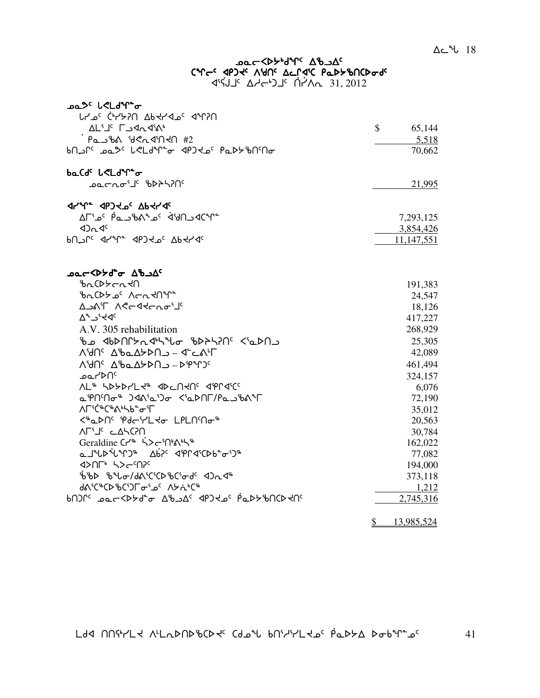# **᠊ᠣ᠋ᡉ᠆᠆ᡏᢂᢣ᠕᠕ᡕ᠂᠂᠀᠍᠐᠆᠀** CALCO Abyar VALLAC PUPPPULP

| <b>ICAL 11, 201</b> 1H/h 1H/h 1H/h |
|------------------------------------|
|------------------------------------|

| oa <sup>3،</sup> لحالها ع                                                               |                         |
|-----------------------------------------------------------------------------------------|-------------------------|
| በናገ" <sup>ጋ</sup> ሌ ነገብ ΔЬኣነላ <sup>ጋ</sup> ፍ ብግንበ                                       |                         |
| <b>AL'I' LAA4'A'</b>                                                                    | $\frac{1}{2}$<br>65,144 |
| Pa 56A 82249140 #2                                                                      | 5,518                   |
|                                                                                         | 70,662                  |
| baCdc LeLdr+o                                                                           |                         |
| <b>᠊ᠣᡄ</b> ᠆᠋᠘ᢦ᠂ᠾ᠈᠆ᠴᠴᠴᢁ                                                                 | 21,995                  |
|                                                                                         |                         |
| AF° <sup>2</sup> مـد∩لانه عمـ∿%لاحــه ( Cمـد∩لانه                                       | 7,293,125               |
| 42n4c                                                                                   | 3,854,426               |
| PU JLC 44146 4604 OP 4446                                                               | 11,147,551              |
| ᠴᢁ᠆᠀ᡕᢋ᠀ᡔᢦᢁ                                                                              |                         |
| <b><i>ზ</i>^</b> CDA~V                                                                  | 191,383                 |
| <b><i>ზ</i>^</b> CDA° ^~^4Un                                                            | 24,547                  |
| A SAT ACCATCAO'S                                                                        | 18,126                  |
| $\Delta$ <sup>2</sup> $\Delta$ <sup>5</sup> $\Delta$                                    | 417,227                 |
| A.V. 305 rehabilitation                                                                 | 268,929                 |
| ჼᲮഛ <b>⊲</b> ᲮϷႶՐ <b>≻</b> ռኆ <sup>៲</sup> ᢣᢞႱ <del>ჿ</del> ჼᲮϷትኣ?Ո <sup>ϲ</sup> <ჼჲϷႶ౨ | 25,305                  |
| Λ'dՈ <sup>ς</sup> Δ'baΔלΣΟΛ - 4' CA'Γ                                                   | 42,089                  |
| Λ'dՈ <sup>ς</sup> Δ'baΔ <del>b</del> DՈ - D'P"ՐϽς                                       | 461,494                 |
| ے صد∕ ⊳∩⊂                                                                               | 324,157                 |
| <b>NL<sup>&amp;</sup> SDSDYLS&amp; JDCUSUS JPLJSC</b>                                   | 6,076                   |
| a PNMo <sup>\$</sup> ) <a'a')o <'adnf="" pabba'f<="" td=""><td>72,190</td></a'a')o>     | 72,190                  |
| <b>᠕</b> ୮ᡃᡤ᠋᠅ᢗ <sup>ᡑ</sup> ᠍᠊᠍ᡭᢀᢣᠲ᠖                                                   | 35,012                  |
| <�a>Nº Pdc'r'Ldo LPLN'no &                                                              | 20,563                  |
| ALIS CARCSU                                                                             | 30,784                  |
| Geraldine Cr <sup>46</sup> 5>cm                                                         | 162,022                 |
| <b>ℴ⅃</b> ϞՐϷͺϟϹͽͺͺϘϷϹͺϤϸͿͺϤϲϦϷͺϘͺϽ <sub>ͼ</sub>                                        | 77,082                  |
|                                                                                         | 194,000                 |
| ჼᢧჼႦϷ ჼႦჼႱ <i>Ⴛ</i> /Ⴛჽ <sup>ᡕ</sup> ᢗჼႠϷჼႦᢗჼႻႻჼ ⊲Ͻሒ⊲ჼჼ                                 | 373,118                 |
| dascace bcorders as Abdaca                                                              | 1,212                   |
|                                                                                         | 2,745,316               |
|                                                                                         |                         |

 $\frac{$}{9}$  13,985,524